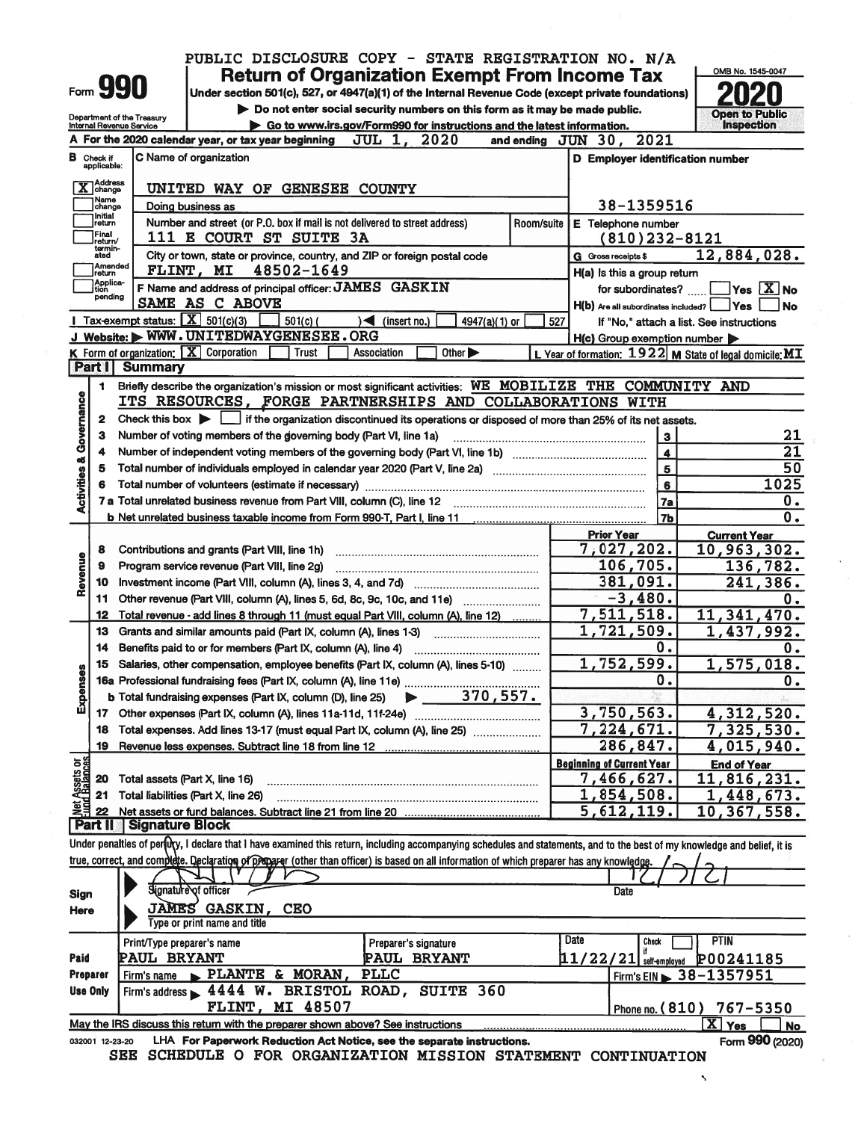|      | ı. |
|------|----|
| ∙orm |    |

Department of the Treasury

### PUBLIC DISCLOSURE COPY - STATE REGISTRATION NO. N/A **Return of Organization Exempt From Income Tax**

Under section 501(c), 527, or 4947(a)(1) of the Internal Revenue Code (except private foundations) Do not enter social security numbers on this form as it may be made public.



Ñ

|                                |                                      | Go to www.irs.gov/Form990 for instructions and the latest information.<br>Internal Revenue Service                                                                         |                                        |                                                    | <b>Inspection</b>                                         |
|--------------------------------|--------------------------------------|----------------------------------------------------------------------------------------------------------------------------------------------------------------------------|----------------------------------------|----------------------------------------------------|-----------------------------------------------------------|
|                                |                                      | 2020<br>A For the 2020 calendar year, or tax year beginning<br><b>JUL</b><br>1.                                                                                            |                                        | and ending $JUN$ $30$ ,<br>2021                    |                                                           |
|                                | <b>B</b> Check if<br>applicable:     | C Name of organization                                                                                                                                                     |                                        | D Employer identification number                   |                                                           |
|                                | <b>Address</b><br>change<br>Name     | UNITED WAY OF GENESEE COUNTY                                                                                                                                               |                                        |                                                    |                                                           |
|                                | change<br>Initial                    | Doing business as                                                                                                                                                          | Room/suite                             | 38-1359516                                         |                                                           |
|                                | return<br>Final<br>return/           | Number and street (or P.O. box if mail is not delivered to street address)<br><b>111 E COURT ST SUITE 3A</b>                                                               | E Telephone number<br>$(810)$ 232-8121 |                                                    |                                                           |
|                                | termin-<br>ated<br>Amended<br>return | City or town, state or province, country, and ZIP or foreign postal code<br>48502-1649<br>FLINT, MI                                                                        |                                        | G Gross receipts \$<br>H(a) Is this a group return | 12,884,028.                                               |
|                                | Applica-<br>tion                     | F Name and address of principal officer: JAMES GASKIN                                                                                                                      |                                        | for subordinates?                                  | Yes <sup>X</sup> No                                       |
|                                | pending                              | SAME AS C ABOVE                                                                                                                                                            |                                        | $H(b)$ Are all subordinates included?              | <b>Yes</b><br><b>No</b>                                   |
|                                |                                      | <b>I</b> Tax-exempt status: $X$ 501(c)(3)<br>$501(c)$ (<br>$\sqrt{$ (insert no.)<br>$4947(a)(1)$ or                                                                        | 527                                    |                                                    | If "No," attach a list. See instructions                  |
|                                |                                      | J Website: WWW.UNITEDWAYGENESEE.ORG                                                                                                                                        |                                        | H(c) Group exemption number                        |                                                           |
|                                |                                      | K Form of organization: X Corporation<br><b>Trust</b><br>Association<br>Other $\blacktriangleright$                                                                        |                                        |                                                    | L Year of formation: $1922$ M State of legal domicile: MT |
|                                | <b>Part I</b>                        | <b>Summary</b>                                                                                                                                                             |                                        |                                                    |                                                           |
|                                | 1                                    | Briefly describe the organization's mission or most significant activities: WE MOBILIZE THE COMMUNITY AND                                                                  |                                        |                                                    |                                                           |
| Governance                     |                                      | ITS RESOURCES, FORGE PARTNERSHIPS AND COLLABORATIONS WITH                                                                                                                  |                                        |                                                    |                                                           |
|                                | $\mathbf{2}$                         | Check this box $\blacktriangleright$ $\Box$ if the organization discontinued its operations or disposed of more than 25% of its net assets.                                |                                        |                                                    |                                                           |
|                                | з                                    | Number of voting members of the governing body (Part VI, line 1a)                                                                                                          |                                        | 3                                                  | 21                                                        |
|                                | 4                                    |                                                                                                                                                                            |                                        | $\blacktriangleleft$                               | 21                                                        |
| <b>Activities &amp;</b>        | 5                                    |                                                                                                                                                                            |                                        | $\overline{\mathbf{5}}$                            | 50                                                        |
|                                | 6                                    |                                                                                                                                                                            |                                        | $6\phantom{a}$                                     | 1025                                                      |
|                                |                                      |                                                                                                                                                                            |                                        | 7a                                                 | $\mathbf 0$ .                                             |
|                                |                                      |                                                                                                                                                                            |                                        | 7 <sub>b</sub>                                     | $\overline{0}$ .                                          |
|                                |                                      |                                                                                                                                                                            |                                        | <b>Prior Year</b>                                  | <b>Current Year</b>                                       |
|                                | 8                                    | Contributions and grants (Part VIII, line 1h)                                                                                                                              |                                        | 7,027,202.                                         | 10,963,302.                                               |
|                                | 9                                    | Program service revenue (Part VIII, line 2g)                                                                                                                               |                                        | 106,705.                                           | 136,782.                                                  |
| Revenue                        | 10                                   | Investment income (Part VIII, column (A), lines 3, 4, and 7d)                                                                                                              |                                        | <u>381,091.</u>                                    | 241,386.                                                  |
|                                | 11                                   | Other revenue (Part VIII, column (A), lines 5, 6d, 8c, 9c, 10c, and 11e)                                                                                                   |                                        | $-3,480.$                                          | 0.                                                        |
|                                | 12                                   | Total revenue - add lines 8 through 11 (must equal Part VIII, column (A), line 12)                                                                                         |                                        | 7,511,518.                                         | 11,341,470.                                               |
|                                | 13                                   | Grants and similar amounts paid (Part IX, column (A), lines 1-3)                                                                                                           |                                        | 1,721,509.                                         | 1,437,992.                                                |
|                                | 14                                   | Benefits paid to or for members (Part IX, column (A), line 4)                                                                                                              |                                        | 0.                                                 | 0.                                                        |
|                                | 15                                   | Salaries, other compensation, employee benefits (Part IX, column (A), lines 5-10)                                                                                          |                                        | 1,752,599.                                         | 1,575,018.                                                |
| Expenses                       |                                      |                                                                                                                                                                            |                                        | 0.                                                 | 0.                                                        |
|                                |                                      | $\blacktriangleright$ 370,557.<br>b Total fundraising expenses (Part IX, column (D), line 25)                                                                              |                                        |                                                    |                                                           |
|                                |                                      |                                                                                                                                                                            |                                        | 3,750,563.                                         | 4,312,520.                                                |
|                                | 18                                   | Total expenses. Add lines 13-17 (must equal Part IX, column (A), line 25)                                                                                                  |                                        | 7,224,671.                                         | 7,325,530.                                                |
|                                |                                      |                                                                                                                                                                            |                                        | 286,847.                                           | 4,015,940.                                                |
| Net Assets or<br>Eund Balances |                                      |                                                                                                                                                                            |                                        | <b>Beginning of Current Year</b>                   | <b>End of Year</b>                                        |
|                                | 20                                   | Total assets (Part X, line 16)                                                                                                                                             |                                        | 7,466,627.                                         | , 816, 231.<br>11                                         |
|                                | 21                                   | Total liabilities (Part X, line 26)                                                                                                                                        |                                        | 1,854,508.                                         | , 448, 673.                                               |
|                                | 22<br>  Part II                      | Net assets or fund balances. Subtract line 21 from line 20                                                                                                                 |                                        | 5,612,119.                                         | 10,367,558.                                               |
|                                |                                      | <b>Signature Block</b>                                                                                                                                                     |                                        |                                                    |                                                           |
|                                |                                      | Under penalties of pertury, I declare that I have examined this return, including accompanying schedules and statements, and to the best of my knowledge and belief, it is |                                        |                                                    |                                                           |
|                                |                                      | true, correct, and complete. Declaration of propager (other than officer) is based on all information of which preparer has any knowledge                                  |                                        |                                                    |                                                           |
|                                |                                      | Signature of officer                                                                                                                                                       |                                        | Date                                               |                                                           |
| <b>Sign</b>                    |                                      | <b>JAMES GASKIN,</b><br><b>CEO</b>                                                                                                                                         |                                        |                                                    |                                                           |
| Here                           |                                      | Type or print name and title                                                                                                                                               |                                        |                                                    |                                                           |
|                                |                                      |                                                                                                                                                                            |                                        | Date<br>Check                                      | PTIN                                                      |
| Paid                           |                                      | Print/Type preparer's name<br>Preparer's signature<br><b>PAUL BRYANT</b><br><b>PAUL BRYANT</b>                                                                             |                                        | if<br>$11/22/21$ self-employed                     |                                                           |
| <b>Preparer</b>                |                                      | <b>PLLC</b><br>PLANTE & MORAN<br>Firm's name                                                                                                                               |                                        |                                                    | P00241185                                                 |
| <b>Use Only</b>                |                                      | 360<br>4444 W. BRISTOL ROAD,<br><b>SUITE</b><br>Firm's address                                                                                                             |                                        |                                                    | Firm's EIN $\triangleright$ 38-1357951                    |
|                                |                                      | MI 48507<br>FLINT,                                                                                                                                                         |                                        | Phone no. (810)                                    | 767-5350                                                  |
|                                |                                      | May the IRS discuss this return with the preparer shown above? See instructions                                                                                            |                                        |                                                    | $\overline{X}$ Yes                                        |
|                                | 032001 12-23-20                      | LHA For Paperwork Reduction Act Notice, see the separate instructions.                                                                                                     |                                        |                                                    | <b>No</b><br>Form 990 (2020)                              |
|                                |                                      | SCHEDULE O FOR ORGANIZATION MISSION STATEMENT CONTINUATION<br>SEE                                                                                                          |                                        |                                                    |                                                           |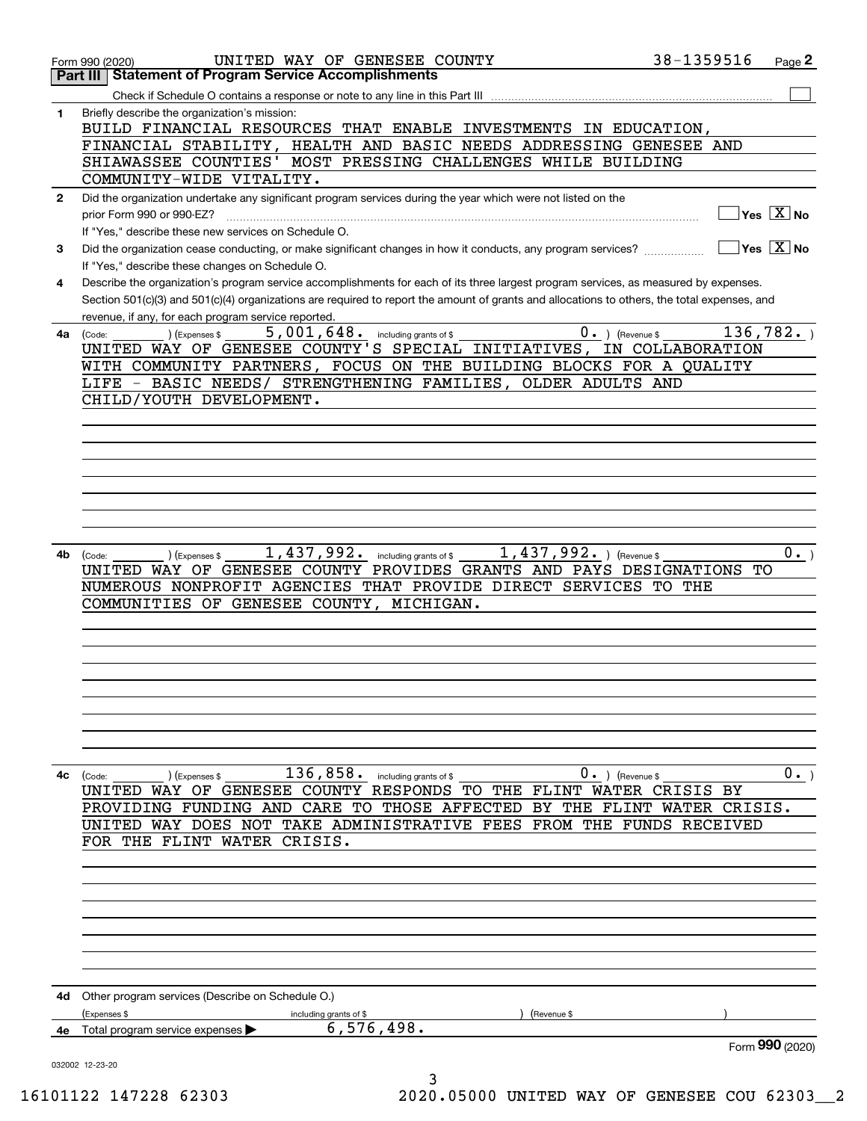| Part III     | UNITED WAY OF GENESEE COUNTY<br>Form 990 (2020)<br><b>Statement of Program Service Accomplishments</b>                                                                                              | 38-1359516       | Page 2               |
|--------------|-----------------------------------------------------------------------------------------------------------------------------------------------------------------------------------------------------|------------------|----------------------|
|              |                                                                                                                                                                                                     |                  |                      |
| 1            | Check if Schedule O contains a response or note to any line in this Part III<br>Briefly describe the organization's mission:                                                                        |                  |                      |
|              | BUILD FINANCIAL RESOURCES THAT ENABLE INVESTMENTS IN EDUCATION,                                                                                                                                     |                  |                      |
|              | FINANCIAL STABILITY, HEALTH AND BASIC NEEDS ADDRESSING GENESEE AND                                                                                                                                  |                  |                      |
|              | MOST PRESSING CHALLENGES WHILE BUILDING<br>SHIAWASSEE COUNTIES'                                                                                                                                     |                  |                      |
|              | COMMUNITY-WIDE VITALITY.                                                                                                                                                                            |                  |                      |
| $\mathbf{2}$ | Did the organization undertake any significant program services during the year which were not listed on the                                                                                        |                  |                      |
|              | prior Form 990 or 990-EZ?                                                                                                                                                                           |                  | $Yes \ \boxed{X}$ No |
|              | If "Yes," describe these new services on Schedule O.                                                                                                                                                |                  |                      |
| 3            | Did the organization cease conducting, or make significant changes in how it conducts, any program services?                                                                                        |                  | $Yes \ \boxed{X}$ No |
|              | If "Yes," describe these changes on Schedule O.                                                                                                                                                     |                  |                      |
| 4            | Describe the organization's program service accomplishments for each of its three largest program services, as measured by expenses.                                                                |                  |                      |
|              | Section 501(c)(3) and 501(c)(4) organizations are required to report the amount of grants and allocations to others, the total expenses, and<br>revenue, if any, for each program service reported. |                  |                      |
| 4а           | 5,001,648.<br>$0 \cdot$ ) (Revenue \$<br>including grants of \$<br>(Expenses \$<br>(Code:                                                                                                           | 136, 782.        |                      |
|              | UNITED WAY OF GENESEE COUNTY'S SPECIAL INITIATIVES,                                                                                                                                                 | IN COLLABORATION |                      |
|              | WITH COMMUNITY PARTNERS, FOCUS ON THE BUILDING BLOCKS FOR A QUALITY                                                                                                                                 |                  |                      |
|              | LIFE - BASIC NEEDS/ STRENGTHENING FAMILIES, OLDER ADULTS AND                                                                                                                                        |                  |                      |
|              | CHILD/YOUTH DEVELOPMENT.                                                                                                                                                                            |                  |                      |
|              |                                                                                                                                                                                                     |                  |                      |
|              |                                                                                                                                                                                                     |                  |                      |
|              |                                                                                                                                                                                                     |                  |                      |
|              |                                                                                                                                                                                                     |                  |                      |
|              |                                                                                                                                                                                                     |                  |                      |
|              |                                                                                                                                                                                                     |                  |                      |
|              |                                                                                                                                                                                                     |                  |                      |
| 4b           | 1,437,992.<br>$1,437,992.$ (Revenue \$<br>) (Expenses \$<br>including grants of \$<br>(Code:                                                                                                        |                  | $0 \cdot$ )          |
|              | UNITED WAY OF GENESEE COUNTY PROVIDES GRANTS AND PAYS DESIGNATIONS TO                                                                                                                               |                  |                      |
|              | NUMEROUS NONPROFIT AGENCIES THAT PROVIDE DIRECT SERVICES TO THE                                                                                                                                     |                  |                      |
|              | COMMUNITIES OF GENESEE COUNTY, MICHIGAN.                                                                                                                                                            |                  |                      |
|              |                                                                                                                                                                                                     |                  |                      |
|              |                                                                                                                                                                                                     |                  |                      |
|              |                                                                                                                                                                                                     |                  |                      |
|              |                                                                                                                                                                                                     |                  |                      |
|              |                                                                                                                                                                                                     |                  |                      |
|              |                                                                                                                                                                                                     |                  |                      |
|              |                                                                                                                                                                                                     |                  |                      |
|              |                                                                                                                                                                                                     |                  |                      |
| 4с           | $136,858$ . including grants of \$<br>$0 \cdot$ ) (Revenue \$<br>(Code:<br>(Expenses \$                                                                                                             |                  | $0 \cdot$            |
|              | UNITED WAY OF GENESEE COUNTY RESPONDS TO THE FLINT WATER CRISIS BY                                                                                                                                  |                  |                      |
|              | PROVIDING FUNDING AND CARE TO THOSE AFFECTED BY THE FLINT WATER CRISIS.                                                                                                                             |                  |                      |
|              | UNITED WAY DOES NOT TAKE ADMINISTRATIVE FEES FROM THE FUNDS RECEIVED                                                                                                                                |                  |                      |
|              | FOR THE FLINT WATER CRISIS.                                                                                                                                                                         |                  |                      |
|              |                                                                                                                                                                                                     |                  |                      |
|              |                                                                                                                                                                                                     |                  |                      |
|              |                                                                                                                                                                                                     |                  |                      |
|              |                                                                                                                                                                                                     |                  |                      |
|              |                                                                                                                                                                                                     |                  |                      |
|              |                                                                                                                                                                                                     |                  |                      |
|              |                                                                                                                                                                                                     |                  |                      |
|              | <b>4d</b> Other program services (Describe on Schedule O.)                                                                                                                                          |                  |                      |
|              | (Expenses \$<br>(Revenue \$<br>including grants of \$                                                                                                                                               |                  |                      |
|              | 6,576,498.<br>4e Total program service expenses                                                                                                                                                     |                  |                      |
|              |                                                                                                                                                                                                     | Form 990 (2020)  |                      |
|              | 032002 12-23-20                                                                                                                                                                                     |                  |                      |
|              | 3                                                                                                                                                                                                   |                  |                      |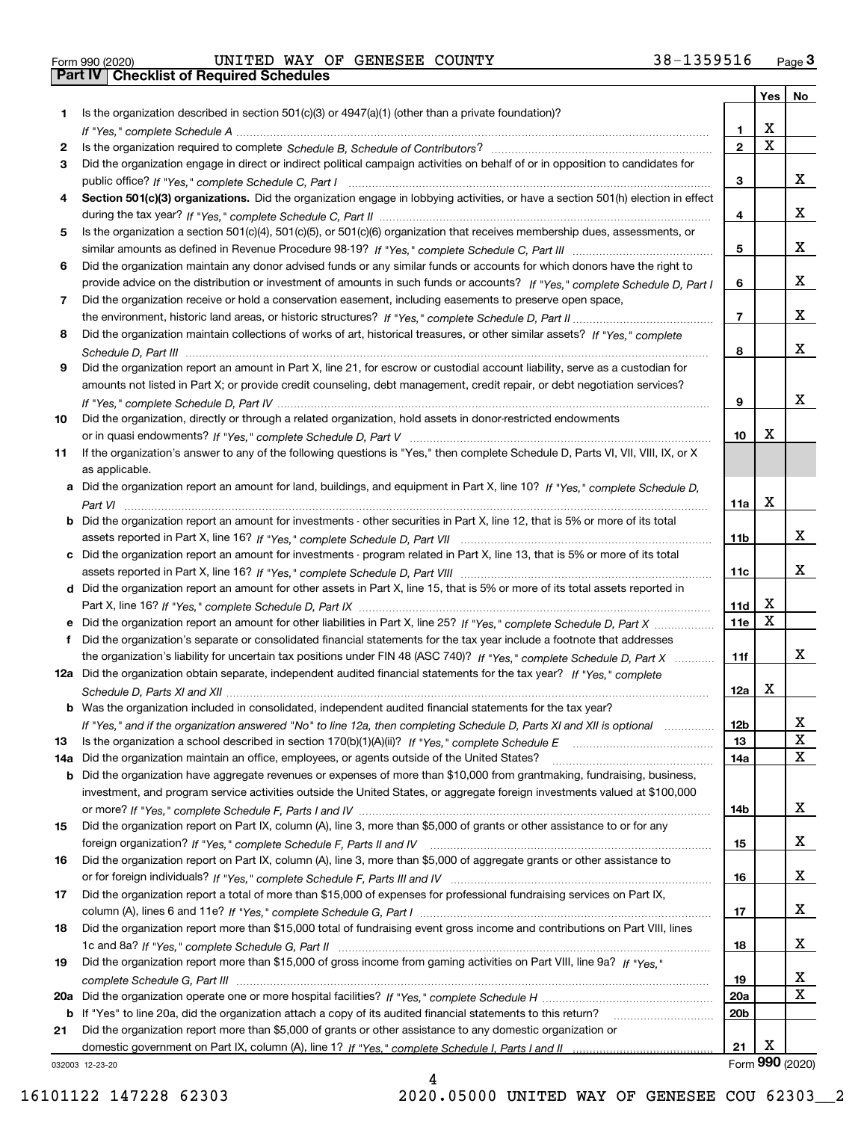| Form 990 (2020) |  |  |
|-----------------|--|--|

Form 990 (2020) Page **3Part IV Checklist of Required Schedules** UNITED WAY OF GENESEE COUNTY 38-1359516

|     |                                                                                                                                                 |                 | Yes                     | No              |
|-----|-------------------------------------------------------------------------------------------------------------------------------------------------|-----------------|-------------------------|-----------------|
| 1.  | Is the organization described in section $501(c)(3)$ or $4947(a)(1)$ (other than a private foundation)?                                         |                 |                         |                 |
|     |                                                                                                                                                 | 1.              | X                       |                 |
| 2   |                                                                                                                                                 | $\overline{2}$  | $\overline{\mathbf{x}}$ |                 |
| 3   | Did the organization engage in direct or indirect political campaign activities on behalf of or in opposition to candidates for                 |                 |                         |                 |
|     |                                                                                                                                                 | 3               |                         | x               |
| 4   | Section 501(c)(3) organizations. Did the organization engage in lobbying activities, or have a section 501(h) election in effect                |                 |                         |                 |
|     |                                                                                                                                                 | 4               |                         | x               |
| 5   | Is the organization a section 501(c)(4), 501(c)(5), or 501(c)(6) organization that receives membership dues, assessments, or                    |                 |                         |                 |
|     |                                                                                                                                                 | 5               |                         | X.              |
| 6   | Did the organization maintain any donor advised funds or any similar funds or accounts for which donors have the right to                       |                 |                         |                 |
|     | provide advice on the distribution or investment of amounts in such funds or accounts? If "Yes," complete Schedule D, Part I                    | 6               |                         | x               |
| 7   | Did the organization receive or hold a conservation easement, including easements to preserve open space,                                       |                 |                         |                 |
|     |                                                                                                                                                 | $\overline{7}$  |                         | x               |
| 8   | Did the organization maintain collections of works of art, historical treasures, or other similar assets? If "Yes," complete                    |                 |                         |                 |
|     |                                                                                                                                                 | 8               |                         | X.              |
| 9   | Did the organization report an amount in Part X, line 21, for escrow or custodial account liability, serve as a custodian for                   |                 |                         |                 |
|     | amounts not listed in Part X; or provide credit counseling, debt management, credit repair, or debt negotiation services?                       |                 |                         | x               |
|     |                                                                                                                                                 | 9               |                         |                 |
| 10  | Did the organization, directly or through a related organization, hold assets in donor-restricted endowments                                    | 10              | Х                       |                 |
|     | If the organization's answer to any of the following questions is "Yes," then complete Schedule D, Parts VI, VII, VIII, IX, or X                |                 |                         |                 |
| 11  |                                                                                                                                                 |                 |                         |                 |
|     | as applicable.<br>a Did the organization report an amount for land, buildings, and equipment in Part X, line 10? If "Yes," complete Schedule D, |                 |                         |                 |
|     |                                                                                                                                                 | 11a             | Х                       |                 |
|     | <b>b</b> Did the organization report an amount for investments - other securities in Part X, line 12, that is 5% or more of its total           |                 |                         |                 |
|     |                                                                                                                                                 | 11b             |                         | X.              |
|     | c Did the organization report an amount for investments - program related in Part X, line 13, that is 5% or more of its total                   |                 |                         |                 |
|     |                                                                                                                                                 | 11c             |                         | x               |
|     | d Did the organization report an amount for other assets in Part X, line 15, that is 5% or more of its total assets reported in                 |                 |                         |                 |
|     |                                                                                                                                                 | 11d             | X                       |                 |
|     | e Did the organization report an amount for other liabilities in Part X, line 25? If "Yes," complete Schedule D, Part X                         | 11e             | $\mathbf X$             |                 |
| f   | Did the organization's separate or consolidated financial statements for the tax year include a footnote that addresses                         |                 |                         |                 |
|     | the organization's liability for uncertain tax positions under FIN 48 (ASC 740)? If "Yes," complete Schedule D, Part X                          | 11f             |                         | X.              |
|     | 12a Did the organization obtain separate, independent audited financial statements for the tax year? If "Yes," complete                         |                 |                         |                 |
|     |                                                                                                                                                 | 12a             | X                       |                 |
|     | b Was the organization included in consolidated, independent audited financial statements for the tax year?                                     |                 |                         |                 |
|     | If "Yes," and if the organization answered "No" to line 12a, then completing Schedule D, Parts XI and XII is optional manum                     | 12b             |                         | ᅀ               |
| 13  |                                                                                                                                                 | 13              |                         | X               |
| 14a | Did the organization maintain an office, employees, or agents outside of the United States?                                                     | 14a             |                         | х               |
| b   | Did the organization have aggregate revenues or expenses of more than \$10,000 from grantmaking, fundraising, business,                         |                 |                         |                 |
|     | investment, and program service activities outside the United States, or aggregate foreign investments valued at \$100,000                      |                 |                         |                 |
|     |                                                                                                                                                 | 14b             |                         | X.              |
| 15  | Did the organization report on Part IX, column (A), line 3, more than \$5,000 of grants or other assistance to or for any                       |                 |                         |                 |
|     |                                                                                                                                                 | 15              |                         | X.              |
| 16  | Did the organization report on Part IX, column (A), line 3, more than \$5,000 of aggregate grants or other assistance to                        |                 |                         |                 |
|     |                                                                                                                                                 | 16              |                         | x               |
| 17  | Did the organization report a total of more than \$15,000 of expenses for professional fundraising services on Part IX,                         |                 |                         |                 |
|     |                                                                                                                                                 | 17              |                         | X.              |
| 18  | Did the organization report more than \$15,000 total of fundraising event gross income and contributions on Part VIII, lines                    |                 |                         |                 |
|     |                                                                                                                                                 | 18              |                         | x               |
| 19  | Did the organization report more than \$15,000 of gross income from gaming activities on Part VIII, line 9a? If "Yes."                          |                 |                         |                 |
|     |                                                                                                                                                 | 19              |                         | x               |
|     |                                                                                                                                                 | <b>20a</b>      |                         | х               |
|     | b If "Yes" to line 20a, did the organization attach a copy of its audited financial statements to this return?                                  | 20 <sub>b</sub> |                         |                 |
| 21  | Did the organization report more than \$5,000 of grants or other assistance to any domestic organization or                                     |                 |                         |                 |
|     |                                                                                                                                                 | 21              | х                       |                 |
|     | 032003 12-23-20                                                                                                                                 |                 |                         | Form 990 (2020) |

4

032003 12-23-20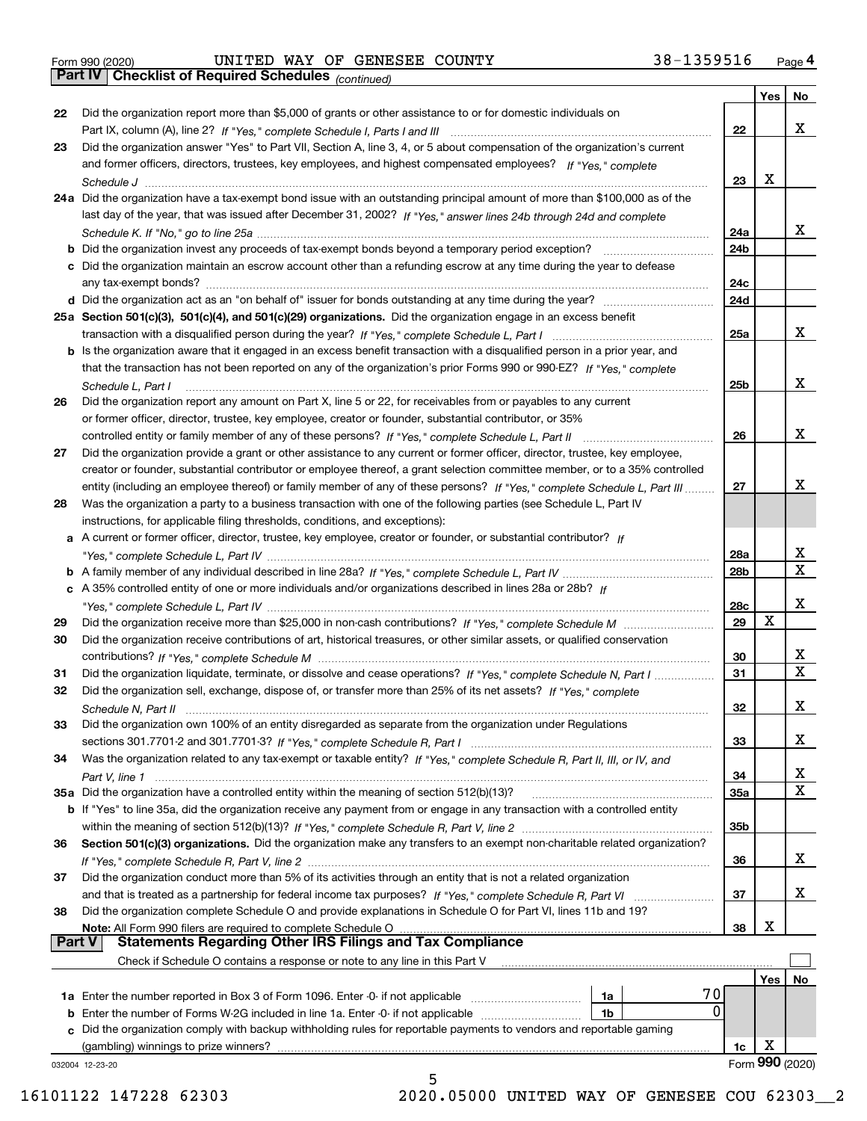Form 990 (2020) Page **4Part IV Checklist of Required Schedules** UNITED WAY OF GENESEE COUNTY 38-1359516

*(continued)*

|               |                                                                                                                                   |                 | Yes        | No                |
|---------------|-----------------------------------------------------------------------------------------------------------------------------------|-----------------|------------|-------------------|
| 22            | Did the organization report more than \$5,000 of grants or other assistance to or for domestic individuals on                     |                 |            |                   |
|               |                                                                                                                                   | 22              |            | x                 |
| 23            | Did the organization answer "Yes" to Part VII, Section A, line 3, 4, or 5 about compensation of the organization's current        |                 |            |                   |
|               | and former officers, directors, trustees, key employees, and highest compensated employees? If "Yes," complete                    |                 |            |                   |
|               |                                                                                                                                   | 23              | X          |                   |
|               | 24a Did the organization have a tax-exempt bond issue with an outstanding principal amount of more than \$100,000 as of the       |                 |            |                   |
|               | last day of the year, that was issued after December 31, 2002? If "Yes," answer lines 24b through 24d and complete                |                 |            |                   |
|               |                                                                                                                                   | 24a             |            | x                 |
|               | b Did the organization invest any proceeds of tax-exempt bonds beyond a temporary period exception?                               | 24b             |            |                   |
|               | c Did the organization maintain an escrow account other than a refunding escrow at any time during the year to defease            |                 |            |                   |
|               | any tax-exempt bonds?                                                                                                             | 24c             |            |                   |
|               | d Did the organization act as an "on behalf of" issuer for bonds outstanding at any time during the year?                         | 24d             |            |                   |
|               | 25a Section 501(c)(3), 501(c)(4), and 501(c)(29) organizations. Did the organization engage in an excess benefit                  |                 |            |                   |
|               |                                                                                                                                   | 25a             |            | x                 |
|               | b Is the organization aware that it engaged in an excess benefit transaction with a disqualified person in a prior year, and      |                 |            |                   |
|               | that the transaction has not been reported on any of the organization's prior Forms 990 or 990-EZ? If "Yes," complete             |                 |            |                   |
|               |                                                                                                                                   |                 |            | x                 |
|               | Schedule L, Part I                                                                                                                | 25b             |            |                   |
| 26            | Did the organization report any amount on Part X, line 5 or 22, for receivables from or payables to any current                   |                 |            |                   |
|               | or former officer, director, trustee, key employee, creator or founder, substantial contributor, or 35%                           |                 |            |                   |
|               |                                                                                                                                   | 26              |            | х                 |
| 27            | Did the organization provide a grant or other assistance to any current or former officer, director, trustee, key employee,       |                 |            |                   |
|               | creator or founder, substantial contributor or employee thereof, a grant selection committee member, or to a 35% controlled       |                 |            |                   |
|               | entity (including an employee thereof) or family member of any of these persons? If "Yes," complete Schedule L, Part III          | 27              |            | х                 |
| 28            | Was the organization a party to a business transaction with one of the following parties (see Schedule L, Part IV                 |                 |            |                   |
|               | instructions, for applicable filing thresholds, conditions, and exceptions):                                                      |                 |            |                   |
|               | a A current or former officer, director, trustee, key employee, creator or founder, or substantial contributor? If                |                 |            |                   |
|               |                                                                                                                                   | 28a             |            | x<br>$\mathbf{x}$ |
|               |                                                                                                                                   | 28 <sub>b</sub> |            |                   |
|               | c A 35% controlled entity of one or more individuals and/or organizations described in lines 28a or 28b? If                       |                 |            | х                 |
|               |                                                                                                                                   | 28c             | х          |                   |
| 29            |                                                                                                                                   | 29              |            |                   |
| 30            | Did the organization receive contributions of art, historical treasures, or other similar assets, or qualified conservation       |                 |            |                   |
|               |                                                                                                                                   | 30              |            | x<br>$\mathbf x$  |
| 31            | Did the organization liquidate, terminate, or dissolve and cease operations? If "Yes," complete Schedule N, Part I                | 31              |            |                   |
| 32            | Did the organization sell, exchange, dispose of, or transfer more than 25% of its net assets? If "Yes," complete                  |                 |            |                   |
|               | Schedule N, Part II                                                                                                               | 32              |            | х                 |
| 33            | Did the organization own 100% of an entity disregarded as separate from the organization under Regulations                        |                 |            |                   |
|               |                                                                                                                                   | 33              |            | х                 |
| 34            | Was the organization related to any tax-exempt or taxable entity? If "Yes," complete Schedule R, Part II, III, or IV, and         |                 |            |                   |
|               |                                                                                                                                   | 34              |            | X<br>X            |
|               | 35a Did the organization have a controlled entity within the meaning of section 512(b)(13)?                                       | 35a             |            |                   |
|               | b If "Yes" to line 35a, did the organization receive any payment from or engage in any transaction with a controlled entity       |                 |            |                   |
|               |                                                                                                                                   | 35b             |            |                   |
| 36            | Section 501(c)(3) organizations. Did the organization make any transfers to an exempt non-charitable related organization?        |                 |            |                   |
|               |                                                                                                                                   | 36              |            | x                 |
| 37            | Did the organization conduct more than 5% of its activities through an entity that is not a related organization                  |                 |            |                   |
|               | and that is treated as a partnership for federal income tax purposes? If "Yes," complete Schedule R, Part VI                      | 37              |            | x                 |
| 38            | Did the organization complete Schedule O and provide explanations in Schedule O for Part VI, lines 11b and 19?                    | 38              | х          |                   |
| <b>Part V</b> | Note: All Form 990 filers are required to complete Schedule O<br><b>Statements Regarding Other IRS Filings and Tax Compliance</b> |                 |            |                   |
|               | Check if Schedule O contains a response or note to any line in this Part V                                                        |                 |            |                   |
|               |                                                                                                                                   |                 | <b>Yes</b> | No                |
|               | 70<br><b>1a</b> Enter the number reported in Box 3 of Form 1096. Enter -0- if not applicable <i>manumumumum</i><br>1a             |                 |            |                   |
|               | 0<br><b>b</b> Enter the number of Forms W-2G included in line 1a. Enter -0- if not applicable <i>manumumumum</i><br>1b            |                 |            |                   |
|               | c Did the organization comply with backup withholding rules for reportable payments to vendors and reportable gaming              |                 |            |                   |
|               | (gambling) winnings to prize winners?                                                                                             | 1c              | х          |                   |
|               | 032004 12-23-20                                                                                                                   |                 |            | Form 990 (2020)   |
|               | 5                                                                                                                                 |                 |            |                   |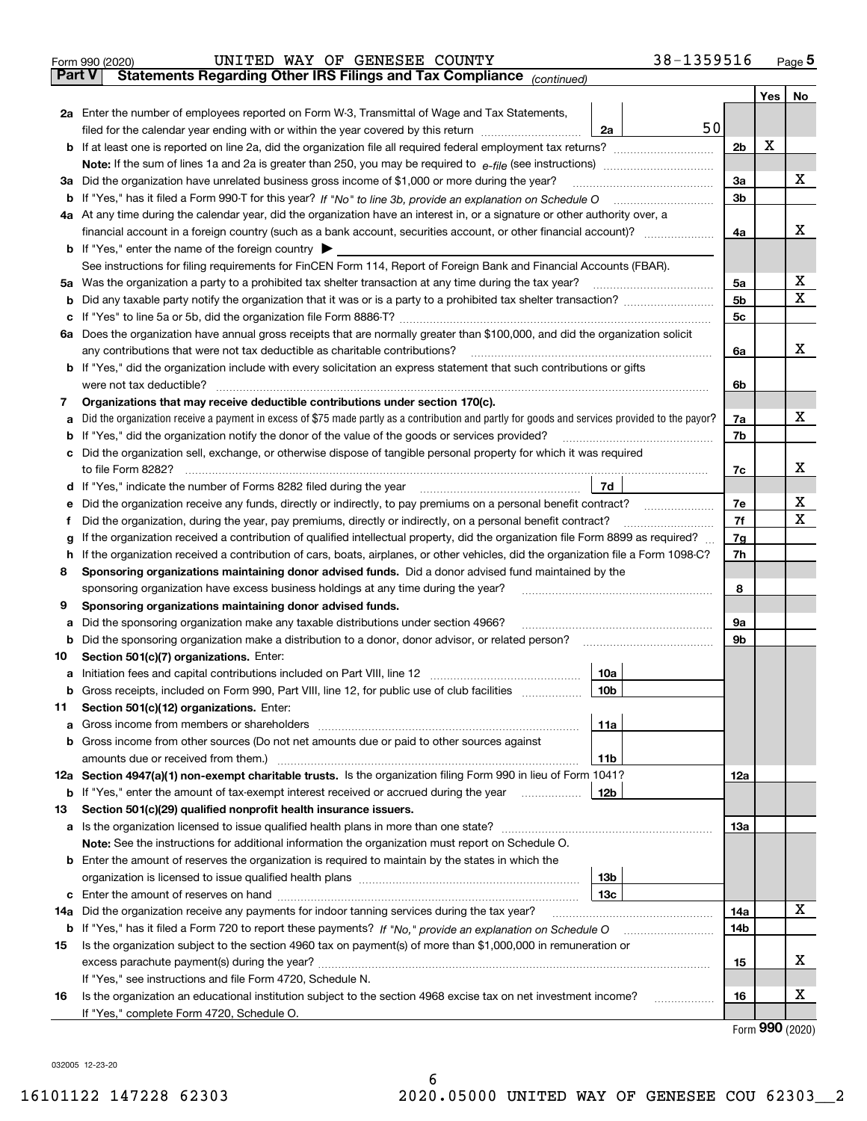| Part V | 38-1359516<br>UNITED WAY OF GENESEE COUNTY<br>Form 990 (2020)<br>Statements Regarding Other IRS Filings and Tax Compliance (continued)          |                |     | Page $5$ |
|--------|-------------------------------------------------------------------------------------------------------------------------------------------------|----------------|-----|----------|
|        |                                                                                                                                                 |                | Yes | No       |
|        | 2a Enter the number of employees reported on Form W-3, Transmittal of Wage and Tax Statements,                                                  |                |     |          |
|        | filed for the calendar year ending with or within the year covered by this return <i>manumumumum</i><br>2a                                      | 50             |     |          |
|        |                                                                                                                                                 | 2 <sub>b</sub> | х   |          |
|        |                                                                                                                                                 |                |     |          |
|        | 3a Did the organization have unrelated business gross income of \$1,000 or more during the year?                                                | 3a             |     | x        |
|        |                                                                                                                                                 | 3b             |     |          |
|        | 4a At any time during the calendar year, did the organization have an interest in, or a signature or other authority over, a                    |                |     |          |
|        | financial account in a foreign country (such as a bank account, securities account, or other financial account)?                                | 4a             |     | x        |
|        | <b>b</b> If "Yes," enter the name of the foreign country $\blacktriangleright$                                                                  |                |     |          |
|        | See instructions for filing requirements for FinCEN Form 114, Report of Foreign Bank and Financial Accounts (FBAR).                             |                |     |          |
|        | 5a Was the organization a party to a prohibited tax shelter transaction at any time during the tax year?                                        | 5a             |     | X        |
| b      |                                                                                                                                                 | 5 <sub>b</sub> |     | X        |
| с      |                                                                                                                                                 | 5c             |     |          |
|        | 6a Does the organization have annual gross receipts that are normally greater than \$100,000, and did the organization solicit                  |                |     |          |
|        | any contributions that were not tax deductible as charitable contributions?                                                                     | 6a             |     | x        |
|        | b If "Yes," did the organization include with every solicitation an express statement that such contributions or gifts                          |                |     |          |
|        | were not tax deductible?                                                                                                                        | 6b             |     |          |
| 7      | Organizations that may receive deductible contributions under section 170(c).                                                                   |                |     |          |
| а      | Did the organization receive a payment in excess of \$75 made partly as a contribution and partly for goods and services provided to the payor? | 7a             |     | x        |
| b      | If "Yes," did the organization notify the donor of the value of the goods or services provided?                                                 | 7b             |     |          |
| c      | Did the organization sell, exchange, or otherwise dispose of tangible personal property for which it was required                               |                |     |          |
|        | to file Form 8282?                                                                                                                              | 7с             |     | х        |
|        | 7d<br>d If "Yes," indicate the number of Forms 8282 filed during the year                                                                       |                |     |          |
| е      | Did the organization receive any funds, directly or indirectly, to pay premiums on a personal benefit contract?                                 | 7e             |     | х        |
| f      | Did the organization, during the year, pay premiums, directly or indirectly, on a personal benefit contract?                                    | 7f             |     | X        |
| g      | If the organization received a contribution of qualified intellectual property, did the organization file Form 8899 as required?                | 7g             |     |          |
| h      | If the organization received a contribution of cars, boats, airplanes, or other vehicles, did the organization file a Form 1098-C?              | 7h             |     |          |
| 8      | Sponsoring organizations maintaining donor advised funds. Did a donor advised fund maintained by the                                            |                |     |          |
|        | sponsoring organization have excess business holdings at any time during the year?                                                              | 8              |     |          |
| 9      | Sponsoring organizations maintaining donor advised funds.                                                                                       |                |     |          |
| а      | Did the sponsoring organization make any taxable distributions under section 4966?                                                              | <b>9a</b>      |     |          |
| b      | Did the sponsoring organization make a distribution to a donor, donor advisor, or related person?                                               | 9b             |     |          |
| 10     | Section 501(c)(7) organizations. Enter:                                                                                                         |                |     |          |
|        | 10a                                                                                                                                             |                |     |          |
| b      | Gross receipts, included on Form 990, Part VIII, line 12, for public use of club facilities<br>10b<br>Section 501(c)(12) organizations. Enter:  |                |     |          |
| 11     | 11a                                                                                                                                             |                |     |          |
| а<br>b | Gross income from other sources (Do not net amounts due or paid to other sources against                                                        |                |     |          |
|        | 11 <sub>b</sub>                                                                                                                                 |                |     |          |
| 12a    | Section 4947(a)(1) non-exempt charitable trusts. Is the organization filing Form 990 in lieu of Form 1041?                                      | 12a            |     |          |
| b      | If "Yes," enter the amount of tax-exempt interest received or accrued during the year<br>12b                                                    |                |     |          |
| 13     | Section 501(c)(29) qualified nonprofit health insurance issuers.                                                                                |                |     |          |
| а      |                                                                                                                                                 | 13a            |     |          |
|        | Note: See the instructions for additional information the organization must report on Schedule O.                                               |                |     |          |
|        | <b>b</b> Enter the amount of reserves the organization is required to maintain by the states in which the                                       |                |     |          |
|        | 13 <sub>b</sub>                                                                                                                                 |                |     |          |
| c      | 13с                                                                                                                                             |                |     |          |
| 14a    | Did the organization receive any payments for indoor tanning services during the tax year?                                                      | 14a            |     | х        |
| b      |                                                                                                                                                 | 14b            |     |          |
| 15     | Is the organization subject to the section 4960 tax on payment(s) of more than \$1,000,000 in remuneration or                                   |                |     |          |
|        |                                                                                                                                                 | 15             |     | х        |
|        | If "Yes," see instructions and file Form 4720, Schedule N.                                                                                      |                |     |          |
| 16     | Is the organization an educational institution subject to the section 4968 excise tax on net investment income?<br>.                            | 16             |     | х        |
|        | If "Yes," complete Form 4720, Schedule O.                                                                                                       |                |     |          |

Form (2020) **990**

032005 12-23-20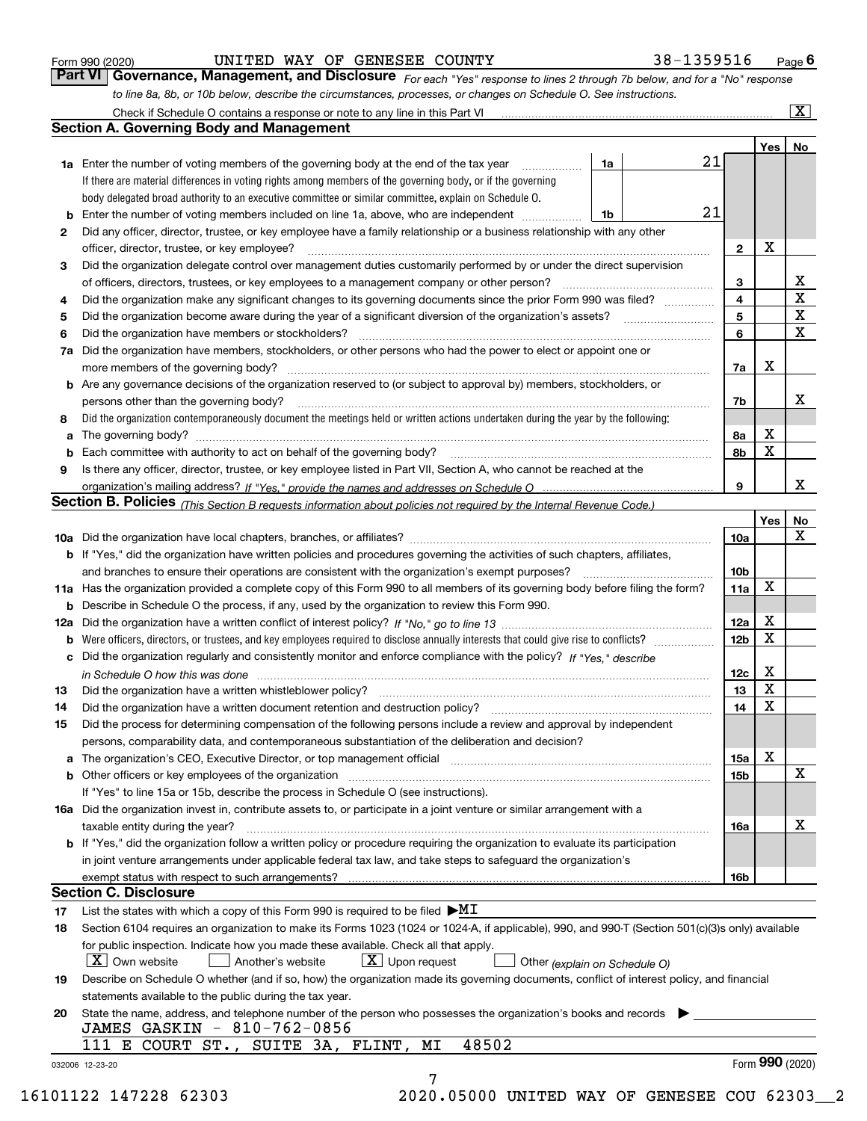|  | Form 990 (2020) |
|--|-----------------|
|  |                 |

UNITED WAY OF GENESEE COUNTY 38-1359516

*For each "Yes" response to lines 2 through 7b below, and for a "No" response to line 8a, 8b, or 10b below, describe the circumstances, processes, or changes on Schedule O. See instructions.* Form 990 (2020) **CONFIGE BOOT THE STATE OF SENESEE COUNTY** 1989-1359516 Page 6<br>**Part VI Governance, Management, and Disclosure** For each "Yes" response to lines 2 through 7b below, and for a "No" response

|    |                                                                                                                                                                               |    |  |    |                         | Yes             | No                      |  |  |  |  |  |
|----|-------------------------------------------------------------------------------------------------------------------------------------------------------------------------------|----|--|----|-------------------------|-----------------|-------------------------|--|--|--|--|--|
|    | <b>1a</b> Enter the number of voting members of the governing body at the end of the tax year                                                                                 | 1a |  | 21 |                         |                 |                         |  |  |  |  |  |
|    | If there are material differences in voting rights among members of the governing body, or if the governing                                                                   |    |  |    |                         |                 |                         |  |  |  |  |  |
|    | body delegated broad authority to an executive committee or similar committee, explain on Schedule O.                                                                         |    |  |    |                         |                 |                         |  |  |  |  |  |
| b  | Enter the number of voting members included on line 1a, above, who are independent                                                                                            | 1b |  | 21 |                         |                 |                         |  |  |  |  |  |
| 2  | Did any officer, director, trustee, or key employee have a family relationship or a business relationship with any other                                                      |    |  |    |                         |                 |                         |  |  |  |  |  |
|    | officer, director, trustee, or key employee?                                                                                                                                  |    |  |    | $\mathbf{2}$            | X               |                         |  |  |  |  |  |
| З  | Did the organization delegate control over management duties customarily performed by or under the direct supervision                                                         |    |  |    |                         |                 |                         |  |  |  |  |  |
|    | of officers, directors, trustees, or key employees to a management company or other person?                                                                                   |    |  |    | 3                       |                 | X                       |  |  |  |  |  |
| 4  | Did the organization make any significant changes to its governing documents since the prior Form 990 was filed?                                                              |    |  |    | $\overline{\mathbf{4}}$ |                 | $\overline{\mathtt{x}}$ |  |  |  |  |  |
| 5  |                                                                                                                                                                               |    |  |    | 5                       |                 | $\overline{\textbf{X}}$ |  |  |  |  |  |
| 6  | Did the organization have members or stockholders?                                                                                                                            |    |  |    | 6                       |                 | $\overline{\mathbf{x}}$ |  |  |  |  |  |
| 7a | Did the organization have members, stockholders, or other persons who had the power to elect or appoint one or                                                                |    |  |    |                         |                 |                         |  |  |  |  |  |
|    |                                                                                                                                                                               |    |  |    | 7a                      | Х               |                         |  |  |  |  |  |
|    | <b>b</b> Are any governance decisions of the organization reserved to (or subject to approval by) members, stockholders, or                                                   |    |  |    |                         |                 |                         |  |  |  |  |  |
|    | persons other than the governing body?                                                                                                                                        |    |  |    | 7b                      |                 | х                       |  |  |  |  |  |
| 8  | Did the organization contemporaneously document the meetings held or written actions undertaken during the year by the following:                                             |    |  |    |                         |                 |                         |  |  |  |  |  |
| a  |                                                                                                                                                                               |    |  |    | 8а                      | X               |                         |  |  |  |  |  |
| b  |                                                                                                                                                                               |    |  |    | 8b                      | X               |                         |  |  |  |  |  |
| 9  | Is there any officer, director, trustee, or key employee listed in Part VII, Section A, who cannot be reached at the                                                          |    |  |    |                         |                 |                         |  |  |  |  |  |
|    |                                                                                                                                                                               |    |  |    | 9                       |                 | X                       |  |  |  |  |  |
|    | Section B. Policies (This Section B requests information about policies not required by the Internal Revenue Code.)                                                           |    |  |    |                         |                 |                         |  |  |  |  |  |
|    |                                                                                                                                                                               |    |  |    |                         | Yes             | No                      |  |  |  |  |  |
|    |                                                                                                                                                                               |    |  |    | 10a                     |                 | X                       |  |  |  |  |  |
|    |                                                                                                                                                                               |    |  |    |                         |                 |                         |  |  |  |  |  |
|    | <b>b</b> If "Yes," did the organization have written policies and procedures governing the activities of such chapters, affiliates,                                           |    |  |    |                         |                 |                         |  |  |  |  |  |
|    |                                                                                                                                                                               |    |  |    | 10 <sub>b</sub>         | X               |                         |  |  |  |  |  |
|    | 11a Has the organization provided a complete copy of this Form 990 to all members of its governing body before filing the form?                                               |    |  |    | 11a                     |                 |                         |  |  |  |  |  |
|    | <b>b</b> Describe in Schedule O the process, if any, used by the organization to review this Form 990.                                                                        |    |  |    |                         |                 |                         |  |  |  |  |  |
|    |                                                                                                                                                                               |    |  |    | 12a                     | X               |                         |  |  |  |  |  |
| b  |                                                                                                                                                                               |    |  |    | 12 <sub>b</sub>         | X               |                         |  |  |  |  |  |
|    | c Did the organization regularly and consistently monitor and enforce compliance with the policy? If "Yes," describe                                                          |    |  |    |                         |                 |                         |  |  |  |  |  |
|    | in Schedule O how this was done manufactured and continuum control of the Schedule O how this was done manufactured and continuum control of the Schedule O how this was done |    |  |    | 12c                     | X               |                         |  |  |  |  |  |
| 13 |                                                                                                                                                                               |    |  |    | 13                      | X               |                         |  |  |  |  |  |
| 14 |                                                                                                                                                                               |    |  |    | 14                      | X               |                         |  |  |  |  |  |
| 15 | Did the process for determining compensation of the following persons include a review and approval by independent                                                            |    |  |    |                         |                 |                         |  |  |  |  |  |
|    | persons, comparability data, and contemporaneous substantiation of the deliberation and decision?                                                                             |    |  |    |                         |                 |                         |  |  |  |  |  |
|    |                                                                                                                                                                               |    |  |    | 15a                     | х               |                         |  |  |  |  |  |
|    |                                                                                                                                                                               |    |  |    | 15b                     |                 | $\mathbf X$             |  |  |  |  |  |
|    | If "Yes" to line 15a or 15b, describe the process in Schedule O (see instructions).                                                                                           |    |  |    |                         |                 |                         |  |  |  |  |  |
|    | 16a Did the organization invest in, contribute assets to, or participate in a joint venture or similar arrangement with a                                                     |    |  |    |                         |                 |                         |  |  |  |  |  |
|    | taxable entity during the year?                                                                                                                                               |    |  |    | 16a                     |                 | X                       |  |  |  |  |  |
|    | b If "Yes," did the organization follow a written policy or procedure requiring the organization to evaluate its participation                                                |    |  |    |                         |                 |                         |  |  |  |  |  |
|    | in joint venture arrangements under applicable federal tax law, and take steps to safeguard the organization's                                                                |    |  |    |                         |                 |                         |  |  |  |  |  |
|    | exempt status with respect to such arrangements?                                                                                                                              |    |  |    | 16b                     |                 |                         |  |  |  |  |  |
|    | <b>Section C. Disclosure</b>                                                                                                                                                  |    |  |    |                         |                 |                         |  |  |  |  |  |
| 17 | List the states with which a copy of this Form 990 is required to be filed $\blacktriangleright\text{MI}$                                                                     |    |  |    |                         |                 |                         |  |  |  |  |  |
| 18 | Section 6104 requires an organization to make its Forms 1023 (1024 or 1024-A, if applicable), 990, and 990-T (Section 501(c)(3)s only) available                              |    |  |    |                         |                 |                         |  |  |  |  |  |
|    | for public inspection. Indicate how you made these available. Check all that apply.                                                                                           |    |  |    |                         |                 |                         |  |  |  |  |  |
|    | $X$ Upon request<br>$\mid$ $\rm X\mid$ Own website<br>Another's website<br>Other (explain on Schedule O)                                                                      |    |  |    |                         |                 |                         |  |  |  |  |  |
| 19 | Describe on Schedule O whether (and if so, how) the organization made its governing documents, conflict of interest policy, and financial                                     |    |  |    |                         |                 |                         |  |  |  |  |  |
|    | statements available to the public during the tax year.                                                                                                                       |    |  |    |                         |                 |                         |  |  |  |  |  |
| 20 | State the name, address, and telephone number of the person who possesses the organization's books and records                                                                |    |  |    |                         |                 |                         |  |  |  |  |  |
|    | JAMES GASKIN - 810-762-0856                                                                                                                                                   |    |  |    |                         |                 |                         |  |  |  |  |  |
|    | 48502<br>E COURT ST., SUITE 3A, FLINT,<br>111<br>MΙ                                                                                                                           |    |  |    |                         |                 |                         |  |  |  |  |  |
|    |                                                                                                                                                                               |    |  |    |                         | Form 990 (2020) |                         |  |  |  |  |  |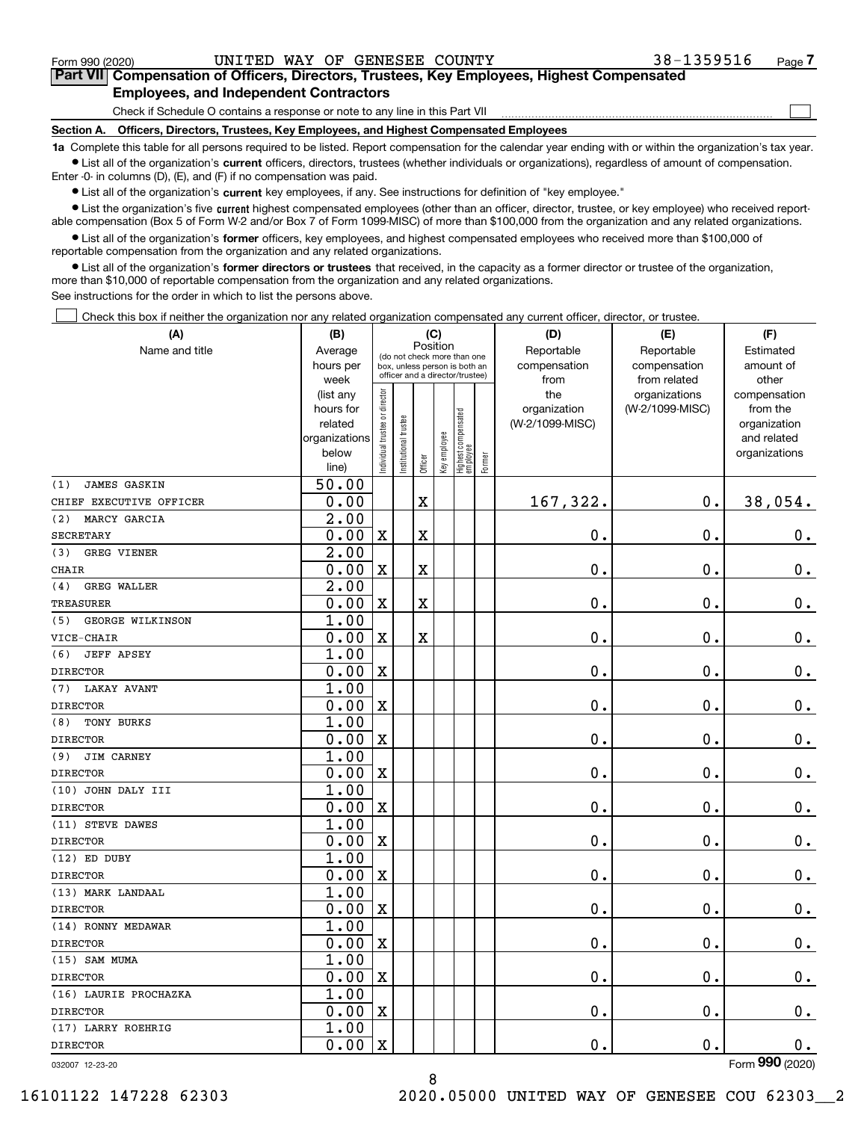$\mathcal{L}^{\text{max}}$ 

# **7Part VII Compensation of Officers, Directors, Trustees, Key Employees, Highest Compensated Employees, and Independent Contractors**

Check if Schedule O contains a response or note to any line in this Part VII

**Section A. Officers, Directors, Trustees, Key Employees, and Highest Compensated Employees**

**1a**  Complete this table for all persons required to be listed. Report compensation for the calendar year ending with or within the organization's tax year. **•** List all of the organization's current officers, directors, trustees (whether individuals or organizations), regardless of amount of compensation.

Enter -0- in columns (D), (E), and (F) if no compensation was paid.

 $\bullet$  List all of the organization's  $\,$ current key employees, if any. See instructions for definition of "key employee."

**•** List the organization's five current highest compensated employees (other than an officer, director, trustee, or key employee) who received reportable compensation (Box 5 of Form W-2 and/or Box 7 of Form 1099-MISC) of more than \$100,000 from the organization and any related organizations.

**•** List all of the organization's former officers, key employees, and highest compensated employees who received more than \$100,000 of reportable compensation from the organization and any related organizations.

**former directors or trustees**  ¥ List all of the organization's that received, in the capacity as a former director or trustee of the organization, more than \$10,000 of reportable compensation from the organization and any related organizations.

See instructions for the order in which to list the persons above.

Check this box if neither the organization nor any related organization compensated any current officer, director, or trustee.  $\mathcal{L}^{\text{max}}$ 

| (A)                            | (B)               |                               |                                                                  | (C)         |              |                                  |              | (D)             | (E)                           | (F)                   |
|--------------------------------|-------------------|-------------------------------|------------------------------------------------------------------|-------------|--------------|----------------------------------|--------------|-----------------|-------------------------------|-----------------------|
| Name and title                 | Average           |                               | Position<br>(do not check more than one                          |             | Reportable   | Reportable                       | Estimated    |                 |                               |                       |
|                                | hours per         |                               | box, unless person is both an<br>officer and a director/trustee) |             |              | compensation                     | compensation | amount of       |                               |                       |
|                                | week<br>(list any |                               |                                                                  |             |              |                                  |              | from<br>the     | from related<br>organizations | other<br>compensation |
|                                | hours for         |                               |                                                                  |             |              |                                  |              | organization    | (W-2/1099-MISC)               | from the              |
|                                | related           |                               |                                                                  |             |              |                                  |              | (W-2/1099-MISC) |                               | organization          |
|                                | organizations     |                               |                                                                  |             |              |                                  |              |                 |                               | and related           |
|                                | below             | ndividual trustee or director | nstitutional trustee                                             |             | Key employee | Highest compensated<br> employee |              |                 |                               | organizations         |
|                                | line)             |                               |                                                                  | Officer     |              |                                  | Former       |                 |                               |                       |
| (1)<br><b>JAMES GASKIN</b>     | 50.00             |                               |                                                                  |             |              |                                  |              |                 |                               |                       |
| CHIEF EXECUTIVE OFFICER        | 0.00              |                               |                                                                  | $\mathbf x$ |              |                                  |              | 167,322.        | $0$ .                         | 38,054.               |
| (2)<br>MARCY GARCIA            | 2.00              |                               |                                                                  |             |              |                                  |              |                 |                               |                       |
| <b>SECRETARY</b>               | 0.00              | $\overline{\mathbf{X}}$       |                                                                  | $\mathbf X$ |              |                                  |              | 0.              | $\mathbf 0$ .                 | 0.                    |
| GREG VIENER<br>(3)             | $\overline{2.00}$ |                               |                                                                  |             |              |                                  |              |                 |                               |                       |
| <b>CHAIR</b>                   | 0.00              | $\mathbf X$                   |                                                                  | $\mathbf X$ |              |                                  |              | 0.              | 0.                            | $0_{.}$               |
| (4)<br><b>GREG WALLER</b>      | $\overline{2.00}$ |                               |                                                                  |             |              |                                  |              |                 |                               |                       |
| <b>TREASURER</b>               | 0.00              | $\overline{\text{X}}$         |                                                                  | $\rm X$     |              |                                  |              | 0.              | 0.                            | $0_{.}$               |
| <b>GEORGE WILKINSON</b><br>(5) | 1.00              |                               |                                                                  |             |              |                                  |              |                 |                               |                       |
| VICE-CHAIR                     | 0.00              | $\mathbf x$                   |                                                                  | $\rm X$     |              |                                  |              | 0.              | $\mathbf 0$ .                 | $0_{.}$               |
| <b>JEFF APSEY</b><br>(6)       | 1.00              |                               |                                                                  |             |              |                                  |              |                 |                               |                       |
| <b>DIRECTOR</b>                | 0.00              | $\bar{\mathbf{X}}$            |                                                                  |             |              |                                  |              | 0.              | $\mathbf 0$ .                 | $\mathbf 0$ .         |
| <b>LAKAY AVANT</b><br>(7)      | 1.00              |                               |                                                                  |             |              |                                  |              |                 |                               |                       |
| <b>DIRECTOR</b>                | 0.00              | $\mathbf x$                   |                                                                  |             |              |                                  |              | 0.              | $\mathbf 0$ .                 | $\mathbf 0$ .         |
| TONY BURKS<br>(8)              | 1.00              |                               |                                                                  |             |              |                                  |              |                 |                               |                       |
| <b>DIRECTOR</b>                | 0.00              | $\overline{\textbf{X}}$       |                                                                  |             |              |                                  |              | 0.              | $\mathbf 0$ .                 | $\mathbf 0$ .         |
| JIM CARNEY<br>(9)              | 1.00              |                               |                                                                  |             |              |                                  |              |                 |                               |                       |
| <b>DIRECTOR</b>                | 0.00              | $\mathbf X$                   |                                                                  |             |              |                                  |              | 0.              | $\mathbf 0$ .                 | $\mathbf 0$ .         |
| (10) JOHN DALY III             | 1.00              |                               |                                                                  |             |              |                                  |              |                 |                               |                       |
| <b>DIRECTOR</b>                | 0.00              | $\overline{\textbf{X}}$       |                                                                  |             |              |                                  |              | 0.              | $\mathbf 0$ .                 | 0.                    |
| (11) STEVE DAWES               | 1.00              |                               |                                                                  |             |              |                                  |              |                 |                               |                       |
| <b>DIRECTOR</b>                | 0.00              | $\mathbf X$                   |                                                                  |             |              |                                  |              | 0.              | $\mathbf 0$ .                 | $0_{.}$               |
| (12) ED DUBY                   | 1.00              |                               |                                                                  |             |              |                                  |              |                 |                               |                       |
| <b>DIRECTOR</b>                | 0.00              | $\overline{\textbf{X}}$       |                                                                  |             |              |                                  |              | 0.              | $\mathbf 0$ .                 | $\mathbf 0$ .         |
| (13) MARK LANDAAL              | 1.00              |                               |                                                                  |             |              |                                  |              |                 |                               |                       |
| <b>DIRECTOR</b>                | 0.00              | $\mathbf X$                   |                                                                  |             |              |                                  |              | 0.              | $\mathbf 0$ .                 | $\mathbf 0$ .         |
| (14) RONNY MEDAWAR             | 1.00              |                               |                                                                  |             |              |                                  |              |                 |                               |                       |
| <b>DIRECTOR</b>                | 0.00              | $\bar{\mathbf{X}}$            |                                                                  |             |              |                                  |              | 0.              | $\mathbf 0$ .                 | $\mathbf 0$ .         |
| (15) SAM MUMA                  | 1.00              |                               |                                                                  |             |              |                                  |              |                 |                               |                       |
| <b>DIRECTOR</b>                | 0.00              | $\mathbf X$                   |                                                                  |             |              |                                  |              | 0.              | $\mathbf 0$ .                 | $\mathbf 0$ .         |
| (16) LAURIE PROCHAZKA          | 1.00              |                               |                                                                  |             |              |                                  |              |                 |                               |                       |
| <b>DIRECTOR</b>                | 0.00              | $\mathbf X$                   |                                                                  |             |              |                                  |              | 0.              | $\mathbf 0$ .                 | $\mathbf 0$ .         |
| (17) LARRY ROEHRIG             | 1.00              |                               |                                                                  |             |              |                                  |              |                 |                               |                       |
| <b>DIRECTOR</b>                | 0.00              | $\mathbf X$                   |                                                                  |             |              |                                  |              | 0.              | $\mathbf{0}$ .                | 0.                    |
|                                |                   |                               |                                                                  |             |              |                                  |              |                 |                               |                       |

8

032007 12-23-20

Form (2020) **990**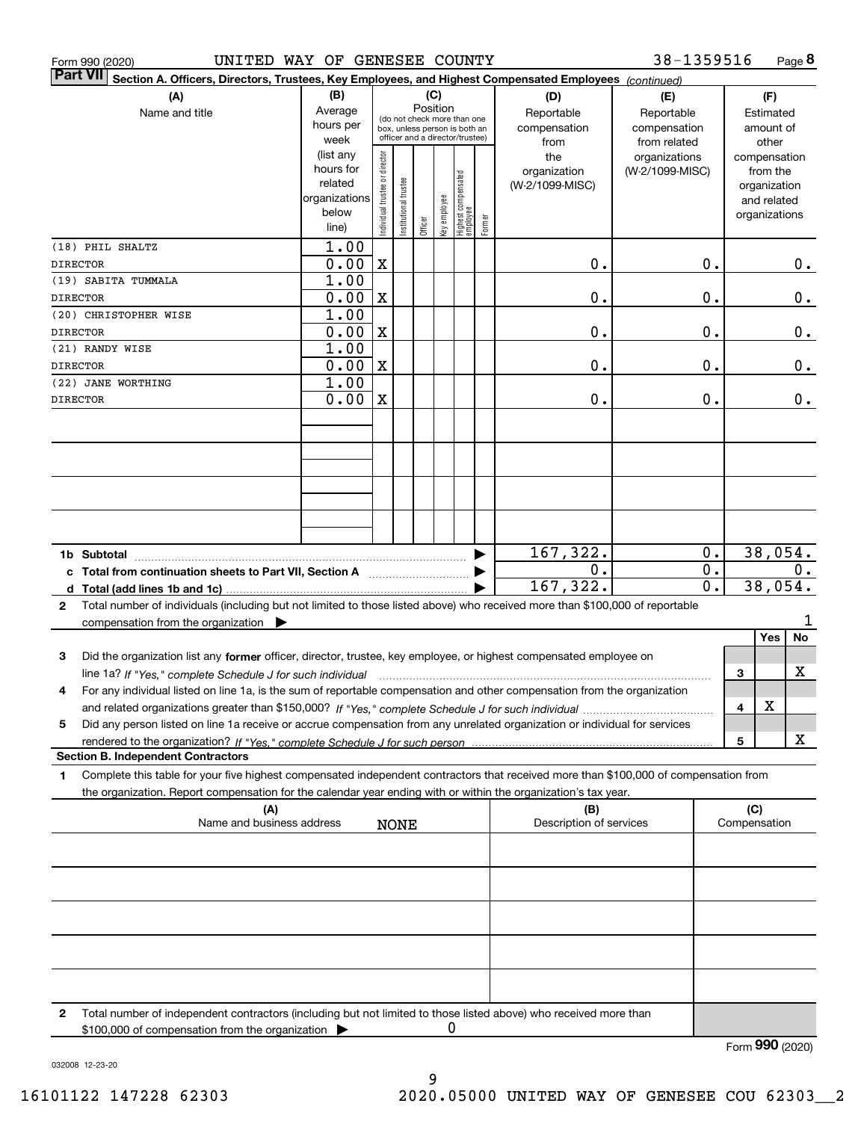|                 | Form 990 (2020)                                                                                                                         | UNITED WAY OF GENESEE COUNTY |                                |                      |          |              |                                                              |        |                         | 38-1359516       |   |                 | Page 8 |
|-----------------|-----------------------------------------------------------------------------------------------------------------------------------------|------------------------------|--------------------------------|----------------------|----------|--------------|--------------------------------------------------------------|--------|-------------------------|------------------|---|-----------------|--------|
| <b>Part VII</b> | Section A. Officers, Directors, Trustees, Key Employees, and Highest Compensated Employees (continued)                                  |                              |                                |                      |          |              |                                                              |        |                         |                  |   |                 |        |
|                 | (A)                                                                                                                                     | (B)                          |                                |                      | (C)      |              |                                                              |        | (D)                     | (E)              |   | (F)             |        |
|                 | Name and title                                                                                                                          | Average                      |                                |                      | Position |              |                                                              |        | Reportable              | Reportable       |   | Estimated       |        |
|                 |                                                                                                                                         | hours per                    |                                |                      |          |              | (do not check more than one<br>box, unless person is both an |        | compensation            | compensation     |   | amount of       |        |
|                 |                                                                                                                                         | week                         |                                |                      |          |              | officer and a director/trustee)                              |        | from                    | from related     |   | other           |        |
|                 |                                                                                                                                         | (list any                    |                                |                      |          |              |                                                              |        | the                     | organizations    |   | compensation    |        |
|                 |                                                                                                                                         | hours for                    |                                |                      |          |              |                                                              |        | organization            | (W-2/1099-MISC)  |   | from the        |        |
|                 |                                                                                                                                         | related                      |                                |                      |          |              |                                                              |        | (W-2/1099-MISC)         |                  |   | organization    |        |
|                 |                                                                                                                                         | organizations                |                                |                      |          |              |                                                              |        |                         |                  |   | and related     |        |
|                 |                                                                                                                                         | below<br>line)               | Individual trustee or director | nstitutional trustee | Officer  | Key employee | Highest compensated<br> employee                             | Former |                         |                  |   | organizations   |        |
|                 |                                                                                                                                         |                              |                                |                      |          |              |                                                              |        |                         |                  |   |                 |        |
|                 | (18) PHIL SHALTZ                                                                                                                        | 1.00                         |                                |                      |          |              |                                                              |        |                         |                  |   |                 |        |
| <b>DIRECTOR</b> |                                                                                                                                         | 0.00                         | X                              |                      |          |              |                                                              |        | 0.                      | 0.               |   |                 | 0.     |
|                 | (19) SABITA TUMMALA                                                                                                                     | 1.00                         |                                |                      |          |              |                                                              |        |                         |                  |   |                 |        |
| <b>DIRECTOR</b> |                                                                                                                                         | 0.00                         | X                              |                      |          |              |                                                              |        | 0.                      | 0.               |   |                 | 0.     |
|                 | (20) CHRISTOPHER WISE                                                                                                                   | 1.00                         |                                |                      |          |              |                                                              |        |                         |                  |   |                 |        |
| <b>DIRECTOR</b> |                                                                                                                                         | 0.00                         | X                              |                      |          |              |                                                              |        | 0.                      | 0.               |   |                 | 0.     |
|                 | (21) RANDY WISE                                                                                                                         | 1.00                         |                                |                      |          |              |                                                              |        |                         |                  |   |                 |        |
| <b>DIRECTOR</b> |                                                                                                                                         | 0.00                         | X                              |                      |          |              |                                                              |        | 0.                      | 0.               |   |                 | 0.     |
|                 | (22) JANE WORTHING                                                                                                                      | 1.00                         |                                |                      |          |              |                                                              |        |                         |                  |   |                 |        |
| <b>DIRECTOR</b> |                                                                                                                                         | 0.00                         | X                              |                      |          |              |                                                              |        | 0.                      | 0.               |   |                 | $0$ .  |
|                 |                                                                                                                                         |                              |                                |                      |          |              |                                                              |        |                         |                  |   |                 |        |
|                 |                                                                                                                                         |                              |                                |                      |          |              |                                                              |        |                         |                  |   |                 |        |
|                 |                                                                                                                                         |                              |                                |                      |          |              |                                                              |        |                         |                  |   |                 |        |
|                 |                                                                                                                                         |                              |                                |                      |          |              |                                                              |        |                         |                  |   |                 |        |
|                 |                                                                                                                                         |                              |                                |                      |          |              |                                                              |        |                         |                  |   |                 |        |
|                 |                                                                                                                                         |                              |                                |                      |          |              |                                                              |        |                         |                  |   |                 |        |
|                 |                                                                                                                                         |                              |                                |                      |          |              |                                                              |        |                         |                  |   |                 |        |
|                 |                                                                                                                                         |                              |                                |                      |          |              |                                                              |        |                         |                  |   |                 |        |
|                 |                                                                                                                                         |                              |                                |                      |          |              |                                                              |        | 167,322.                | 0.               |   | 38,054.         |        |
|                 | c Total from continuation sheets to Part VII, Section A                                                                                 |                              |                                |                      |          |              |                                                              |        | 0.                      | $\overline{0}$ . |   |                 | 0.     |
|                 |                                                                                                                                         |                              |                                |                      |          |              |                                                              |        | 167, 322.               | 0.               |   | 38,054.         |        |
| $\mathbf{2}$    | Total number of individuals (including but not limited to those listed above) who received more than \$100,000 of reportable            |                              |                                |                      |          |              |                                                              |        |                         |                  |   |                 |        |
|                 | compensation from the organization $\blacktriangleright$                                                                                |                              |                                |                      |          |              |                                                              |        |                         |                  |   |                 | ı      |
|                 |                                                                                                                                         |                              |                                |                      |          |              |                                                              |        |                         |                  |   | Yes             | No     |
| 3               | Did the organization list any former officer, director, trustee, key employee, or highest compensated employee on                       |                              |                                |                      |          |              |                                                              |        |                         |                  |   |                 |        |
|                 | line 1a? If "Yes," complete Schedule J for such individual manufactured contained and the Yes," complete Schedule J for such individual |                              |                                |                      |          |              |                                                              |        |                         |                  | 3 |                 | X      |
|                 | For any individual listed on line 1a, is the sum of reportable compensation and other compensation from the organization                |                              |                                |                      |          |              |                                                              |        |                         |                  |   |                 |        |
|                 |                                                                                                                                         |                              |                                |                      |          |              |                                                              |        |                         |                  | 4 | X               |        |
| 5               | Did any person listed on line 1a receive or accrue compensation from any unrelated organization or individual for services              |                              |                                |                      |          |              |                                                              |        |                         |                  |   |                 |        |
|                 | rendered to the organization? If "Yes." complete Schedule J for such person                                                             |                              |                                |                      |          |              |                                                              |        |                         |                  | 5 |                 | x      |
|                 | <b>Section B. Independent Contractors</b>                                                                                               |                              |                                |                      |          |              |                                                              |        |                         |                  |   |                 |        |
| 1.              | Complete this table for your five highest compensated independent contractors that received more than \$100,000 of compensation from    |                              |                                |                      |          |              |                                                              |        |                         |                  |   |                 |        |
|                 | the organization. Report compensation for the calendar year ending with or within the organization's tax year.                          |                              |                                |                      |          |              |                                                              |        |                         |                  |   |                 |        |
|                 | (A)                                                                                                                                     |                              |                                |                      |          |              |                                                              |        | (B)                     |                  |   | (C)             |        |
|                 | Name and business address                                                                                                               |                              |                                | <b>NONE</b>          |          |              |                                                              |        | Description of services |                  |   | Compensation    |        |
|                 |                                                                                                                                         |                              |                                |                      |          |              |                                                              |        |                         |                  |   |                 |        |
|                 |                                                                                                                                         |                              |                                |                      |          |              |                                                              |        |                         |                  |   |                 |        |
|                 |                                                                                                                                         |                              |                                |                      |          |              |                                                              |        |                         |                  |   |                 |        |
|                 |                                                                                                                                         |                              |                                |                      |          |              |                                                              |        |                         |                  |   |                 |        |
|                 |                                                                                                                                         |                              |                                |                      |          |              |                                                              |        |                         |                  |   |                 |        |
|                 |                                                                                                                                         |                              |                                |                      |          |              |                                                              |        |                         |                  |   |                 |        |
|                 |                                                                                                                                         |                              |                                |                      |          |              |                                                              |        |                         |                  |   |                 |        |
|                 |                                                                                                                                         |                              |                                |                      |          |              |                                                              |        |                         |                  |   |                 |        |
|                 |                                                                                                                                         |                              |                                |                      |          |              |                                                              |        |                         |                  |   |                 |        |
|                 |                                                                                                                                         |                              |                                |                      |          |              |                                                              |        |                         |                  |   |                 |        |
| 2               | Total number of independent contractors (including but not limited to those listed above) who received more than                        |                              |                                |                      |          |              |                                                              |        |                         |                  |   |                 |        |
|                 | \$100,000 of compensation from the organization                                                                                         |                              |                                |                      |          | 0            |                                                              |        |                         |                  |   |                 |        |
|                 |                                                                                                                                         |                              |                                |                      |          |              |                                                              |        |                         |                  |   | Form 990 (2020) |        |

032008 12-23-20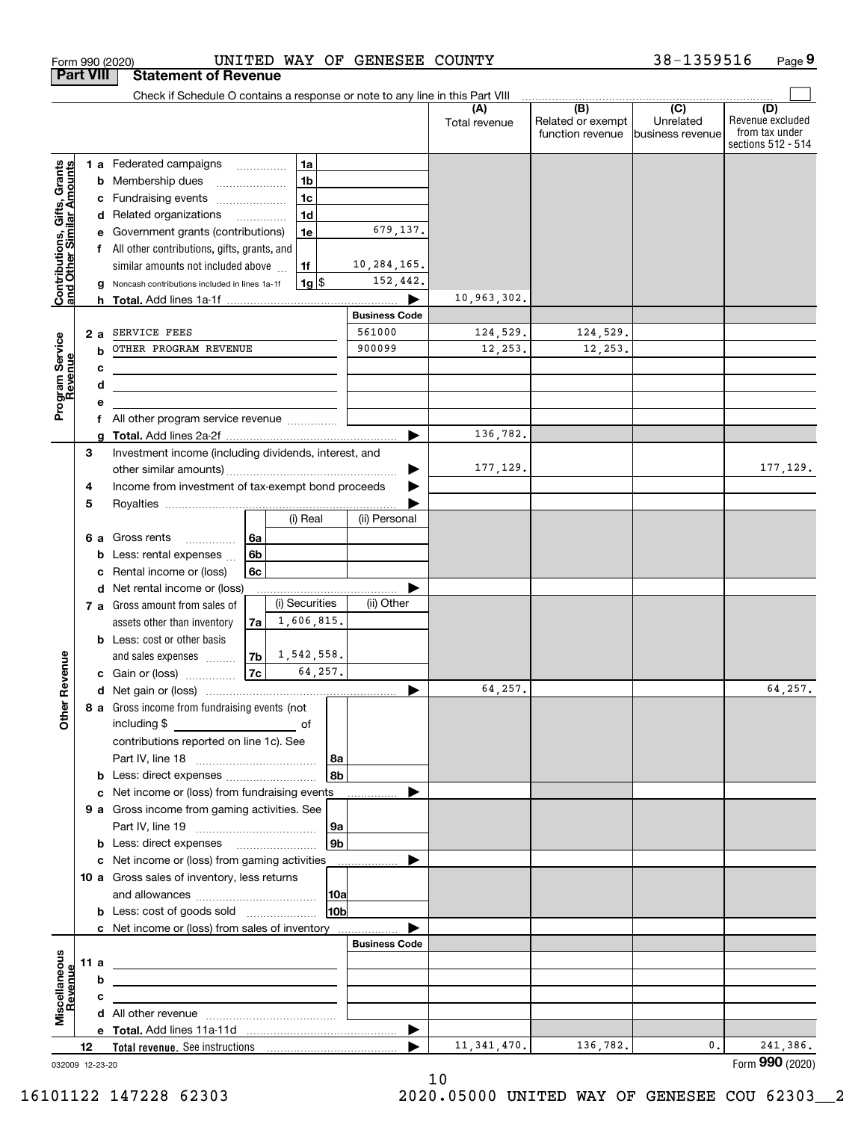|                                                           | <b>Part VIII</b> |        | <b>Statement of Revenue</b>                                                                                           |          |                |                 |                      |                      |                                              |                                                 |                                                                 |
|-----------------------------------------------------------|------------------|--------|-----------------------------------------------------------------------------------------------------------------------|----------|----------------|-----------------|----------------------|----------------------|----------------------------------------------|-------------------------------------------------|-----------------------------------------------------------------|
|                                                           |                  |        | Check if Schedule O contains a response or note to any line in this Part VIII                                         |          |                |                 |                      |                      |                                              |                                                 |                                                                 |
|                                                           |                  |        |                                                                                                                       |          |                |                 |                      | (A)<br>Total revenue | (B)<br>Related or exempt<br>function revenue | $\overline{C}$<br>Unrelated<br>business revenue | (D)<br>Revenue excluded<br>from tax under<br>sections 512 - 514 |
|                                                           |                  |        | 1 a Federated campaigns                                                                                               |          | 1a             |                 |                      |                      |                                              |                                                 |                                                                 |
| Contributions, Gifts, Grants<br>and Other Similar Amounts |                  | b      | Membership dues                                                                                                       |          | 1 <sub>b</sub> |                 |                      |                      |                                              |                                                 |                                                                 |
|                                                           |                  | c      | Fundraising events                                                                                                    |          | 1 <sub>c</sub> |                 |                      |                      |                                              |                                                 |                                                                 |
|                                                           |                  |        | d Related organizations                                                                                               |          | 1 <sub>d</sub> |                 |                      |                      |                                              |                                                 |                                                                 |
|                                                           |                  |        | Government grants (contributions)                                                                                     |          | 1e             |                 | 679,137.             |                      |                                              |                                                 |                                                                 |
|                                                           |                  |        | All other contributions, gifts, grants, and                                                                           |          |                |                 |                      |                      |                                              |                                                 |                                                                 |
|                                                           |                  |        | similar amounts not included above                                                                                    |          | 1f             |                 | 10,284,165.          |                      |                                              |                                                 |                                                                 |
|                                                           |                  |        | Noncash contributions included in lines 1a-1f                                                                         |          | $1g$ \$        |                 | 152,442.             |                      |                                              |                                                 |                                                                 |
|                                                           |                  |        |                                                                                                                       |          |                |                 |                      | 10,963,302.          |                                              |                                                 |                                                                 |
|                                                           |                  |        |                                                                                                                       |          |                |                 | <b>Business Code</b> |                      |                                              |                                                 |                                                                 |
|                                                           |                  | 2a     | SERVICE FEES<br>OTHER PROGRAM REVENUE                                                                                 |          |                |                 | 561000<br>900099     | 124,529.             | 124,529.                                     |                                                 |                                                                 |
|                                                           |                  | b      |                                                                                                                       |          |                |                 |                      | 12,253.              | 12,253.                                      |                                                 |                                                                 |
|                                                           |                  | c      |                                                                                                                       |          |                |                 |                      |                      |                                              |                                                 |                                                                 |
|                                                           |                  | d<br>е | <u> 1989 - Johann Barbara, martin amerikan basar dan berasal dalam basa dalam basar dalam basar dalam basar dalam</u> |          |                |                 |                      |                      |                                              |                                                 |                                                                 |
| Program Service<br>Revenue                                |                  | f      | All other program service revenue                                                                                     |          |                |                 |                      |                      |                                              |                                                 |                                                                 |
|                                                           |                  |        |                                                                                                                       |          |                |                 | ▶                    | 136,782.             |                                              |                                                 |                                                                 |
|                                                           | 3                |        | Investment income (including dividends, interest, and                                                                 |          |                |                 |                      |                      |                                              |                                                 |                                                                 |
|                                                           |                  |        |                                                                                                                       |          |                |                 |                      | 177,129.             |                                              |                                                 | 177,129.                                                        |
|                                                           | 4                |        | Income from investment of tax-exempt bond proceeds                                                                    |          |                |                 |                      |                      |                                              |                                                 |                                                                 |
|                                                           | 5                |        |                                                                                                                       |          |                |                 |                      |                      |                                              |                                                 |                                                                 |
|                                                           |                  |        |                                                                                                                       |          | (i) Real       |                 | (ii) Personal        |                      |                                              |                                                 |                                                                 |
|                                                           |                  | 6а     | Gross rents<br>.                                                                                                      | 6a       |                |                 |                      |                      |                                              |                                                 |                                                                 |
|                                                           |                  | b      | Less: rental expenses                                                                                                 | 6b       |                |                 |                      |                      |                                              |                                                 |                                                                 |
|                                                           |                  | c      | Rental income or (loss)                                                                                               | 6c       |                |                 |                      |                      |                                              |                                                 |                                                                 |
|                                                           |                  |        | d Net rental income or (loss)                                                                                         |          |                |                 |                      |                      |                                              |                                                 |                                                                 |
|                                                           |                  |        | 7 a Gross amount from sales of                                                                                        |          | (i) Securities |                 | (ii) Other           |                      |                                              |                                                 |                                                                 |
|                                                           |                  |        | assets other than inventory                                                                                           | 7a       | 1,606,815.     |                 |                      |                      |                                              |                                                 |                                                                 |
|                                                           |                  |        | <b>b</b> Less: cost or other basis                                                                                    |          | 1,542,558.     |                 |                      |                      |                                              |                                                 |                                                                 |
|                                                           |                  |        | and sales expenses<br>c Gain or (loss)                                                                                | 7b<br>7c |                | 64,257.         |                      |                      |                                              |                                                 |                                                                 |
| Revenue                                                   |                  |        |                                                                                                                       |          |                |                 |                      | 64,257.              |                                              |                                                 | 64,257.                                                         |
|                                                           |                  |        | 8 a Gross income from fundraising events (not                                                                         |          |                |                 |                      |                      |                                              |                                                 |                                                                 |
| <b>Other</b>                                              |                  |        | including \$<br>and the control of the control of                                                                     |          |                |                 |                      |                      |                                              |                                                 |                                                                 |
|                                                           |                  |        | contributions reported on line 1c). See                                                                               |          |                |                 |                      |                      |                                              |                                                 |                                                                 |
|                                                           |                  |        |                                                                                                                       |          |                | 8a              |                      |                      |                                              |                                                 |                                                                 |
|                                                           |                  |        | <b>b</b> Less: direct expenses <i>manually contained</i>                                                              |          |                | 8b              |                      |                      |                                              |                                                 |                                                                 |
|                                                           |                  |        | c Net income or (loss) from fundraising events                                                                        |          |                |                 |                      |                      |                                              |                                                 |                                                                 |
|                                                           |                  |        | 9 a Gross income from gaming activities. See                                                                          |          |                |                 |                      |                      |                                              |                                                 |                                                                 |
|                                                           |                  |        |                                                                                                                       |          |                | 9a              |                      |                      |                                              |                                                 |                                                                 |
|                                                           |                  |        | <b>b</b> Less: direct expenses <b>manually</b>                                                                        |          |                | 9 <sub>b</sub>  |                      |                      |                                              |                                                 |                                                                 |
|                                                           |                  |        | c Net income or (loss) from gaming activities                                                                         |          |                |                 | .                    |                      |                                              |                                                 |                                                                 |
|                                                           |                  |        | 10 a Gross sales of inventory, less returns                                                                           |          |                |                 |                      |                      |                                              |                                                 |                                                                 |
|                                                           |                  |        |                                                                                                                       |          |                | 10a             |                      |                      |                                              |                                                 |                                                                 |
|                                                           |                  |        | <b>b</b> Less: cost of goods sold                                                                                     |          |                | 10 <sub>b</sub> |                      |                      |                                              |                                                 |                                                                 |
|                                                           |                  |        | c Net income or (loss) from sales of inventory                                                                        |          |                |                 | <b>Business Code</b> |                      |                                              |                                                 |                                                                 |
|                                                           | 11 a             |        |                                                                                                                       |          |                |                 |                      |                      |                                              |                                                 |                                                                 |
|                                                           |                  | b      | <u> 1989 - Johann Barbara, martin amerikan basar dan berasal dalam basar dalam basar dalam basar dalam basar dala</u> |          |                |                 |                      |                      |                                              |                                                 |                                                                 |
| Miscellaneous<br>Revenue                                  |                  | с      |                                                                                                                       |          |                |                 |                      |                      |                                              |                                                 |                                                                 |
|                                                           |                  |        | <u> 1980 - John Stein, mars and de Brazilian (b. 1980)</u>                                                            |          |                |                 |                      |                      |                                              |                                                 |                                                                 |
|                                                           |                  |        |                                                                                                                       |          |                |                 |                      |                      |                                              |                                                 |                                                                 |
|                                                           | 12               |        |                                                                                                                       |          |                |                 |                      | 11, 341, 470.        | 136,782.                                     | 0.                                              | 241,386.                                                        |
| 032009 12-23-20                                           |                  |        |                                                                                                                       |          |                |                 |                      |                      |                                              |                                                 | Form 990 (2020)                                                 |

Form 990 (2020) UNITED WAY OF GENESEE COUNTY 38-1359516 Page

**9** 38-1359516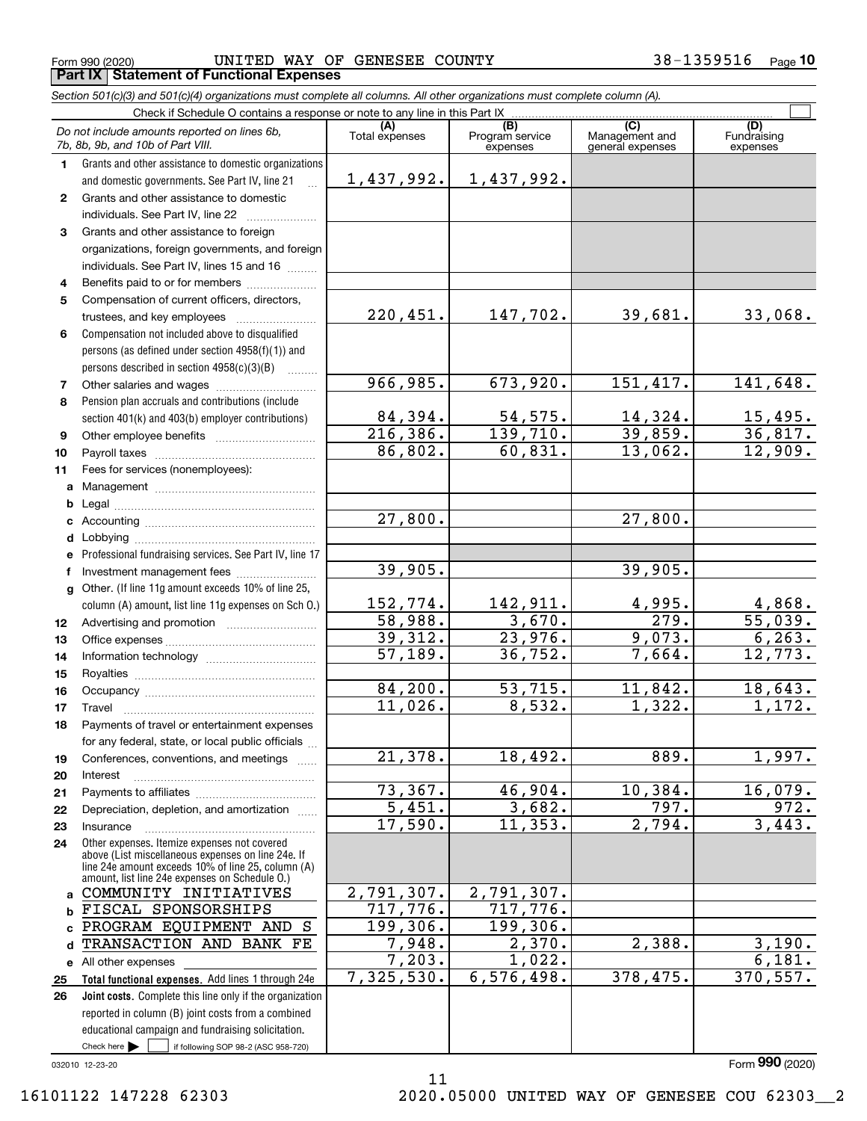Form 990 (2020) UNITED WAY OF GENESEE COUNTY 38-1359516 <sub>Page</sub> **Part IX Statement of Functional Expenses**

|              | Section 501(c)(3) and 501(c)(4) organizations must complete all columns. All other organizations must complete column (A).                                                                                 |                       |                                    |                                           |                                |
|--------------|------------------------------------------------------------------------------------------------------------------------------------------------------------------------------------------------------------|-----------------------|------------------------------------|-------------------------------------------|--------------------------------|
|              | Check if Schedule O contains a response or note to any line in this Part IX.                                                                                                                               |                       |                                    |                                           |                                |
|              | Do not include amounts reported on lines 6b,<br>7b, 8b, 9b, and 10b of Part VIII.                                                                                                                          | (A)<br>Total expenses | (B)<br>Program service<br>expenses | (C)<br>Management and<br>general expenses | (D)<br>Fundraising<br>expenses |
| 1            | Grants and other assistance to domestic organizations                                                                                                                                                      |                       |                                    |                                           |                                |
|              | and domestic governments. See Part IV, line 21                                                                                                                                                             | 1,437,992.            | 1,437,992.                         |                                           |                                |
| $\mathbf{2}$ | Grants and other assistance to domestic                                                                                                                                                                    |                       |                                    |                                           |                                |
|              | individuals. See Part IV, line 22                                                                                                                                                                          |                       |                                    |                                           |                                |
| 3            | Grants and other assistance to foreign                                                                                                                                                                     |                       |                                    |                                           |                                |
|              | organizations, foreign governments, and foreign<br>individuals. See Part IV, lines 15 and 16                                                                                                               |                       |                                    |                                           |                                |
| 4            | Benefits paid to or for members                                                                                                                                                                            |                       |                                    |                                           |                                |
| 5            | Compensation of current officers, directors,                                                                                                                                                               |                       |                                    |                                           |                                |
|              | trustees, and key employees                                                                                                                                                                                | 220,451.              | 147,702.                           | 39,681.                                   | 33,068.                        |
| 6            | Compensation not included above to disqualified                                                                                                                                                            |                       |                                    |                                           |                                |
|              | persons (as defined under section 4958(f)(1)) and                                                                                                                                                          |                       |                                    |                                           |                                |
|              | persons described in section 4958(c)(3)(B)                                                                                                                                                                 |                       |                                    |                                           |                                |
| 7            | Other salaries and wages                                                                                                                                                                                   | 966,985.              | 673,920.                           | 151, 417.                                 | 141,648.                       |
| 8            | Pension plan accruals and contributions (include                                                                                                                                                           |                       |                                    |                                           |                                |
|              | section 401(k) and 403(b) employer contributions)                                                                                                                                                          | 84,394.               |                                    | 14,324.                                   | 15,495.                        |
| 9            |                                                                                                                                                                                                            | 216,386.              | $\frac{54,575}{139,710}$           | 39,859.                                   | 36,817.                        |
| 10           |                                                                                                                                                                                                            | 86,802.               | 60,831.                            | 13,062.                                   | 12,909.                        |
| 11           | Fees for services (nonemployees):                                                                                                                                                                          |                       |                                    |                                           |                                |
| a            |                                                                                                                                                                                                            |                       |                                    |                                           |                                |
| b            |                                                                                                                                                                                                            |                       |                                    |                                           |                                |
| c            |                                                                                                                                                                                                            | 27,800.               |                                    | 27,800.                                   |                                |
| d            |                                                                                                                                                                                                            |                       |                                    |                                           |                                |
|              | e Professional fundraising services. See Part IV, line 17                                                                                                                                                  |                       |                                    |                                           |                                |
| f            | Investment management fees                                                                                                                                                                                 | 39,905.               |                                    | 39,905.                                   |                                |
| g            | Other. (If line 11g amount exceeds 10% of line 25,                                                                                                                                                         |                       |                                    |                                           |                                |
|              | column (A) amount, list line 11g expenses on Sch O.)                                                                                                                                                       | 152,774.              | 142,911.                           | 4,995.                                    | 4,868.                         |
| 12           |                                                                                                                                                                                                            | 58,988.               | 3,670.                             | 279.                                      | 55,039.                        |
| 13           |                                                                                                                                                                                                            | 39,312.               | 23,976.                            | 9,073.                                    | 6, 263.                        |
| 14           |                                                                                                                                                                                                            | 57,189.               | 36, 752.                           | 7,664.                                    | 12,773.                        |
| 15           |                                                                                                                                                                                                            |                       |                                    |                                           |                                |
| 16           |                                                                                                                                                                                                            | 84, 200.              | 53,715.                            | 11,842.                                   | 18,643.                        |
| 17           |                                                                                                                                                                                                            | 11,026.               | 8,532.                             | 1,322.                                    | 1,172.                         |
| 18           | Payments of travel or entertainment expenses                                                                                                                                                               |                       |                                    |                                           |                                |
|              | for any federal, state, or local public officials                                                                                                                                                          |                       |                                    |                                           |                                |
| 19           | Conferences, conventions, and meetings                                                                                                                                                                     | 21,378.               | 18,492.                            | 889.                                      | 1,997.                         |
| 20           | Interest                                                                                                                                                                                                   |                       |                                    |                                           |                                |
| 21           |                                                                                                                                                                                                            | 73,367.               | 46,904.                            | 10,384.                                   | 16,079.                        |
| 22           | Depreciation, depletion, and amortization                                                                                                                                                                  | 5,451.                | 3,682.                             | 797.                                      | 972.                           |
| 23           | Insurance                                                                                                                                                                                                  | 17,590.               | 11,353.                            | 2,794.                                    | 3,443.                         |
| 24           | Other expenses. Itemize expenses not covered<br>above (List miscellaneous expenses on line 24e. If<br>line 24e amount exceeds 10% of line 25, column (A)<br>amount, list line 24e expenses on Schedule O.) |                       |                                    |                                           |                                |
| a            | COMMUNITY INITIATIVES                                                                                                                                                                                      | 2,791,307.            | 2,791,307.                         |                                           |                                |
| b            | FISCAL SPONSORSHIPS                                                                                                                                                                                        | 717,776.              | 717,776.                           |                                           |                                |
| C            | PROGRAM EQUIPMENT AND S                                                                                                                                                                                    | 199,306.              | 199,306.                           |                                           |                                |
| d            | TRANSACTION AND BANK FE                                                                                                                                                                                    | 7,948.                | 2,370.                             | 2,388.                                    | 3,190.                         |
|              | e All other expenses                                                                                                                                                                                       | 7,203.                | 1,022.                             |                                           | 6,181.                         |
| 25           | Total functional expenses. Add lines 1 through 24e                                                                                                                                                         | 7,325,530.            | 6, 576, 498.                       | 378, 475.                                 | 370, 557.                      |

Check here  $\begin{array}{|c|c|c|c|c|}\hline \text{ } & \text{ if following SOP 98-2 (ASC 958-720)} \hline \end{array}$ **Joint costs.** Complete this line only if the organization **26** reported in column (B) joint costs from a combined educational campaign and fundraising solicitation. Check here  $\blacktriangleright$ 

032010 12-23-20

Form (2020) **990**

11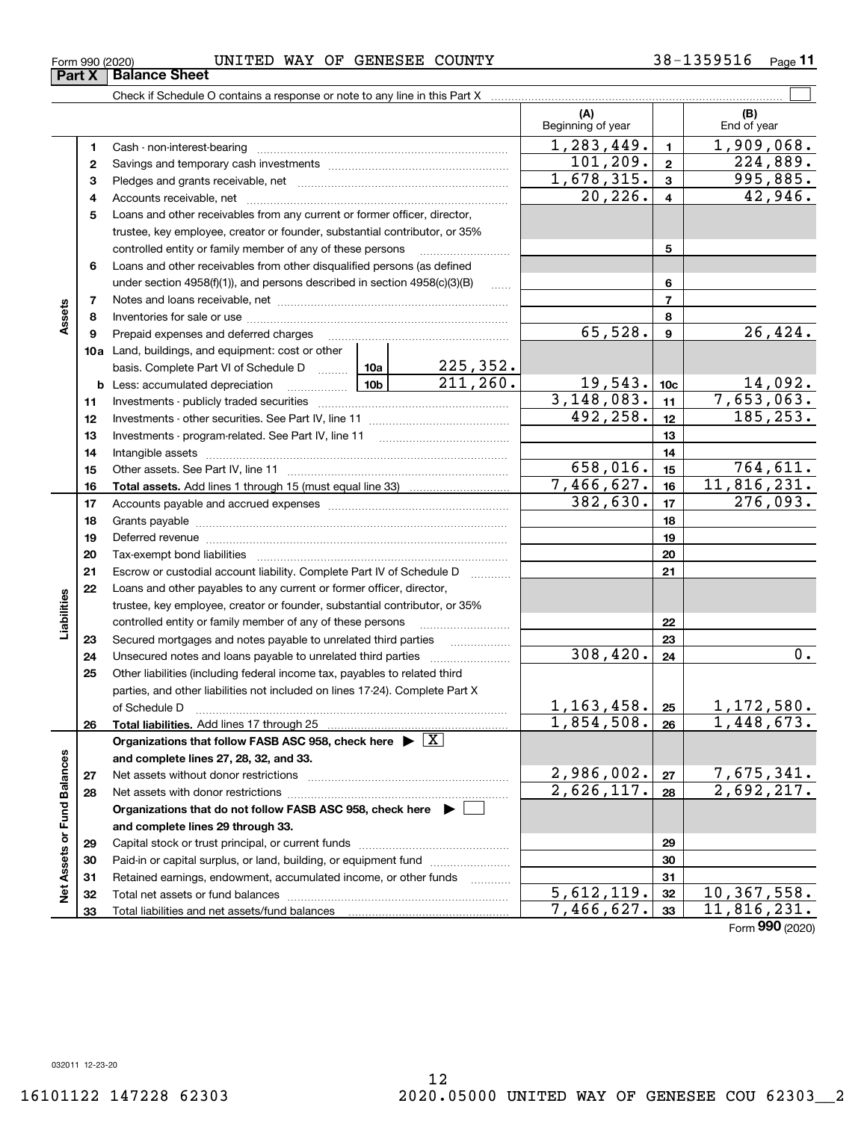#### Form 990 (2020) UNITED WAY OF GENESEE COUNTY 38-1359516 <sub>Page</sub> **Part X Balance Sheet**

Check if Schedule O contains a response or note to any line in this Part X

|                             |              |                                                                                                                                                                                                                                |                 |                        | (A)<br>Beginning of year |                  | (B)<br>End of year          |
|-----------------------------|--------------|--------------------------------------------------------------------------------------------------------------------------------------------------------------------------------------------------------------------------------|-----------------|------------------------|--------------------------|------------------|-----------------------------|
|                             | 1            |                                                                                                                                                                                                                                |                 |                        | 1, 283, 449.             | $\blacksquare$   | 1,909,068.                  |
|                             | $\mathbf{2}$ |                                                                                                                                                                                                                                | 101, 209.       | $\overline{2}$         | $\overline{224}$ , 889.  |                  |                             |
|                             | 3            |                                                                                                                                                                                                                                | 1,678,315.      | $\mathbf{3}$           | 995,885.                 |                  |                             |
|                             | 4            |                                                                                                                                                                                                                                |                 |                        | 20, 226.                 | $\overline{4}$   | 42,946.                     |
|                             | 5            | Loans and other receivables from any current or former officer, director,                                                                                                                                                      |                 |                        |                          |                  |                             |
|                             |              | trustee, key employee, creator or founder, substantial contributor, or 35%                                                                                                                                                     |                 |                        |                          |                  |                             |
|                             |              | controlled entity or family member of any of these persons                                                                                                                                                                     |                 |                        |                          | 5                |                             |
|                             | 6            | Loans and other receivables from other disqualified persons (as defined                                                                                                                                                        |                 |                        |                          |                  |                             |
|                             |              | under section $4958(f)(1)$ , and persons described in section $4958(c)(3)(B)$                                                                                                                                                  |                 |                        |                          | 6                |                             |
|                             | 7            |                                                                                                                                                                                                                                |                 | $\ldots$               |                          | $\overline{7}$   |                             |
| Assets                      | 8            |                                                                                                                                                                                                                                |                 |                        |                          | 8                |                             |
|                             | 9            | Prepaid expenses and deferred charges                                                                                                                                                                                          |                 |                        | 65,528.                  | $\boldsymbol{9}$ | 26,424.                     |
|                             |              | <b>10a</b> Land, buildings, and equipment: cost or other                                                                                                                                                                       |                 |                        |                          |                  |                             |
|                             |              | basis. Complete Part VI of Schedule D  10a                                                                                                                                                                                     |                 | <u>225,352.</u>        |                          |                  |                             |
|                             |              | <b>b</b> Less: accumulated depreciation                                                                                                                                                                                        | 10 <sub>b</sub> | $\overline{211,260}$ . | 19,543.                  | 10 <sub>c</sub>  | 14,092.                     |
|                             | 11           |                                                                                                                                                                                                                                |                 |                        | 3,148,083.               | 11               | 7,653,063.                  |
|                             | 12           |                                                                                                                                                                                                                                |                 |                        | 492, 258.                | 12               | 185, 253.                   |
|                             | 13           |                                                                                                                                                                                                                                |                 |                        |                          | 13               |                             |
|                             | 14           |                                                                                                                                                                                                                                |                 |                        |                          | 14               |                             |
|                             | 15           |                                                                                                                                                                                                                                |                 |                        | 658,016.                 | 15               | 764,611.                    |
|                             | 16           |                                                                                                                                                                                                                                |                 |                        | 7,466,627.               | 16               | 11,816,231.                 |
|                             | 17           |                                                                                                                                                                                                                                | 382,630.        | 17                     | 276,093.                 |                  |                             |
|                             | 18           |                                                                                                                                                                                                                                |                 | 18                     |                          |                  |                             |
|                             | 19           |                                                                                                                                                                                                                                |                 | 19                     |                          |                  |                             |
|                             | 20           | Deferred revenue manual contracts and contracts are contracted and contract and contract are contracted and contract are contracted and contract are contracted and contract are contracted and contract are contracted and co |                 | 20                     |                          |                  |                             |
|                             | 21           | Escrow or custodial account liability. Complete Part IV of Schedule D                                                                                                                                                          |                 |                        |                          | 21               |                             |
|                             | 22           | Loans and other payables to any current or former officer, director,                                                                                                                                                           |                 |                        |                          |                  |                             |
| Liabilities                 |              | trustee, key employee, creator or founder, substantial contributor, or 35%                                                                                                                                                     |                 |                        |                          |                  |                             |
|                             |              | controlled entity or family member of any of these persons                                                                                                                                                                     |                 |                        |                          | 22               |                             |
|                             | 23           | Secured mortgages and notes payable to unrelated third parties                                                                                                                                                                 |                 |                        |                          | 23               |                             |
|                             | 24           |                                                                                                                                                                                                                                |                 |                        | 308,420.                 | 24               | 0.                          |
|                             | 25           | Other liabilities (including federal income tax, payables to related third                                                                                                                                                     |                 |                        |                          |                  |                             |
|                             |              | parties, and other liabilities not included on lines 17-24). Complete Part X                                                                                                                                                   |                 |                        |                          |                  |                             |
|                             |              | of Schedule D                                                                                                                                                                                                                  |                 |                        | 1, 163, 458.             | 25               | 1,172,580.                  |
|                             | 26           |                                                                                                                                                                                                                                |                 |                        | 1,854,508.               | 26               | 1,448,673.                  |
|                             |              | Organizations that follow FASB ASC 958, check here $\blacktriangleright \boxed{\text{X}}$                                                                                                                                      |                 |                        |                          |                  |                             |
|                             |              | and complete lines 27, 28, 32, and 33.                                                                                                                                                                                         |                 |                        |                          |                  |                             |
|                             | 27           | Net assets without donor restrictions                                                                                                                                                                                          |                 |                        | 2,986,002.               | 27               |                             |
| Net Assets or Fund Balances | 28           |                                                                                                                                                                                                                                |                 |                        | 2,626,117.               | 28               | 7,675,341.<br>2,692,217.    |
|                             |              | Organizations that do not follow FASB ASC 958, check here $\blacktriangleright$                                                                                                                                                |                 |                        |                          |                  |                             |
|                             |              | and complete lines 29 through 33.                                                                                                                                                                                              |                 |                        |                          |                  |                             |
|                             | 29           |                                                                                                                                                                                                                                |                 |                        |                          | 29               |                             |
|                             | 30           | Paid-in or capital surplus, or land, building, or equipment fund                                                                                                                                                               |                 |                        |                          | 30               |                             |
|                             | 31           | Retained earnings, endowment, accumulated income, or other funds                                                                                                                                                               |                 | .                      |                          | 31               |                             |
|                             | 32           | Total net assets or fund balances                                                                                                                                                                                              |                 |                        | $\overline{5,612,119}$ . | 32               | $\overline{10}$ , 367, 558. |
|                             | 33           |                                                                                                                                                                                                                                |                 |                        | 7,466,627.               | 33               | 11,816,231.                 |

Τ

 $\mathcal{L}^{\text{max}}$ 

Form (2020) **990**

032011 12-23-20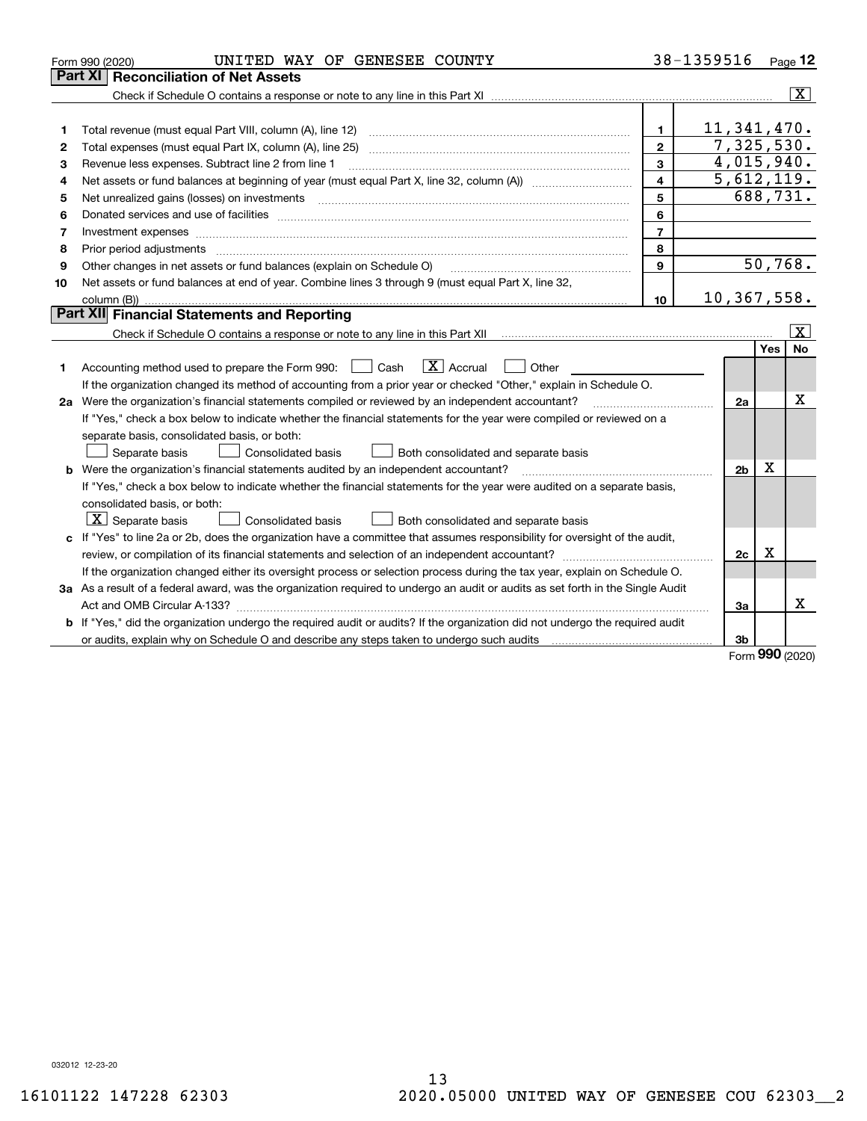|    | UNITED WAY OF GENESEE COUNTY<br>Form 990 (2020)                                                                                 |                | 38-1359516             |     | Page 12                 |
|----|---------------------------------------------------------------------------------------------------------------------------------|----------------|------------------------|-----|-------------------------|
|    | Part XI<br><b>Reconciliation of Net Assets</b>                                                                                  |                |                        |     |                         |
|    |                                                                                                                                 |                |                        |     | $\overline{\mathbf{X}}$ |
|    |                                                                                                                                 |                |                        |     |                         |
| 1  |                                                                                                                                 | $\mathbf{1}$   | 11,341,470.            |     |                         |
| 2  |                                                                                                                                 | $\mathbf{2}$   | 7,325,530.             |     |                         |
| 3  | Revenue less expenses. Subtract line 2 from line 1                                                                              | 3              | 4,015,940.             |     |                         |
| 4  |                                                                                                                                 | 4              | 5,612,119.             |     |                         |
| 5  |                                                                                                                                 | 5              | $\overline{688,731}$ . |     |                         |
| 6  |                                                                                                                                 | 6              |                        |     |                         |
| 7  |                                                                                                                                 | $\overline{7}$ |                        |     |                         |
| 8  | Prior period adjustments                                                                                                        | 8              |                        |     |                         |
| 9  | Other changes in net assets or fund balances (explain on Schedule O)                                                            | $\mathbf{9}$   |                        |     | 50,768.                 |
| 10 | Net assets or fund balances at end of year. Combine lines 3 through 9 (must equal Part X, line 32,                              |                |                        |     |                         |
|    |                                                                                                                                 | 10             | 10,367,558.            |     |                         |
|    | <b>Part XII</b> Financial Statements and Reporting                                                                              |                |                        |     |                         |
|    |                                                                                                                                 |                |                        |     | $\mathbf{X}$            |
|    |                                                                                                                                 |                |                        | Yes | No                      |
| 1. | $\boxed{\mathbf{X}}$ Accrual<br>Accounting method used to prepare the Form 990: <u>I</u> Cash<br>Other                          |                |                        |     |                         |
|    | If the organization changed its method of accounting from a prior year or checked "Other," explain in Schedule O.               |                |                        |     |                         |
|    | 2a Were the organization's financial statements compiled or reviewed by an independent accountant?                              |                |                        |     |                         |
|    | If "Yes," check a box below to indicate whether the financial statements for the year were compiled or reviewed on a            |                |                        |     |                         |
|    | separate basis, consolidated basis, or both:                                                                                    |                |                        |     |                         |
|    | Separate basis<br>Consolidated basis<br>Both consolidated and separate basis                                                    |                |                        |     |                         |
|    | <b>b</b> Were the organization's financial statements audited by an independent accountant?                                     |                | 2 <sub>b</sub>         | X   |                         |
|    | If "Yes," check a box below to indicate whether the financial statements for the year were audited on a separate basis,         |                |                        |     |                         |
|    | consolidated basis, or both:                                                                                                    |                |                        |     |                         |
|    | $\lfloor x \rfloor$ Separate basis<br><b>Consolidated basis</b><br>Both consolidated and separate basis                         |                |                        |     |                         |
|    | c If "Yes" to line 2a or 2b, does the organization have a committee that assumes responsibility for oversight of the audit,     |                |                        |     |                         |
|    |                                                                                                                                 |                |                        |     |                         |
|    | If the organization changed either its oversight process or selection process during the tax year, explain on Schedule O.       |                |                        |     |                         |
|    | 3a As a result of a federal award, was the organization required to undergo an audit or audits as set forth in the Single Audit |                |                        |     |                         |
|    |                                                                                                                                 |                | За                     |     | X                       |
|    | b If "Yes," did the organization undergo the required audit or audits? If the organization did not undergo the required audit   |                |                        |     |                         |
|    | or audits, explain why on Schedule O and describe any steps taken to undergo such audits manufactured university                |                | 3b                     |     |                         |
|    |                                                                                                                                 |                |                        | nnn |                         |

Form (2020) **990**

032012 12-23-20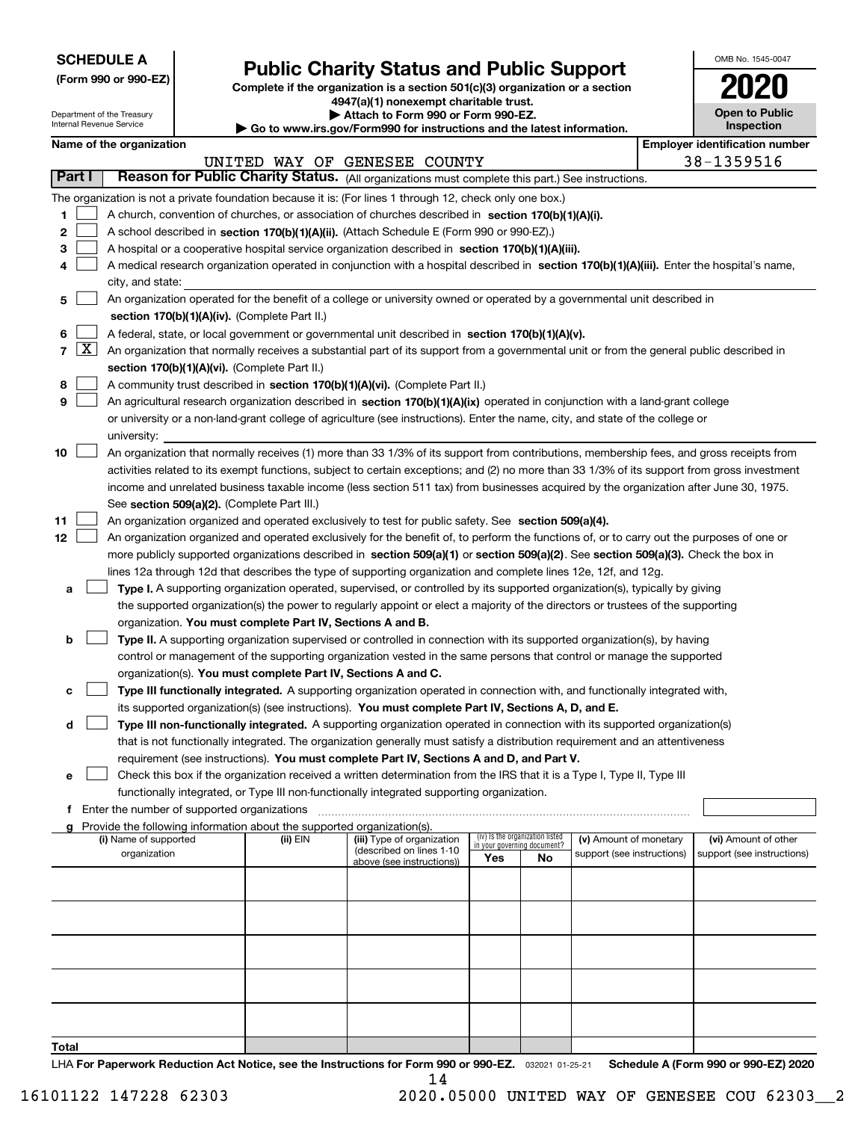| <b>SCHEDULE A</b> |
|-------------------|
|-------------------|

Department of the Treasury Internal Revenue Service

**(Form 990 or 990-EZ)**

# **Public Charity Status and Public Support**

**Complete if the organization is a section 501(c)(3) organization or a section 4947(a)(1) nonexempt charitable trust.**

**| Attach to Form 990 or Form 990-EZ.** 

**| Go to www.irs.gov/Form990 for instructions and the latest information.**

| OMB No 1545-0047                    |
|-------------------------------------|
| 2020                                |
| <b>Open to Public</b><br>Inspection |

|        | Name of the organization<br><b>Employer identification number</b> |                                                                                                                                              |          |                              |                                 |     |                            |  |                            |  |
|--------|-------------------------------------------------------------------|----------------------------------------------------------------------------------------------------------------------------------------------|----------|------------------------------|---------------------------------|-----|----------------------------|--|----------------------------|--|
|        |                                                                   |                                                                                                                                              |          | UNITED WAY OF GENESEE COUNTY |                                 |     |                            |  | 38-1359516                 |  |
| Part I |                                                                   | Reason for Public Charity Status. (All organizations must complete this part.) See instructions.                                             |          |                              |                                 |     |                            |  |                            |  |
|        |                                                                   | The organization is not a private foundation because it is: (For lines 1 through 12, check only one box.)                                    |          |                              |                                 |     |                            |  |                            |  |
| 1      |                                                                   | A church, convention of churches, or association of churches described in section 170(b)(1)(A)(i).                                           |          |                              |                                 |     |                            |  |                            |  |
| 2      |                                                                   | A school described in section 170(b)(1)(A)(ii). (Attach Schedule E (Form 990 or 990-EZ).)                                                    |          |                              |                                 |     |                            |  |                            |  |
| з      |                                                                   | A hospital or a cooperative hospital service organization described in section 170(b)(1)(A)(iii).                                            |          |                              |                                 |     |                            |  |                            |  |
|        |                                                                   | A medical research organization operated in conjunction with a hospital described in section 170(b)(1)(A)(iii). Enter the hospital's name,   |          |                              |                                 |     |                            |  |                            |  |
|        |                                                                   | city, and state:                                                                                                                             |          |                              |                                 |     |                            |  |                            |  |
| 5      |                                                                   | An organization operated for the benefit of a college or university owned or operated by a governmental unit described in                    |          |                              |                                 |     |                            |  |                            |  |
|        |                                                                   | section 170(b)(1)(A)(iv). (Complete Part II.)                                                                                                |          |                              |                                 |     |                            |  |                            |  |
| 6      |                                                                   | A federal, state, or local government or governmental unit described in section 170(b)(1)(A)(v).                                             |          |                              |                                 |     |                            |  |                            |  |
| 7      | $\lfloor x \rfloor$                                               | An organization that normally receives a substantial part of its support from a governmental unit or from the general public described in    |          |                              |                                 |     |                            |  |                            |  |
|        |                                                                   | section 170(b)(1)(A)(vi). (Complete Part II.)                                                                                                |          |                              |                                 |     |                            |  |                            |  |
| 8      |                                                                   | A community trust described in section 170(b)(1)(A)(vi). (Complete Part II.)                                                                 |          |                              |                                 |     |                            |  |                            |  |
| 9      |                                                                   | An agricultural research organization described in section 170(b)(1)(A)(ix) operated in conjunction with a land-grant college                |          |                              |                                 |     |                            |  |                            |  |
|        |                                                                   | or university or a non-land-grant college of agriculture (see instructions). Enter the name, city, and state of the college or               |          |                              |                                 |     |                            |  |                            |  |
|        |                                                                   | university:                                                                                                                                  |          |                              |                                 |     |                            |  |                            |  |
| 10     |                                                                   | An organization that normally receives (1) more than 33 1/3% of its support from contributions, membership fees, and gross receipts from     |          |                              |                                 |     |                            |  |                            |  |
|        |                                                                   | activities related to its exempt functions, subject to certain exceptions; and (2) no more than 33 1/3% of its support from gross investment |          |                              |                                 |     |                            |  |                            |  |
|        |                                                                   | income and unrelated business taxable income (less section 511 tax) from businesses acquired by the organization after June 30, 1975.        |          |                              |                                 |     |                            |  |                            |  |
|        |                                                                   | See section 509(a)(2). (Complete Part III.)                                                                                                  |          |                              |                                 |     |                            |  |                            |  |
| 11     |                                                                   | An organization organized and operated exclusively to test for public safety. See section 509(a)(4).                                         |          |                              |                                 |     |                            |  |                            |  |
| 12     |                                                                   | An organization organized and operated exclusively for the benefit of, to perform the functions of, or to carry out the purposes of one or   |          |                              |                                 |     |                            |  |                            |  |
|        |                                                                   | more publicly supported organizations described in section 509(a)(1) or section 509(a)(2). See section 509(a)(3). Check the box in           |          |                              |                                 |     |                            |  |                            |  |
|        |                                                                   | lines 12a through 12d that describes the type of supporting organization and complete lines 12e, 12f, and 12g.                               |          |                              |                                 |     |                            |  |                            |  |
| а      |                                                                   | Type I. A supporting organization operated, supervised, or controlled by its supported organization(s), typically by giving                  |          |                              |                                 |     |                            |  |                            |  |
|        |                                                                   | the supported organization(s) the power to regularly appoint or elect a majority of the directors or trustees of the supporting              |          |                              |                                 |     |                            |  |                            |  |
|        |                                                                   | organization. You must complete Part IV, Sections A and B.                                                                                   |          |                              |                                 |     |                            |  |                            |  |
| b      |                                                                   | Type II. A supporting organization supervised or controlled in connection with its supported organization(s), by having                      |          |                              |                                 |     |                            |  |                            |  |
|        |                                                                   | control or management of the supporting organization vested in the same persons that control or manage the supported                         |          |                              |                                 |     |                            |  |                            |  |
|        |                                                                   | organization(s). You must complete Part IV, Sections A and C.                                                                                |          |                              |                                 |     |                            |  |                            |  |
| c      |                                                                   | Type III functionally integrated. A supporting organization operated in connection with, and functionally integrated with,                   |          |                              |                                 |     |                            |  |                            |  |
|        |                                                                   | its supported organization(s) (see instructions). You must complete Part IV, Sections A, D, and E.                                           |          |                              |                                 |     |                            |  |                            |  |
| d      |                                                                   | Type III non-functionally integrated. A supporting organization operated in connection with its supported organization(s)                    |          |                              |                                 |     |                            |  |                            |  |
|        |                                                                   | that is not functionally integrated. The organization generally must satisfy a distribution requirement and an attentiveness                 |          |                              |                                 |     |                            |  |                            |  |
|        |                                                                   | requirement (see instructions). You must complete Part IV, Sections A and D, and Part V.                                                     |          |                              |                                 |     |                            |  |                            |  |
| е      |                                                                   | Check this box if the organization received a written determination from the IRS that it is a Type I, Type II, Type III                      |          |                              |                                 |     |                            |  |                            |  |
|        |                                                                   | functionally integrated, or Type III non-functionally integrated supporting organization.                                                    |          |                              |                                 |     |                            |  |                            |  |
|        |                                                                   | f Enter the number of supported organizations                                                                                                |          |                              |                                 |     |                            |  |                            |  |
|        |                                                                   | Provide the following information about the supported organization(s).<br>(i) Name of supported                                              | (ii) EIN | (iii) Type of organization   | (iv) Is the organization listed |     | (v) Amount of monetary     |  | (vi) Amount of other       |  |
|        |                                                                   | organization                                                                                                                                 |          | (described on lines 1-10     | in your governing document?     |     | support (see instructions) |  | support (see instructions) |  |
|        |                                                                   |                                                                                                                                              |          | above (see instructions))    | Yes                             | No. |                            |  |                            |  |
|        |                                                                   |                                                                                                                                              |          |                              |                                 |     |                            |  |                            |  |
|        |                                                                   |                                                                                                                                              |          |                              |                                 |     |                            |  |                            |  |
|        |                                                                   |                                                                                                                                              |          |                              |                                 |     |                            |  |                            |  |
|        |                                                                   |                                                                                                                                              |          |                              |                                 |     |                            |  |                            |  |
|        |                                                                   |                                                                                                                                              |          |                              |                                 |     |                            |  |                            |  |
|        |                                                                   |                                                                                                                                              |          |                              |                                 |     |                            |  |                            |  |
|        |                                                                   |                                                                                                                                              |          |                              |                                 |     |                            |  |                            |  |
|        |                                                                   |                                                                                                                                              |          |                              |                                 |     |                            |  |                            |  |
|        |                                                                   |                                                                                                                                              |          |                              |                                 |     |                            |  |                            |  |
| Total  |                                                                   |                                                                                                                                              |          |                              |                                 |     |                            |  |                            |  |

LHA For Paperwork Reduction Act Notice, see the Instructions for Form 990 or 990-EZ. <sub>032021</sub> o1-25-21 Schedule A (Form 990 or 990-EZ) 2020 14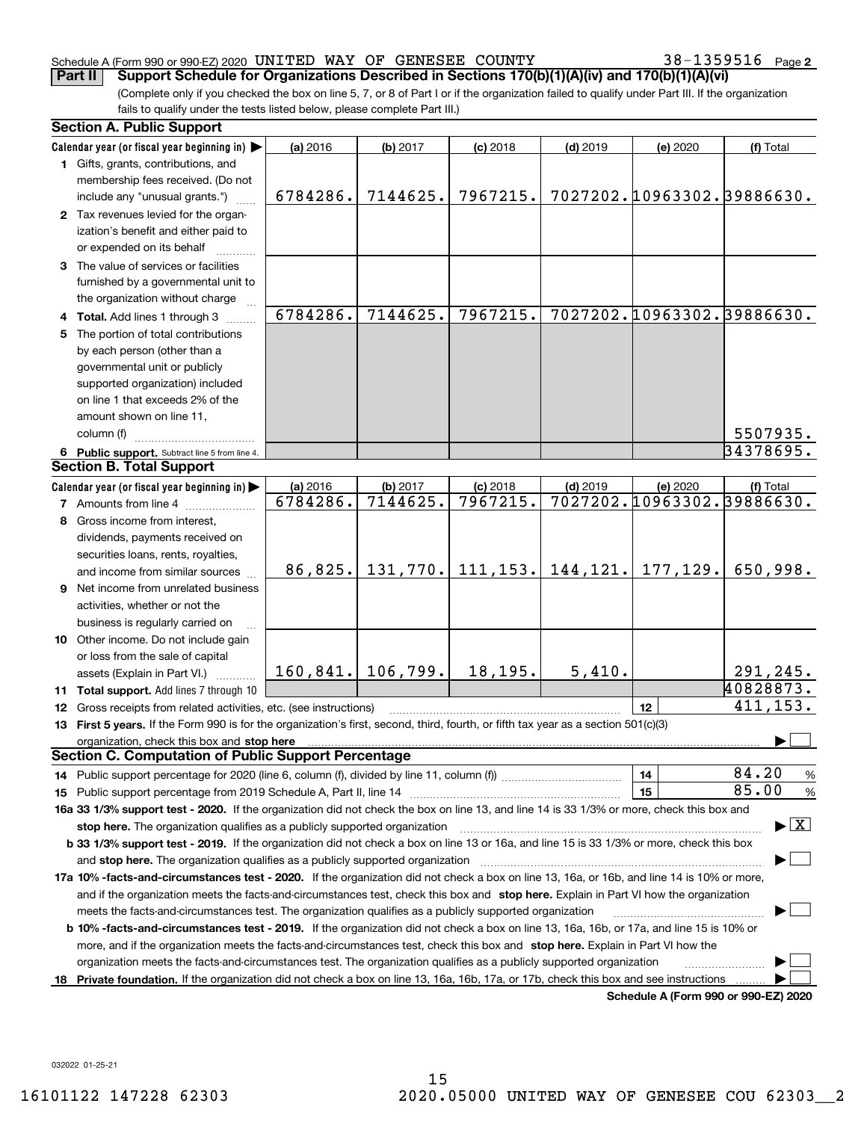#### Schedule A (Form 990 or 990-EZ) 2020 <code>UNITED WAY OF GENESEE COUNTY</code>  $38-1359516$  <code>Page</code>

38-1359516 Page 2

(Complete only if you checked the box on line 5, 7, or 8 of Part I or if the organization failed to qualify under Part III. If the organization fails to qualify under the tests listed below, please complete Part III.) **Part II Support Schedule for Organizations Described in Sections 170(b)(1)(A)(iv) and 170(b)(1)(A)(vi)**

| <b>Section A. Public Support</b> |                                                                                                                                                |          |                      |            |            |          |                                      |  |
|----------------------------------|------------------------------------------------------------------------------------------------------------------------------------------------|----------|----------------------|------------|------------|----------|--------------------------------------|--|
|                                  | Calendar year (or fiscal year beginning in)                                                                                                    | (a) 2016 | (b) 2017             | $(c)$ 2018 | $(d)$ 2019 | (e) 2020 | (f) Total                            |  |
|                                  | 1 Gifts, grants, contributions, and                                                                                                            |          |                      |            |            |          |                                      |  |
|                                  | membership fees received. (Do not                                                                                                              |          |                      |            |            |          |                                      |  |
|                                  | include any "unusual grants.")                                                                                                                 | 6784286. | 7144625.             | 7967215.   |            |          | 7027202.10963302.39886630.           |  |
|                                  | 2 Tax revenues levied for the organ-                                                                                                           |          |                      |            |            |          |                                      |  |
|                                  | ization's benefit and either paid to                                                                                                           |          |                      |            |            |          |                                      |  |
|                                  | or expended on its behalf                                                                                                                      |          |                      |            |            |          |                                      |  |
|                                  | 3 The value of services or facilities                                                                                                          |          |                      |            |            |          |                                      |  |
|                                  | furnished by a governmental unit to                                                                                                            |          |                      |            |            |          |                                      |  |
|                                  | the organization without charge                                                                                                                |          |                      |            |            |          |                                      |  |
|                                  | 4 Total. Add lines 1 through 3                                                                                                                 | 6784286. | 7144625.             | 7967215.   |            |          | 7027202.10963302.39886630.           |  |
|                                  | 5 The portion of total contributions                                                                                                           |          |                      |            |            |          |                                      |  |
|                                  | by each person (other than a                                                                                                                   |          |                      |            |            |          |                                      |  |
|                                  | governmental unit or publicly                                                                                                                  |          |                      |            |            |          |                                      |  |
|                                  | supported organization) included                                                                                                               |          |                      |            |            |          |                                      |  |
|                                  | on line 1 that exceeds 2% of the                                                                                                               |          |                      |            |            |          |                                      |  |
|                                  | amount shown on line 11,                                                                                                                       |          |                      |            |            |          |                                      |  |
|                                  | column (f)                                                                                                                                     |          |                      |            |            |          | 5507935.                             |  |
|                                  | 6 Public support. Subtract line 5 from line 4.                                                                                                 |          |                      |            |            |          | 34378695.                            |  |
|                                  | <b>Section B. Total Support</b>                                                                                                                |          |                      |            |            |          |                                      |  |
|                                  | Calendar year (or fiscal year beginning in)                                                                                                    | (a) 2016 | (b) 2017             | $(c)$ 2018 | $(d)$ 2019 | (e) 2020 | (f) Total                            |  |
|                                  | <b>7</b> Amounts from line 4                                                                                                                   | 6784286. | 7144625.             | 7967215.   |            |          | 7027202.10963302.39886630.           |  |
|                                  | 8 Gross income from interest,                                                                                                                  |          |                      |            |            |          |                                      |  |
|                                  | dividends, payments received on                                                                                                                |          |                      |            |            |          |                                      |  |
|                                  | securities loans, rents, royalties,                                                                                                            |          |                      |            |            |          |                                      |  |
|                                  | and income from similar sources                                                                                                                | 86,825.  | 131,770.             | 111, 153.  | 144, 121.  | 177,129. | 650,998.                             |  |
|                                  | 9 Net income from unrelated business                                                                                                           |          |                      |            |            |          |                                      |  |
|                                  | activities, whether or not the                                                                                                                 |          |                      |            |            |          |                                      |  |
|                                  | business is regularly carried on                                                                                                               |          |                      |            |            |          |                                      |  |
|                                  | 10 Other income. Do not include gain                                                                                                           |          |                      |            |            |          |                                      |  |
|                                  | or loss from the sale of capital                                                                                                               |          |                      |            |            |          |                                      |  |
|                                  | assets (Explain in Part VI.)                                                                                                                   |          | $160, 841.$ 106,799. | 18,195.    | 5,410.     |          | 291,245.                             |  |
|                                  | <b>11 Total support.</b> Add lines 7 through 10                                                                                                |          |                      |            |            |          | 40828873.                            |  |
|                                  | 12 Gross receipts from related activities, etc. (see instructions)                                                                             |          |                      |            |            | 12       | 411, 153.                            |  |
|                                  | 13 First 5 years. If the Form 990 is for the organization's first, second, third, fourth, or fifth tax year as a section 501(c)(3)             |          |                      |            |            |          |                                      |  |
|                                  | organization, check this box and stop here                                                                                                     |          |                      |            |            |          |                                      |  |
|                                  | <b>Section C. Computation of Public Support Percentage</b>                                                                                     |          |                      |            |            |          |                                      |  |
|                                  | 14 Public support percentage for 2020 (line 6, column (f), divided by line 11, column (f) <i>mummumumum</i>                                    |          |                      |            |            | 14       | 84.20<br>%                           |  |
|                                  |                                                                                                                                                |          |                      |            |            | 15       | 85.00<br>%                           |  |
|                                  | 16a 33 1/3% support test - 2020. If the organization did not check the box on line 13, and line 14 is 33 1/3% or more, check this box and      |          |                      |            |            |          |                                      |  |
|                                  | stop here. The organization qualifies as a publicly supported organization                                                                     |          |                      |            |            |          | $\blacktriangleright$ $\mid$ X       |  |
|                                  | b 33 1/3% support test - 2019. If the organization did not check a box on line 13 or 16a, and line 15 is 33 1/3% or more, check this box       |          |                      |            |            |          |                                      |  |
|                                  | and stop here. The organization qualifies as a publicly supported organization                                                                 |          |                      |            |            |          |                                      |  |
|                                  | 17a 10% -facts-and-circumstances test - 2020. If the organization did not check a box on line 13, 16a, or 16b, and line 14 is 10% or more,     |          |                      |            |            |          |                                      |  |
|                                  | and if the organization meets the facts-and-circumstances test, check this box and stop here. Explain in Part VI how the organization          |          |                      |            |            |          |                                      |  |
|                                  | meets the facts-and-circumstances test. The organization qualifies as a publicly supported organization                                        |          |                      |            |            |          |                                      |  |
|                                  | <b>b 10% -facts-and-circumstances test - 2019.</b> If the organization did not check a box on line 13, 16a, 16b, or 17a, and line 15 is 10% or |          |                      |            |            |          |                                      |  |
|                                  | more, and if the organization meets the facts-and-circumstances test, check this box and stop here. Explain in Part VI how the                 |          |                      |            |            |          |                                      |  |
|                                  | organization meets the facts-and-circumstances test. The organization qualifies as a publicly supported organization                           |          |                      |            |            |          |                                      |  |
| 18                               | Private foundation. If the organization did not check a box on line 13, 16a, 16b, 17a, or 17b, check this box and see instructions             |          |                      |            |            |          |                                      |  |
|                                  |                                                                                                                                                |          |                      |            |            |          | Schedule A (Form 990 or 990-EZ) 2020 |  |

**Schedule A (Form 990 or 990-EZ) 2020**

032022 01-25-21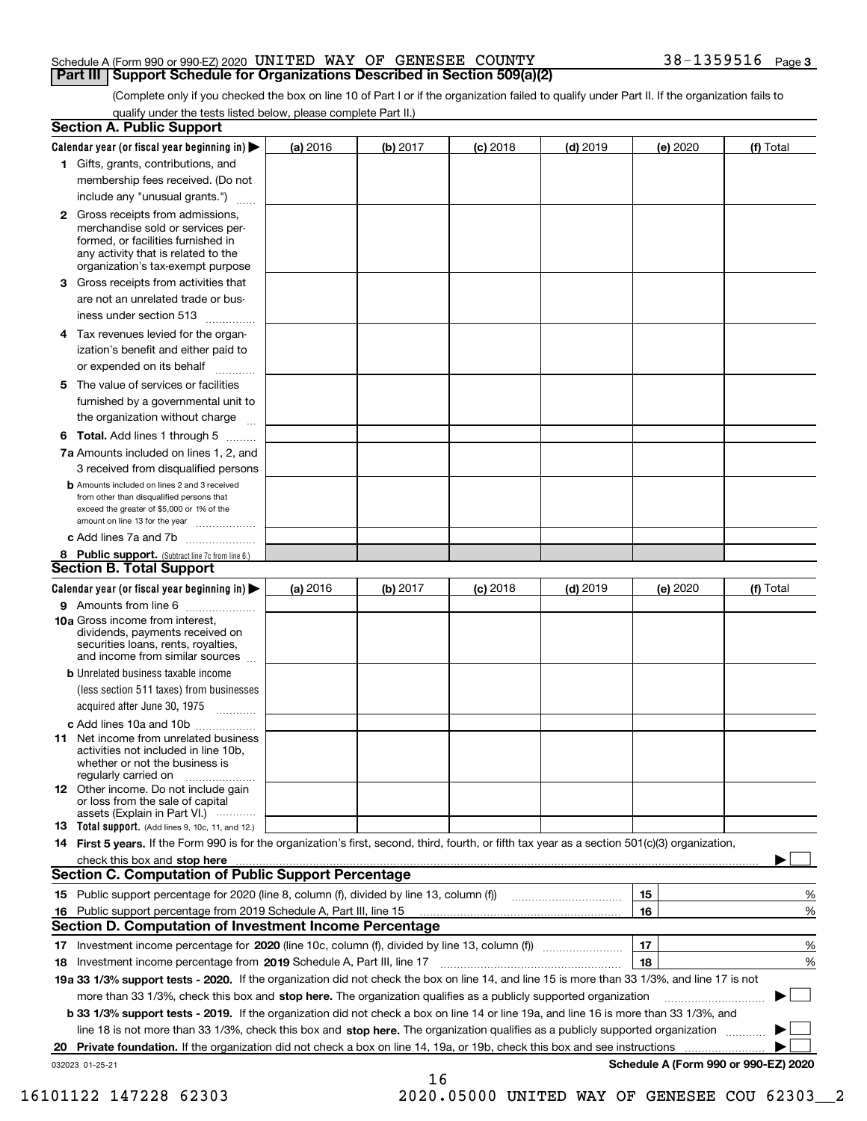#### Schedule A (Form 990 or 990-EZ) 2020 <code>UNITED WAY OF GENESEE COUNTY</code>  $38-1359516$  <code>Page</code> **Part III Support Schedule for Organizations Described in Section 509(a)(2)**

(Complete only if you checked the box on line 10 of Part I or if the organization failed to qualify under Part II. If the organization fails to qualify under the tests listed below, please complete Part II.)

|    | <b>Section A. Public Support</b>                                                                                                                                                                                              |          |          |            |            |          |                                      |
|----|-------------------------------------------------------------------------------------------------------------------------------------------------------------------------------------------------------------------------------|----------|----------|------------|------------|----------|--------------------------------------|
|    | Calendar year (or fiscal year beginning in) $\blacktriangleright$                                                                                                                                                             | (a) 2016 | (b) 2017 | $(c)$ 2018 | $(d)$ 2019 | (e) 2020 | (f) Total                            |
|    | 1 Gifts, grants, contributions, and                                                                                                                                                                                           |          |          |            |            |          |                                      |
|    | membership fees received. (Do not                                                                                                                                                                                             |          |          |            |            |          |                                      |
|    | include any "unusual grants.")                                                                                                                                                                                                |          |          |            |            |          |                                      |
|    | 2 Gross receipts from admissions,<br>merchandise sold or services per-<br>formed, or facilities furnished in<br>any activity that is related to the<br>organization's tax-exempt purpose                                      |          |          |            |            |          |                                      |
|    | 3 Gross receipts from activities that<br>are not an unrelated trade or bus-                                                                                                                                                   |          |          |            |            |          |                                      |
|    | iness under section 513                                                                                                                                                                                                       |          |          |            |            |          |                                      |
|    | 4 Tax revenues levied for the organ-                                                                                                                                                                                          |          |          |            |            |          |                                      |
|    | ization's benefit and either paid to<br>or expended on its behalf<br>.                                                                                                                                                        |          |          |            |            |          |                                      |
|    | 5 The value of services or facilities                                                                                                                                                                                         |          |          |            |            |          |                                      |
|    | furnished by a governmental unit to                                                                                                                                                                                           |          |          |            |            |          |                                      |
|    | the organization without charge                                                                                                                                                                                               |          |          |            |            |          |                                      |
|    | <b>6 Total.</b> Add lines 1 through 5                                                                                                                                                                                         |          |          |            |            |          |                                      |
|    | 7a Amounts included on lines 1, 2, and                                                                                                                                                                                        |          |          |            |            |          |                                      |
|    | 3 received from disqualified persons                                                                                                                                                                                          |          |          |            |            |          |                                      |
|    | <b>b</b> Amounts included on lines 2 and 3 received<br>from other than disqualified persons that<br>exceed the greater of \$5,000 or 1% of the<br>amount on line 13 for the year                                              |          |          |            |            |          |                                      |
|    | c Add lines 7a and 7b                                                                                                                                                                                                         |          |          |            |            |          |                                      |
|    | 8 Public support. (Subtract line 7c from line 6.)                                                                                                                                                                             |          |          |            |            |          |                                      |
|    | <b>Section B. Total Support</b>                                                                                                                                                                                               |          |          |            |            |          |                                      |
|    | Calendar year (or fiscal year beginning in) $\blacktriangleright$                                                                                                                                                             | (a) 2016 | (b) 2017 | $(c)$ 2018 | $(d)$ 2019 | (e) 2020 | (f) Total                            |
|    | 9 Amounts from line 6                                                                                                                                                                                                         |          |          |            |            |          |                                      |
|    | 10a Gross income from interest,<br>dividends, payments received on<br>securities loans, rents, royalties,<br>and income from similar sources                                                                                  |          |          |            |            |          |                                      |
|    | <b>b</b> Unrelated business taxable income<br>(less section 511 taxes) from businesses                                                                                                                                        |          |          |            |            |          |                                      |
|    | acquired after June 30, 1975                                                                                                                                                                                                  |          |          |            |            |          |                                      |
|    | c Add lines 10a and 10b<br>11 Net income from unrelated business<br>activities not included in line 10b,<br>whether or not the business is<br>regularly carried on                                                            |          |          |            |            |          |                                      |
|    | 12 Other income. Do not include gain<br>or loss from the sale of capital<br>assets (Explain in Part VI.)                                                                                                                      |          |          |            |            |          |                                      |
|    | <b>13</b> Total support. (Add lines 9, 10c, 11, and 12.)                                                                                                                                                                      |          |          |            |            |          |                                      |
|    | 14 First 5 years. If the Form 990 is for the organization's first, second, third, fourth, or fifth tax year as a section 501(c)(3) organization,                                                                              |          |          |            |            |          |                                      |
|    | check this box and stop here with the continuum control to the control of the state of the state of the control of the state of the control of the control of the control of the control of the control of the control of the |          |          |            |            |          |                                      |
|    | <b>Section C. Computation of Public Support Percentage</b>                                                                                                                                                                    |          |          |            |            |          |                                      |
|    | 15 Public support percentage for 2020 (line 8, column (f), divided by line 13, column (f))                                                                                                                                    |          |          |            |            | 15       | %                                    |
|    | 16 Public support percentage from 2019 Schedule A, Part III, line 15                                                                                                                                                          |          |          |            |            | 16       | %                                    |
|    | <b>Section D. Computation of Investment Income Percentage</b>                                                                                                                                                                 |          |          |            |            |          |                                      |
|    | 17 Investment income percentage for 2020 (line 10c, column (f), divided by line 13, column (f))                                                                                                                               |          |          |            |            | 17       | %                                    |
|    | <b>18</b> Investment income percentage from <b>2019</b> Schedule A, Part III, line 17                                                                                                                                         |          |          |            |            | 18       | %                                    |
|    | 19a 33 1/3% support tests - 2020. If the organization did not check the box on line 14, and line 15 is more than 33 1/3%, and line 17 is not                                                                                  |          |          |            |            |          |                                      |
|    | more than 33 1/3%, check this box and stop here. The organization qualifies as a publicly supported organization                                                                                                              |          |          |            |            |          | ▶                                    |
|    | b 33 1/3% support tests - 2019. If the organization did not check a box on line 14 or line 19a, and line 16 is more than 33 1/3%, and                                                                                         |          |          |            |            |          |                                      |
|    | line 18 is not more than 33 1/3%, check this box and stop here. The organization qualifies as a publicly supported organization                                                                                               |          |          |            |            |          |                                      |
| 20 | <b>Private foundation.</b> If the organization did not check a box on line 14, 19a, or 19b, check this box and see instructions                                                                                               |          |          |            |            |          |                                      |
|    | 032023 01-25-21                                                                                                                                                                                                               |          | 16       |            |            |          | Schedule A (Form 990 or 990-EZ) 2020 |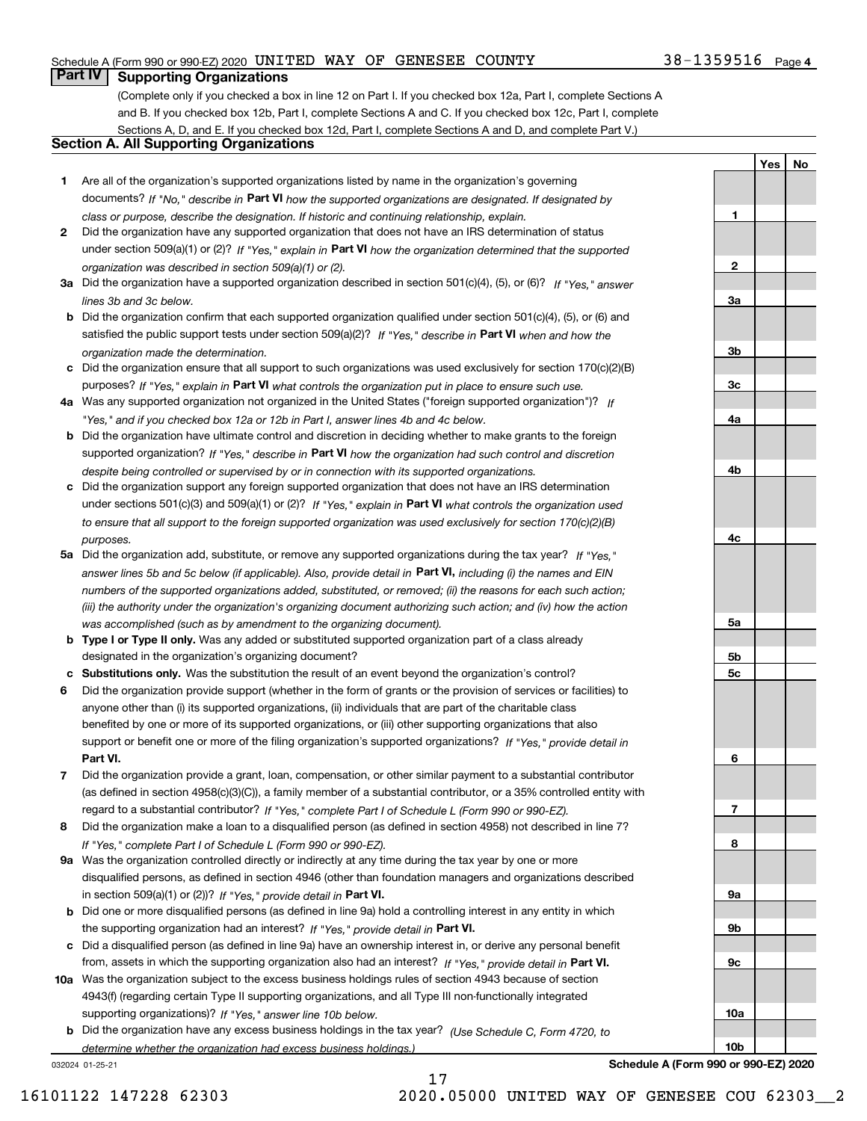#### Schedule A (Form 990 or 990-EZ) 2020 <code>UNITED WAY OF GENESEE COUNTY</code>  $38-1359516$  <code>Page</code>

### **Part IV Supporting Organizations**

(Complete only if you checked a box in line 12 on Part I. If you checked box 12a, Part I, complete Sections A and B. If you checked box 12b, Part I, complete Sections A and C. If you checked box 12c, Part I, complete Sections A, D, and E. If you checked box 12d, Part I, complete Sections A and D, and complete Part V.)

### **Section A. All Supporting Organizations**

- **1** Are all of the organization's supported organizations listed by name in the organization's governing documents? If "No," describe in **Part VI** how the supported organizations are designated. If designated by *class or purpose, describe the designation. If historic and continuing relationship, explain.*
- **2** Did the organization have any supported organization that does not have an IRS determination of status under section 509(a)(1) or (2)? If "Yes," explain in Part VI how the organization determined that the supported *organization was described in section 509(a)(1) or (2).*
- **3a** Did the organization have a supported organization described in section 501(c)(4), (5), or (6)? If "Yes," answer *lines 3b and 3c below.*
- **b** Did the organization confirm that each supported organization qualified under section 501(c)(4), (5), or (6) and satisfied the public support tests under section 509(a)(2)? If "Yes," describe in **Part VI** when and how the *organization made the determination.*
- **c**Did the organization ensure that all support to such organizations was used exclusively for section 170(c)(2)(B) purposes? If "Yes," explain in **Part VI** what controls the organization put in place to ensure such use.
- **4a***If* Was any supported organization not organized in the United States ("foreign supported organization")? *"Yes," and if you checked box 12a or 12b in Part I, answer lines 4b and 4c below.*
- **b** Did the organization have ultimate control and discretion in deciding whether to make grants to the foreign supported organization? If "Yes," describe in **Part VI** how the organization had such control and discretion *despite being controlled or supervised by or in connection with its supported organizations.*
- **c** Did the organization support any foreign supported organization that does not have an IRS determination under sections 501(c)(3) and 509(a)(1) or (2)? If "Yes," explain in **Part VI** what controls the organization used *to ensure that all support to the foreign supported organization was used exclusively for section 170(c)(2)(B) purposes.*
- **5a** Did the organization add, substitute, or remove any supported organizations during the tax year? If "Yes," answer lines 5b and 5c below (if applicable). Also, provide detail in **Part VI,** including (i) the names and EIN *numbers of the supported organizations added, substituted, or removed; (ii) the reasons for each such action; (iii) the authority under the organization's organizing document authorizing such action; and (iv) how the action was accomplished (such as by amendment to the organizing document).*
- **b** Type I or Type II only. Was any added or substituted supported organization part of a class already designated in the organization's organizing document?
- **cSubstitutions only.**  Was the substitution the result of an event beyond the organization's control?
- **6** Did the organization provide support (whether in the form of grants or the provision of services or facilities) to **Part VI.** *If "Yes," provide detail in* support or benefit one or more of the filing organization's supported organizations? anyone other than (i) its supported organizations, (ii) individuals that are part of the charitable class benefited by one or more of its supported organizations, or (iii) other supporting organizations that also
- **7**Did the organization provide a grant, loan, compensation, or other similar payment to a substantial contributor *If "Yes," complete Part I of Schedule L (Form 990 or 990-EZ).* regard to a substantial contributor? (as defined in section 4958(c)(3)(C)), a family member of a substantial contributor, or a 35% controlled entity with
- **8** Did the organization make a loan to a disqualified person (as defined in section 4958) not described in line 7? *If "Yes," complete Part I of Schedule L (Form 990 or 990-EZ).*
- **9a** Was the organization controlled directly or indirectly at any time during the tax year by one or more in section 509(a)(1) or (2))? If "Yes," *provide detail in* <code>Part VI.</code> disqualified persons, as defined in section 4946 (other than foundation managers and organizations described
- **b** Did one or more disqualified persons (as defined in line 9a) hold a controlling interest in any entity in which the supporting organization had an interest? If "Yes," provide detail in P**art VI**.
- **c**Did a disqualified person (as defined in line 9a) have an ownership interest in, or derive any personal benefit from, assets in which the supporting organization also had an interest? If "Yes," provide detail in P**art VI.**
- **10a** Was the organization subject to the excess business holdings rules of section 4943 because of section supporting organizations)? If "Yes," answer line 10b below. 4943(f) (regarding certain Type II supporting organizations, and all Type III non-functionally integrated
- **b** Did the organization have any excess business holdings in the tax year? (Use Schedule C, Form 4720, to *determine whether the organization had excess business holdings.)*

032024 01-25-21



**1**

**2**

**YesNo**

**Schedule A (Form 990 or 990-EZ) 2020**

17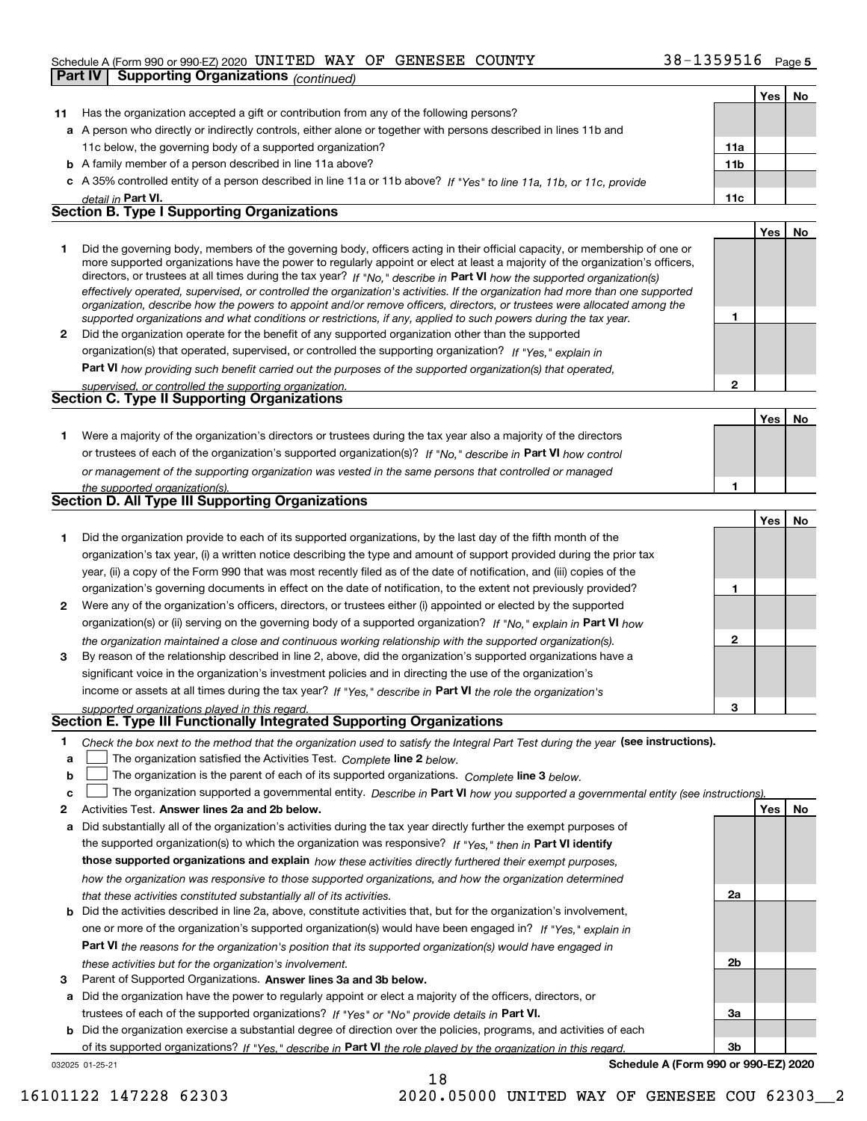#### Schedule A (Form 990 or 990-EZ) 2020 <code>UNITED WAY OF GENESEE COUNTY</code>  $38-1359516$  <code>Page</code>

|    | <b>Supporting Organizations (continued)</b><br>Part IV                                                                                                                                                                                                      |              |     |           |
|----|-------------------------------------------------------------------------------------------------------------------------------------------------------------------------------------------------------------------------------------------------------------|--------------|-----|-----------|
|    |                                                                                                                                                                                                                                                             |              | Yes | No        |
| 11 | Has the organization accepted a gift or contribution from any of the following persons?                                                                                                                                                                     |              |     |           |
|    | a A person who directly or indirectly controls, either alone or together with persons described in lines 11b and                                                                                                                                            |              |     |           |
|    | 11c below, the governing body of a supported organization?                                                                                                                                                                                                  | 11a          |     |           |
|    | <b>b</b> A family member of a person described in line 11a above?                                                                                                                                                                                           | 11b          |     |           |
|    | c A 35% controlled entity of a person described in line 11a or 11b above? If "Yes" to line 11a, 11b, or 11c, provide                                                                                                                                        |              |     |           |
|    | detail in Part VI.                                                                                                                                                                                                                                          | 11c          |     |           |
|    | <b>Section B. Type I Supporting Organizations</b>                                                                                                                                                                                                           |              |     |           |
|    |                                                                                                                                                                                                                                                             |              | Yes | No        |
| 1. | Did the governing body, members of the governing body, officers acting in their official capacity, or membership of one or<br>more supported organizations have the power to regularly appoint or elect at least a majority of the organization's officers, |              |     |           |
|    | directors, or trustees at all times during the tax year? If "No," describe in Part VI how the supported organization(s)                                                                                                                                     |              |     |           |
|    | effectively operated, supervised, or controlled the organization's activities. If the organization had more than one supported                                                                                                                              |              |     |           |
|    | organization, describe how the powers to appoint and/or remove officers, directors, or trustees were allocated among the                                                                                                                                    |              |     |           |
|    | supported organizations and what conditions or restrictions, if any, applied to such powers during the tax year.<br>Did the organization operate for the benefit of any supported organization other than the supported                                     | 1            |     |           |
| 2  | organization(s) that operated, supervised, or controlled the supporting organization? If "Yes," explain in                                                                                                                                                  |              |     |           |
|    |                                                                                                                                                                                                                                                             |              |     |           |
|    | Part VI how providing such benefit carried out the purposes of the supported organization(s) that operated,<br>supervised, or controlled the supporting organization.                                                                                       | $\mathbf{2}$ |     |           |
|    | <b>Section C. Type II Supporting Organizations</b>                                                                                                                                                                                                          |              |     |           |
|    |                                                                                                                                                                                                                                                             |              | Yes | No        |
| 1. | Were a majority of the organization's directors or trustees during the tax year also a majority of the directors                                                                                                                                            |              |     |           |
|    | or trustees of each of the organization's supported organization(s)? If "No," describe in Part VI how control                                                                                                                                               |              |     |           |
|    | or management of the supporting organization was vested in the same persons that controlled or managed                                                                                                                                                      |              |     |           |
|    | the supported organization(s).                                                                                                                                                                                                                              | 1            |     |           |
|    | Section D. All Type III Supporting Organizations                                                                                                                                                                                                            |              |     |           |
|    |                                                                                                                                                                                                                                                             |              | Yes | No        |
| 1  | Did the organization provide to each of its supported organizations, by the last day of the fifth month of the                                                                                                                                              |              |     |           |
|    | organization's tax year, (i) a written notice describing the type and amount of support provided during the prior tax                                                                                                                                       |              |     |           |
|    | year, (ii) a copy of the Form 990 that was most recently filed as of the date of notification, and (iii) copies of the                                                                                                                                      |              |     |           |
|    | organization's governing documents in effect on the date of notification, to the extent not previously provided?                                                                                                                                            | 1            |     |           |
| 2  | Were any of the organization's officers, directors, or trustees either (i) appointed or elected by the supported                                                                                                                                            |              |     |           |
|    | organization(s) or (ii) serving on the governing body of a supported organization? If "No," explain in Part VI how                                                                                                                                          |              |     |           |
|    | the organization maintained a close and continuous working relationship with the supported organization(s).                                                                                                                                                 | $\mathbf{2}$ |     |           |
| 3  | By reason of the relationship described in line 2, above, did the organization's supported organizations have a                                                                                                                                             |              |     |           |
|    | significant voice in the organization's investment policies and in directing the use of the organization's                                                                                                                                                  |              |     |           |
|    | income or assets at all times during the tax year? If "Yes," describe in Part VI the role the organization's                                                                                                                                                | з            |     |           |
|    | supported organizations played in this regard.<br>Section E. Type III Functionally Integrated Supporting Organizations                                                                                                                                      |              |     |           |
| 1  | Check the box next to the method that the organization used to satisfy the Integral Part Test during the year (see instructions).                                                                                                                           |              |     |           |
| a  | The organization satisfied the Activities Test. Complete line 2 below.                                                                                                                                                                                      |              |     |           |
| b  | The organization is the parent of each of its supported organizations. Complete line 3 below.                                                                                                                                                               |              |     |           |
| с  | The organization supported a governmental entity. Describe in Part VI how you supported a governmental entity (see instructions)                                                                                                                            |              |     |           |
| 2  | Activities Test. Answer lines 2a and 2b below.                                                                                                                                                                                                              |              | Yes | <u>No</u> |
| а  | Did substantially all of the organization's activities during the tax year directly further the exempt purposes of                                                                                                                                          |              |     |           |
|    | the supported organization(s) to which the organization was responsive? If "Yes," then in Part VI identify                                                                                                                                                  |              |     |           |
|    | those supported organizations and explain how these activities directly furthered their exempt purposes,                                                                                                                                                    |              |     |           |

**b** Did the activities described in line 2a, above, constitute activities that, but for the organization's involvement, **Part VI**  *the reasons for the organization's position that its supported organization(s) would have engaged in how the organization was responsive to those supported organizations, and how the organization determined that these activities constituted substantially all of its activities.* one or more of the organization's supported organization(s) would have been engaged in? If "Yes," e*xplain in* 



**3** Parent of Supported Organizations. Answer lines 3a and 3b below.

*these activities but for the organization's involvement.*

**a** Did the organization have the power to regularly appoint or elect a majority of the officers, directors, or trustees of each of the supported organizations? If "Yes" or "No" provide details in **Part VI.** 

**b** Did the organization exercise a substantial degree of direction over the policies, programs, and activities of each of its supported organizations? If "Yes," describe in Part VI the role played by the organization in this regard.

032025 01-25-21

**Schedule A (Form 990 or 990-EZ) 2020**

16101122 147228 62303 2020.05000 UNITED WAY OF GENESEE COU 62303\_\_2

18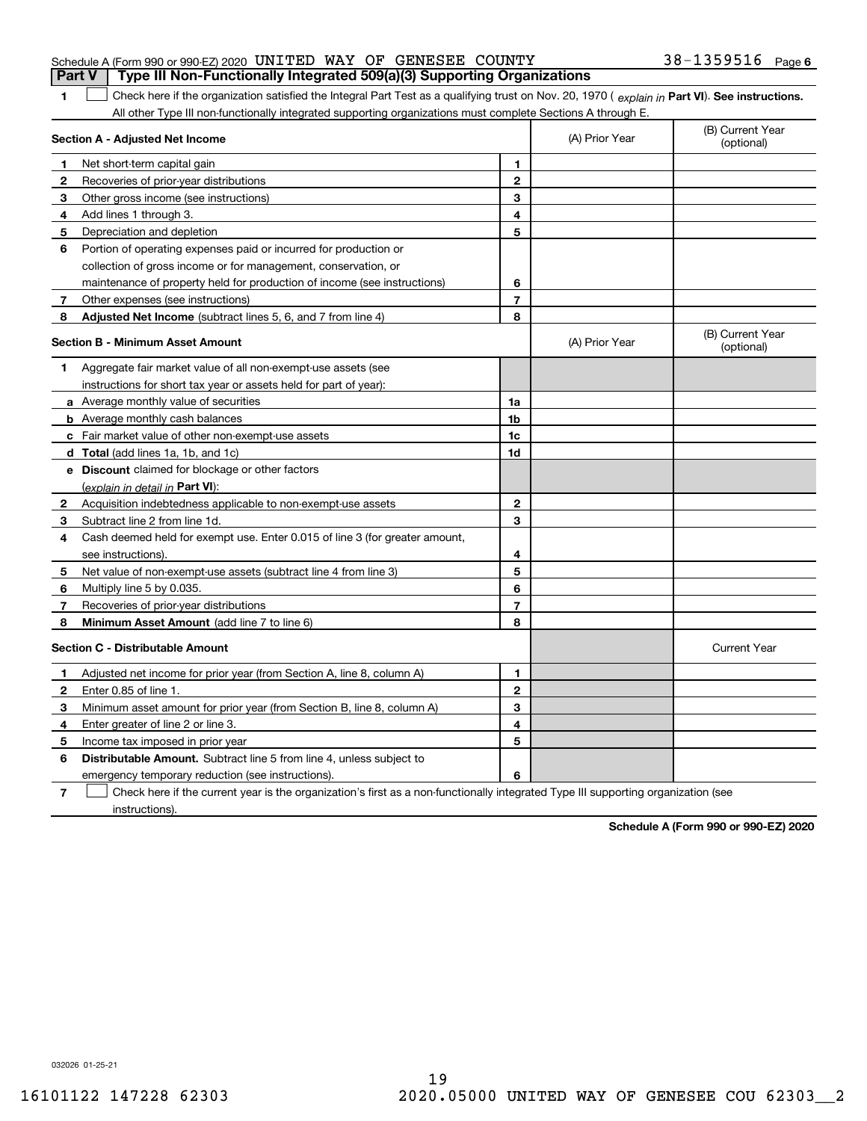|              | Schedule A (Form 990 or 990-EZ) 2020 UNITED WAY OF GENESEE COUNTY                                                                              | $38 - 1359516$ Page 6 |                |                                |
|--------------|------------------------------------------------------------------------------------------------------------------------------------------------|-----------------------|----------------|--------------------------------|
|              | Type III Non-Functionally Integrated 509(a)(3) Supporting Organizations<br><b>Part V</b>                                                       |                       |                |                                |
| 1            | Check here if the organization satisfied the Integral Part Test as a qualifying trust on Nov. 20, 1970 (explain in Part VI). See instructions. |                       |                |                                |
|              | All other Type III non-functionally integrated supporting organizations must complete Sections A through E.                                    |                       |                |                                |
|              | Section A - Adjusted Net Income                                                                                                                |                       | (A) Prior Year | (B) Current Year<br>(optional) |
|              | Net short-term capital gain                                                                                                                    | 1                     |                |                                |
| $\mathbf{2}$ | Recoveries of prior-year distributions                                                                                                         | $\mathbf{2}$          |                |                                |
| 3            | Other gross income (see instructions)                                                                                                          | 3                     |                |                                |
| 4            | Add lines 1 through 3.                                                                                                                         | 4                     |                |                                |
| 5            | Depreciation and depletion                                                                                                                     | 5                     |                |                                |
| 6            | Portion of operating expenses paid or incurred for production or                                                                               |                       |                |                                |
|              | collection of gross income or for management, conservation, or                                                                                 |                       |                |                                |
|              | maintenance of property held for production of income (see instructions)                                                                       | 6                     |                |                                |
| 7            | Other expenses (see instructions)                                                                                                              | 7                     |                |                                |
| 8            | Adjusted Net Income (subtract lines 5, 6, and 7 from line 4)                                                                                   | 8                     |                |                                |
|              | <b>Section B - Minimum Asset Amount</b>                                                                                                        |                       | (A) Prior Year | (B) Current Year<br>(optional) |
| 1            | Aggregate fair market value of all non-exempt-use assets (see                                                                                  |                       |                |                                |
|              | instructions for short tax year or assets held for part of year):                                                                              |                       |                |                                |
|              | a Average monthly value of securities                                                                                                          | 1a                    |                |                                |
|              | <b>b</b> Average monthly cash balances                                                                                                         | 1 <sub>b</sub>        |                |                                |
| c.           | Fair market value of other non-exempt-use assets                                                                                               | 1c                    |                |                                |
|              | d Total (add lines 1a, 1b, and 1c)                                                                                                             | 1d                    |                |                                |
|              | e Discount claimed for blockage or other factors                                                                                               |                       |                |                                |
|              | (explain in detail in Part VI):                                                                                                                |                       |                |                                |
| $\mathbf{2}$ | Acquisition indebtedness applicable to non-exempt-use assets                                                                                   | 2                     |                |                                |
| 3            | Subtract line 2 from line 1d.                                                                                                                  | 3                     |                |                                |
| 4            | Cash deemed held for exempt use. Enter 0.015 of line 3 (for greater amount,                                                                    |                       |                |                                |
|              | see instructions).                                                                                                                             | 4                     |                |                                |
| 5            | Net value of non-exempt-use assets (subtract line 4 from line 3)                                                                               | 5                     |                |                                |
| 6            | Multiply line 5 by 0.035.                                                                                                                      | 6                     |                |                                |

**Minimum Asset Amount**  (add line 7 to line 6)

Recoveries of prior-year distributions

**78**

|   | <b>Section C - Distributable Amount</b>                                                                                           |   | <b>Current Year</b> |  |  |
|---|-----------------------------------------------------------------------------------------------------------------------------------|---|---------------------|--|--|
|   | Adjusted net income for prior year (from Section A, line 8, column A)                                                             |   |                     |  |  |
|   | Enter 0.85 of line 1                                                                                                              |   |                     |  |  |
|   | Minimum asset amount for prior year (from Section B, line 8, column A)                                                            |   |                     |  |  |
| 4 | Enter greater of line 2 or line 3.                                                                                                | 4 |                     |  |  |
| 5 | Income tax imposed in prior year                                                                                                  |   |                     |  |  |
| 6 | <b>Distributable Amount.</b> Subtract line 5 from line 4, unless subject to                                                       |   |                     |  |  |
|   | emergency temporary reduction (see instructions).                                                                                 | 6 |                     |  |  |
|   | Check here if the current year is the organization's first as a non-functionally integrated Type III supporting organization (see |   |                     |  |  |

**78**

instructions).

**Schedule A (Form 990 or 990-EZ) 2020**

032026 01-25-21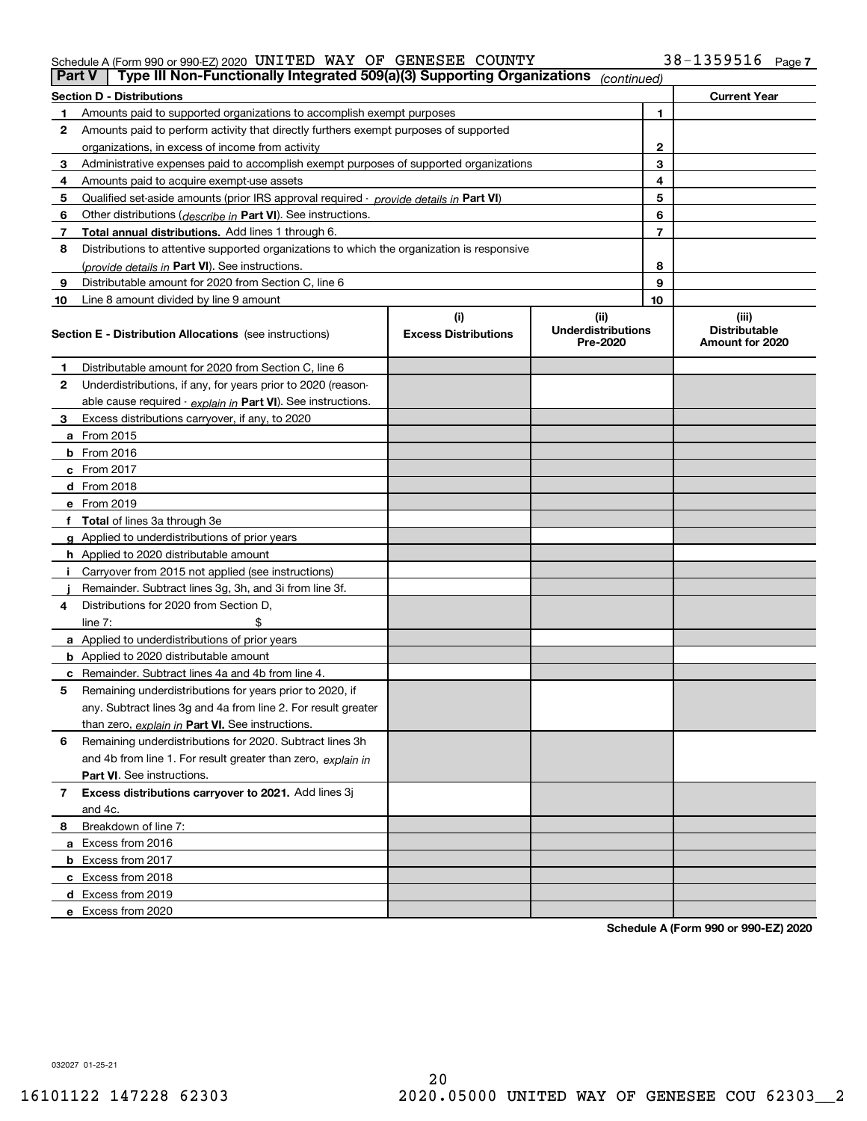#### Schedule A (Form 990 or 990-EZ) 2020 <code>UNITED WAY OF GENESEE COUNTY</code>  $38-1359516$  <code>Page</code>

| <b>Part V</b> | Type III Non-Functionally Integrated 509(a)(3) Supporting Organizations                    |                             | (continued)                           |              |                                         |
|---------------|--------------------------------------------------------------------------------------------|-----------------------------|---------------------------------------|--------------|-----------------------------------------|
|               | <b>Section D - Distributions</b>                                                           |                             |                                       |              | <b>Current Year</b>                     |
| 1             | Amounts paid to supported organizations to accomplish exempt purposes                      |                             |                                       | 1            |                                         |
| 2             | Amounts paid to perform activity that directly furthers exempt purposes of supported       |                             |                                       |              |                                         |
|               | organizations, in excess of income from activity                                           |                             |                                       | $\mathbf{2}$ |                                         |
| 3             | Administrative expenses paid to accomplish exempt purposes of supported organizations      |                             |                                       | 3            |                                         |
| 4             | Amounts paid to acquire exempt-use assets                                                  |                             |                                       | 4            |                                         |
| 5             | Qualified set-aside amounts (prior IRS approval required - provide details in Part VI)     |                             |                                       | 5            |                                         |
| 6             | Other distributions ( <i>describe in</i> Part VI). See instructions.                       |                             |                                       | 6            |                                         |
| 7             | Total annual distributions. Add lines 1 through 6.                                         |                             |                                       | 7            |                                         |
| 8             | Distributions to attentive supported organizations to which the organization is responsive |                             |                                       |              |                                         |
|               | (provide details in Part VI). See instructions.                                            |                             |                                       | 8            |                                         |
| 9             | Distributable amount for 2020 from Section C, line 6                                       |                             |                                       | 9            |                                         |
| 10            | Line 8 amount divided by line 9 amount                                                     |                             |                                       | 10           |                                         |
|               |                                                                                            | (i)                         | (ii)                                  |              | (iii)                                   |
|               | Section E - Distribution Allocations (see instructions)                                    | <b>Excess Distributions</b> | <b>Underdistributions</b><br>Pre-2020 |              | <b>Distributable</b><br>Amount for 2020 |
| 1             | Distributable amount for 2020 from Section C, line 6                                       |                             |                                       |              |                                         |
| 2             | Underdistributions, if any, for years prior to 2020 (reason-                               |                             |                                       |              |                                         |
|               | able cause required - explain in Part VI). See instructions.                               |                             |                                       |              |                                         |
| 3             | Excess distributions carryover, if any, to 2020                                            |                             |                                       |              |                                         |
|               | <b>a</b> From 2015                                                                         |                             |                                       |              |                                         |
|               | <b>b</b> From 2016                                                                         |                             |                                       |              |                                         |
|               | c From 2017                                                                                |                             |                                       |              |                                         |
|               | <b>d</b> From 2018                                                                         |                             |                                       |              |                                         |
|               | e From 2019                                                                                |                             |                                       |              |                                         |
|               | f Total of lines 3a through 3e                                                             |                             |                                       |              |                                         |
|               | g Applied to underdistributions of prior years                                             |                             |                                       |              |                                         |
|               | <b>h</b> Applied to 2020 distributable amount                                              |                             |                                       |              |                                         |
|               | Carryover from 2015 not applied (see instructions)                                         |                             |                                       |              |                                         |
|               | Remainder. Subtract lines 3g, 3h, and 3i from line 3f.                                     |                             |                                       |              |                                         |
| 4             | Distributions for 2020 from Section D,                                                     |                             |                                       |              |                                         |
|               | line $7:$                                                                                  |                             |                                       |              |                                         |
|               | a Applied to underdistributions of prior years                                             |                             |                                       |              |                                         |
|               | <b>b</b> Applied to 2020 distributable amount                                              |                             |                                       |              |                                         |
|               | c Remainder. Subtract lines 4a and 4b from line 4.                                         |                             |                                       |              |                                         |
| 5             | Remaining underdistributions for years prior to 2020, if                                   |                             |                                       |              |                                         |
|               | any. Subtract lines 3g and 4a from line 2. For result greater                              |                             |                                       |              |                                         |
|               | than zero, explain in Part VI. See instructions.                                           |                             |                                       |              |                                         |
| 6             | Remaining underdistributions for 2020. Subtract lines 3h                                   |                             |                                       |              |                                         |
|               | and 4b from line 1. For result greater than zero, explain in                               |                             |                                       |              |                                         |
|               | Part VI. See instructions.                                                                 |                             |                                       |              |                                         |
| 7             | Excess distributions carryover to 2021. Add lines 3j                                       |                             |                                       |              |                                         |
|               | and 4c.                                                                                    |                             |                                       |              |                                         |
| 8             | Breakdown of line 7:                                                                       |                             |                                       |              |                                         |
|               | a Excess from 2016                                                                         |                             |                                       |              |                                         |
|               | <b>b</b> Excess from 2017                                                                  |                             |                                       |              |                                         |
|               | c Excess from 2018                                                                         |                             |                                       |              |                                         |
|               | d Excess from 2019                                                                         |                             |                                       |              |                                         |
|               | e Excess from 2020                                                                         |                             |                                       |              |                                         |

**Schedule A (Form 990 or 990-EZ) 2020**

032027 01-25-21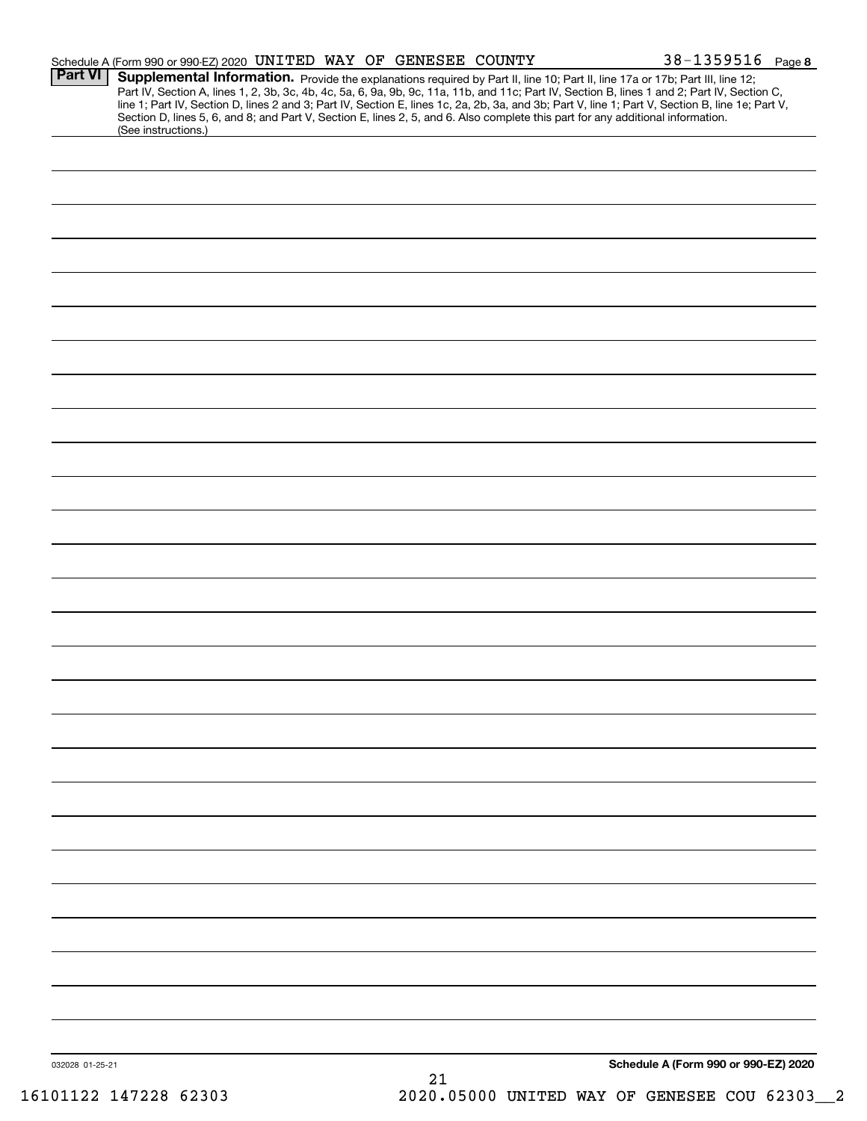|                 | Schedule A (Form 990 or 990-EZ) 2020 UNITED WAY OF GENESEE COUNTY |  |    | $38 - 1359516$ Page 8                                                                                                                                                                                                                                                                                                                                                                                                                                                                                                                                                |
|-----------------|-------------------------------------------------------------------|--|----|----------------------------------------------------------------------------------------------------------------------------------------------------------------------------------------------------------------------------------------------------------------------------------------------------------------------------------------------------------------------------------------------------------------------------------------------------------------------------------------------------------------------------------------------------------------------|
| Part VI         | (See instructions.)                                               |  |    | Supplemental Information. Provide the explanations required by Part II, line 10; Part II, line 17a or 17b; Part III, line 12;<br>Part IV, Section A, lines 1, 2, 3b, 3c, 4b, 4c, 5a, 6, 9a, 9b, 9c, 11a, 11b, and 11c; Part IV, Section B, lines 1 and 2; Part IV, Section C,<br>line 1; Part IV, Section D, lines 2 and 3; Part IV, Section E, lines 1c, 2a, 2b, 3a, and 3b; Part V, line 1; Part V, Section B, line 1e; Part V,<br>Section D, lines 5, 6, and 8; and Part V, Section E, lines 2, 5, and 6. Also complete this part for any additional information. |
|                 |                                                                   |  |    |                                                                                                                                                                                                                                                                                                                                                                                                                                                                                                                                                                      |
|                 |                                                                   |  |    |                                                                                                                                                                                                                                                                                                                                                                                                                                                                                                                                                                      |
|                 |                                                                   |  |    |                                                                                                                                                                                                                                                                                                                                                                                                                                                                                                                                                                      |
|                 |                                                                   |  |    |                                                                                                                                                                                                                                                                                                                                                                                                                                                                                                                                                                      |
|                 |                                                                   |  |    |                                                                                                                                                                                                                                                                                                                                                                                                                                                                                                                                                                      |
|                 |                                                                   |  |    |                                                                                                                                                                                                                                                                                                                                                                                                                                                                                                                                                                      |
|                 |                                                                   |  |    |                                                                                                                                                                                                                                                                                                                                                                                                                                                                                                                                                                      |
|                 |                                                                   |  |    |                                                                                                                                                                                                                                                                                                                                                                                                                                                                                                                                                                      |
|                 |                                                                   |  |    |                                                                                                                                                                                                                                                                                                                                                                                                                                                                                                                                                                      |
|                 |                                                                   |  |    |                                                                                                                                                                                                                                                                                                                                                                                                                                                                                                                                                                      |
|                 |                                                                   |  |    |                                                                                                                                                                                                                                                                                                                                                                                                                                                                                                                                                                      |
|                 |                                                                   |  |    |                                                                                                                                                                                                                                                                                                                                                                                                                                                                                                                                                                      |
|                 |                                                                   |  |    |                                                                                                                                                                                                                                                                                                                                                                                                                                                                                                                                                                      |
|                 |                                                                   |  |    |                                                                                                                                                                                                                                                                                                                                                                                                                                                                                                                                                                      |
|                 |                                                                   |  |    |                                                                                                                                                                                                                                                                                                                                                                                                                                                                                                                                                                      |
|                 |                                                                   |  |    |                                                                                                                                                                                                                                                                                                                                                                                                                                                                                                                                                                      |
|                 |                                                                   |  |    |                                                                                                                                                                                                                                                                                                                                                                                                                                                                                                                                                                      |
|                 |                                                                   |  |    |                                                                                                                                                                                                                                                                                                                                                                                                                                                                                                                                                                      |
|                 |                                                                   |  |    |                                                                                                                                                                                                                                                                                                                                                                                                                                                                                                                                                                      |
|                 |                                                                   |  |    |                                                                                                                                                                                                                                                                                                                                                                                                                                                                                                                                                                      |
|                 |                                                                   |  |    |                                                                                                                                                                                                                                                                                                                                                                                                                                                                                                                                                                      |
|                 |                                                                   |  |    |                                                                                                                                                                                                                                                                                                                                                                                                                                                                                                                                                                      |
|                 |                                                                   |  |    |                                                                                                                                                                                                                                                                                                                                                                                                                                                                                                                                                                      |
|                 |                                                                   |  |    |                                                                                                                                                                                                                                                                                                                                                                                                                                                                                                                                                                      |
|                 |                                                                   |  |    |                                                                                                                                                                                                                                                                                                                                                                                                                                                                                                                                                                      |
|                 |                                                                   |  |    |                                                                                                                                                                                                                                                                                                                                                                                                                                                                                                                                                                      |
|                 |                                                                   |  |    |                                                                                                                                                                                                                                                                                                                                                                                                                                                                                                                                                                      |
|                 |                                                                   |  |    |                                                                                                                                                                                                                                                                                                                                                                                                                                                                                                                                                                      |
|                 |                                                                   |  |    |                                                                                                                                                                                                                                                                                                                                                                                                                                                                                                                                                                      |
| 032028 01-25-21 |                                                                   |  | 21 | Schedule A (Form 990 or 990-EZ) 2020                                                                                                                                                                                                                                                                                                                                                                                                                                                                                                                                 |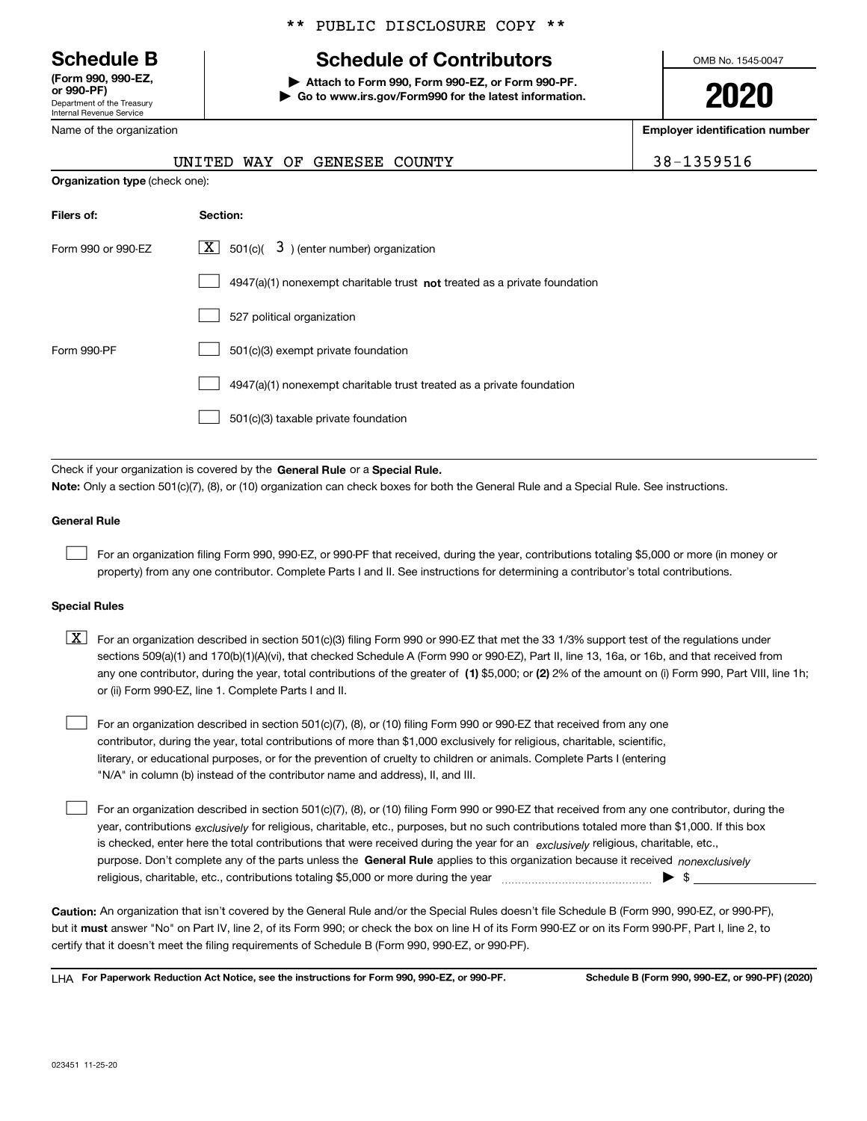Department of the Treasury Internal Revenue Service **(Form 990, 990-EZ, or 990-PF)**

Name of the organization

### \*\* PUBLIC DISCLOSURE COPY \*\*

# **Schedule B Schedule of Contributors**

**| Attach to Form 990, Form 990-EZ, or Form 990-PF. | Go to www.irs.gov/Form990 for the latest information.** OMB No. 1545-0047

**2020**

**Employer identification number**

|  |  |  |  | 38-1359516 |  |
|--|--|--|--|------------|--|
|  |  |  |  |            |  |

|                                       | WAY OF GENESEE COUNTY<br>UNITED                                           | 38-1359516 |
|---------------------------------------|---------------------------------------------------------------------------|------------|
| <b>Organization type (check one):</b> |                                                                           |            |
| Filers of:                            | Section:                                                                  |            |
| Form 990 or 990-EZ                    | $3$ ) (enter number) organization<br>$\mathbf{X}$ 501(c)(                 |            |
|                                       | 4947(a)(1) nonexempt charitable trust not treated as a private foundation |            |
|                                       | 527 political organization                                                |            |
| Form 990-PF                           | 501(c)(3) exempt private foundation                                       |            |
|                                       | 4947(a)(1) nonexempt charitable trust treated as a private foundation     |            |
|                                       | 501(c)(3) taxable private foundation                                      |            |

Check if your organization is covered by the **General Rule** or a **Special Rule. Note:**  Only a section 501(c)(7), (8), or (10) organization can check boxes for both the General Rule and a Special Rule. See instructions.

#### **General Rule**

 $\mathcal{L}^{\text{max}}$ 

For an organization filing Form 990, 990-EZ, or 990-PF that received, during the year, contributions totaling \$5,000 or more (in money or property) from any one contributor. Complete Parts I and II. See instructions for determining a contributor's total contributions.

#### **Special Rules**

any one contributor, during the year, total contributions of the greater of  $\,$  (1) \$5,000; or **(2)** 2% of the amount on (i) Form 990, Part VIII, line 1h;  $\boxed{\textbf{X}}$  For an organization described in section 501(c)(3) filing Form 990 or 990-EZ that met the 33 1/3% support test of the regulations under sections 509(a)(1) and 170(b)(1)(A)(vi), that checked Schedule A (Form 990 or 990-EZ), Part II, line 13, 16a, or 16b, and that received from or (ii) Form 990-EZ, line 1. Complete Parts I and II.

For an organization described in section 501(c)(7), (8), or (10) filing Form 990 or 990-EZ that received from any one contributor, during the year, total contributions of more than \$1,000 exclusively for religious, charitable, scientific, literary, or educational purposes, or for the prevention of cruelty to children or animals. Complete Parts I (entering "N/A" in column (b) instead of the contributor name and address), II, and III.  $\mathcal{L}^{\text{max}}$ 

purpose. Don't complete any of the parts unless the **General Rule** applies to this organization because it received *nonexclusively* year, contributions <sub>exclusively</sub> for religious, charitable, etc., purposes, but no such contributions totaled more than \$1,000. If this box is checked, enter here the total contributions that were received during the year for an  $\;$ exclusively religious, charitable, etc., For an organization described in section 501(c)(7), (8), or (10) filing Form 990 or 990-EZ that received from any one contributor, during the religious, charitable, etc., contributions totaling \$5,000 or more during the year  $\Box$ — $\Box$   $\Box$  $\mathcal{L}^{\text{max}}$ 

**Caution:**  An organization that isn't covered by the General Rule and/or the Special Rules doesn't file Schedule B (Form 990, 990-EZ, or 990-PF),  **must** but it answer "No" on Part IV, line 2, of its Form 990; or check the box on line H of its Form 990-EZ or on its Form 990-PF, Part I, line 2, to certify that it doesn't meet the filing requirements of Schedule B (Form 990, 990-EZ, or 990-PF).

**For Paperwork Reduction Act Notice, see the instructions for Form 990, 990-EZ, or 990-PF. Schedule B (Form 990, 990-EZ, or 990-PF) (2020)** LHA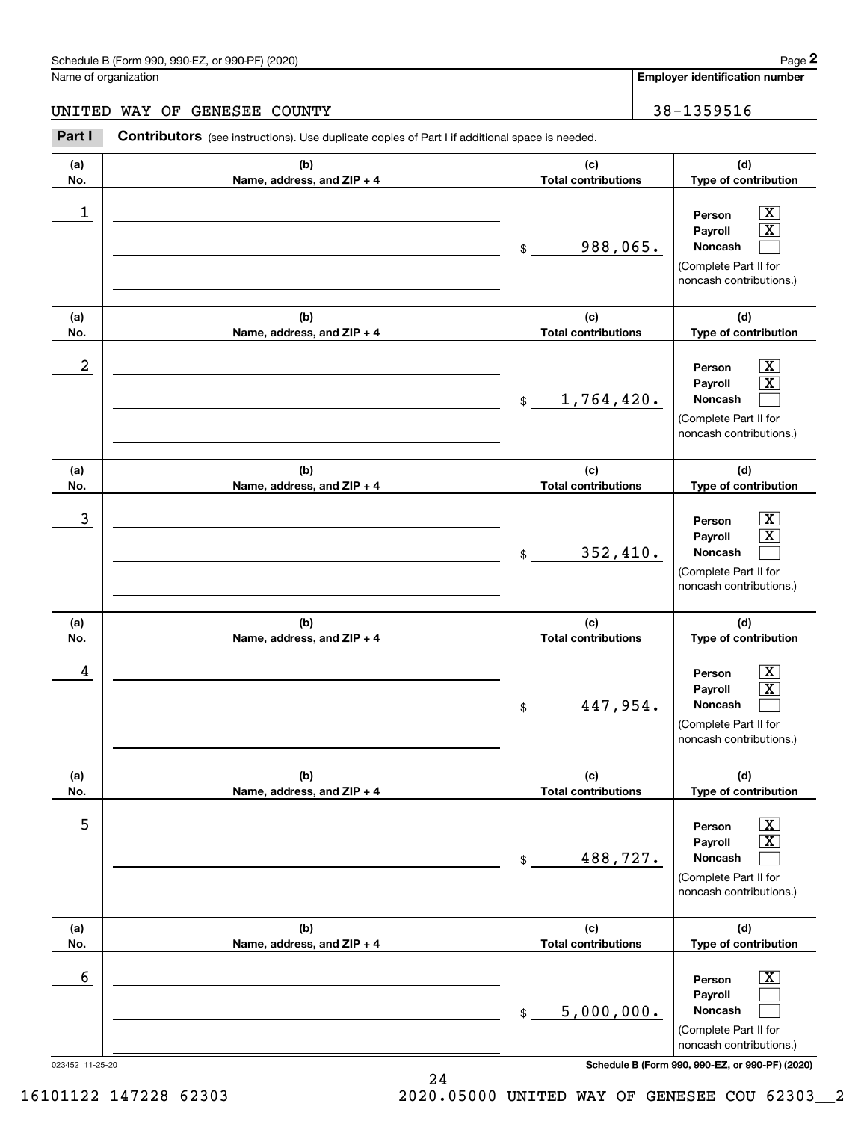$|X|$  X  $\mathcal{L}^{\text{max}}$ 

 $\boxed{\text{X}}$  X  $\mathcal{L}^{\text{max}}$ 

 $|X|$  X  $\mathcal{L}^{\text{max}}$ 

 $|X|$  X  $\mathcal{L}^{\text{max}}$ 

 $\boxed{\text{X}}$  X  $\mathcal{L}^{\text{max}}$ 

**Employer identification number**

**(a)No.(b)Name, address, and ZIP + 4 (c)Total contributions (d)Type of contribution PersonPayrollNoncash (a)No.(b)Name, address, and ZIP + 4 (c)Total contributions (d)Type of contribution PersonPayrollNoncash (a)No.(b)Name, address, and ZIP + 4 (c)Total contributions (d)Type of contribution PersonPayrollNoncash (a) No.(b) Name, address, and ZIP + 4 (c) Total contributions Type of contribution PersonPayrollNoncash (a) No.(b) Name, address, and ZIP + 4 (c) Total contributions Type of contribution PersonPayrollNoncash (a) No.(b)Name, address, and ZIP + 4 (c) Total contributions (d)Type of contribution** Schedule B (Form 990, 990-EZ, or 990-PF) (2020) **Page 2** Page 2 and the state of the state of the state of the state of the state of the state of the state of the state of the state of the state of the state of the state o Name of organization Contributors (see instructions). Use duplicate copies of Part I if additional space is needed. \$(Complete Part II for noncash contributions.) \$(Complete Part II for noncash contributions.) \$(Complete Part II for noncash contributions.) \$(Complete Part II for noncash contributions.) \$(Complete Part II for noncash contributions.) Employer identification Page 2<br>
Iame of organization<br> **2Part I 2Part I Contributors** (see instructions). Use duplicate copies of Part I if additional space is needed.<br>
2Part I **Contributors** (see instructions). Use dup  $\begin{array}{c|c|c|c|c|c} 1 & \hspace{1.5cm} & \hspace{1.5cm} & \hspace{1.5cm} & \hspace{1.5cm} & \hspace{1.5cm} & \hspace{1.5cm} & \hspace{1.5cm} & \hspace{1.5cm} & \hspace{1.5cm} & \hspace{1.5cm} & \hspace{1.5cm} & \hspace{1.5cm} & \hspace{1.5cm} & \hspace{1.5cm} & \hspace{1.5cm} & \hspace{1.5cm} & \hspace{1.5cm} & \hspace{1.5cm} & \hspace{1.5cm} & \hspace{1.5cm} &$ 988,065.  $2$  | Person  $\overline{\text{X}}$ 1,764,420.  $\overline{3}$  | Person  $\overline{X}$ 352,410.  $4$  | Person  $\overline{\text{X}}$ 447,954.  $\sim$  5 | Person X 488,727. UNITED WAY OF GENESEE COUNTY **38-1359516** 

**PersonPayrollNoncash** (Complete Part II for noncash contributions.)  $\lfloor x \rfloor$  $\mathcal{L}^{\text{max}}$  $\mathcal{L}^{\text{max}}$  $\sim$  6 | Person X 5,000,000.

**(d)**

**(d)**

| $-25-20$ |  |
|----------|--|
|          |  |

023452 11-25-20 **Schedule B (Form 990, 990-EZ, or 990-PF) (2020)**

24

 $$$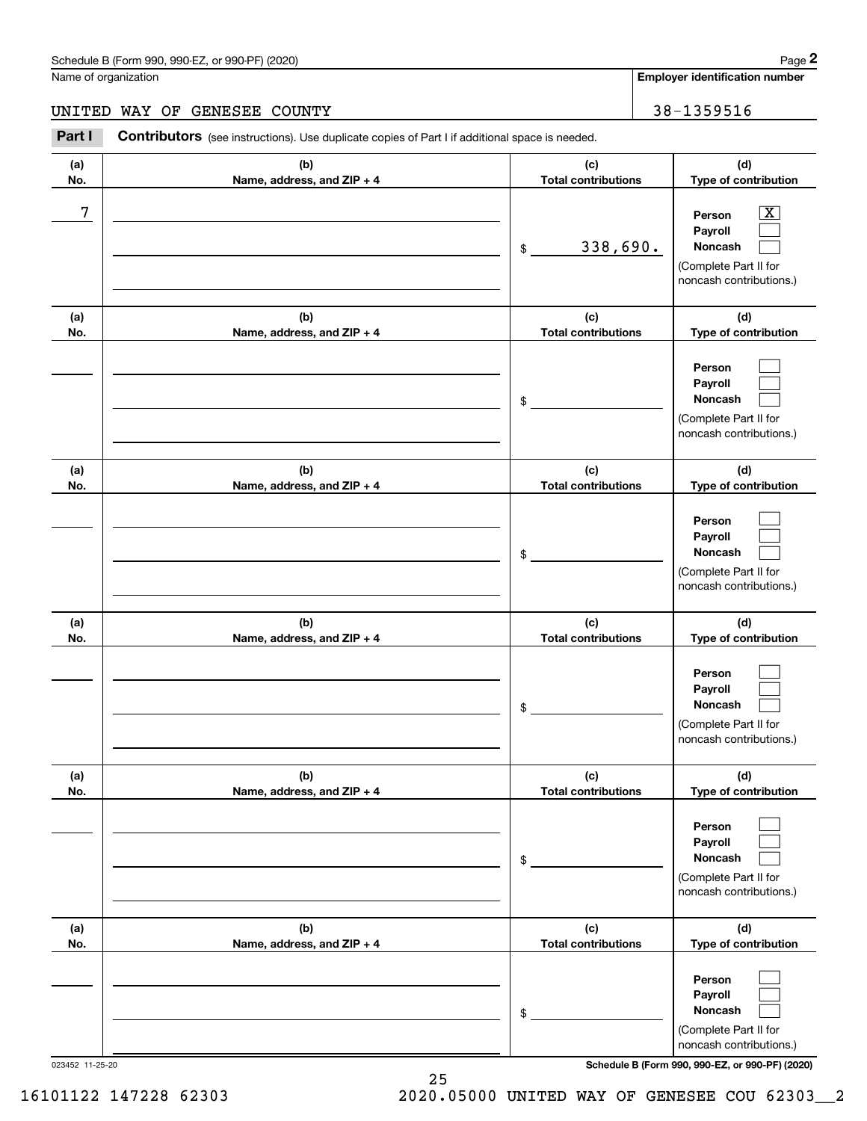**Employer identification number**

#### UNITED WAY OF GENESEE COUNTY **1990 120 120 139 139 1359516**

**(a)No.(b)Name, address, and ZIP + 4 (c)Total contributions (d)Type of contribution PersonPayrollNoncash (a)No.(b)Name, address, and ZIP + 4 (c)Total contributions (d)Type of contribution PersonPayrollNoncash (a)No.(b)Name, address, and ZIP + 4 (c)Total contributions (d)Type of contribution PersonPayrollNoncash (a) No.(b) Name, address, and ZIP + 4 (c) Total contributions (d) Type of contribution PersonPayrollNoncash(a) No.(b) Name, address, and ZIP + 4 (c) Total contributions (d) Type of contribution PersonPayrollNoncash(a) No.(b)Name, address, and ZIP + 4 (c) Total contributions (d)Type of contribution PersonPayrollNoncash** Contributors (see instructions). Use duplicate copies of Part I if additional space is needed. \$(Complete Part II for noncash contributions.) \$(Complete Part II for noncash contributions.) \$(Complete Part II for noncash contributions.) \$(Complete Part II for noncash contributions.) \$(Complete Part II for noncash contributions.) \$(Complete Part II for noncash contributions.) Employer identification Page 2<br>
Iame of organization<br> **2Part I 2Part I Contributors** (see instructions). Use duplicate copies of Part I if additional space is needed.<br>
2Part I **Contributors** (see instructions). Use dup  $|X|$  $\mathcal{L}^{\text{max}}$  $\mathcal{L}^{\text{max}}$  $\mathcal{L}^{\text{max}}$  $\mathcal{L}^{\text{max}}$  $\mathcal{L}^{\text{max}}$  $\mathcal{L}^{\text{max}}$  $\mathcal{L}^{\text{max}}$  $\mathcal{L}^{\text{max}}$  $\mathcal{L}^{\text{max}}$  $\mathcal{L}^{\text{max}}$  $\mathcal{L}^{\text{max}}$  $\mathcal{L}^{\text{max}}$  $\mathcal{L}^{\text{max}}$  $\mathcal{L}^{\text{max}}$  $\mathcal{L}^{\text{max}}$  $\mathcal{L}^{\text{max}}$  $\mathcal{L}^{\text{max}}$ 7 X 338,690.

023452 11-25-20 **Schedule B (Form 990, 990-EZ, or 990-PF) (2020)**

16101122 147228 62303 2020.05000 UNITED WAY OF GENESEE COU 62303\_\_2

25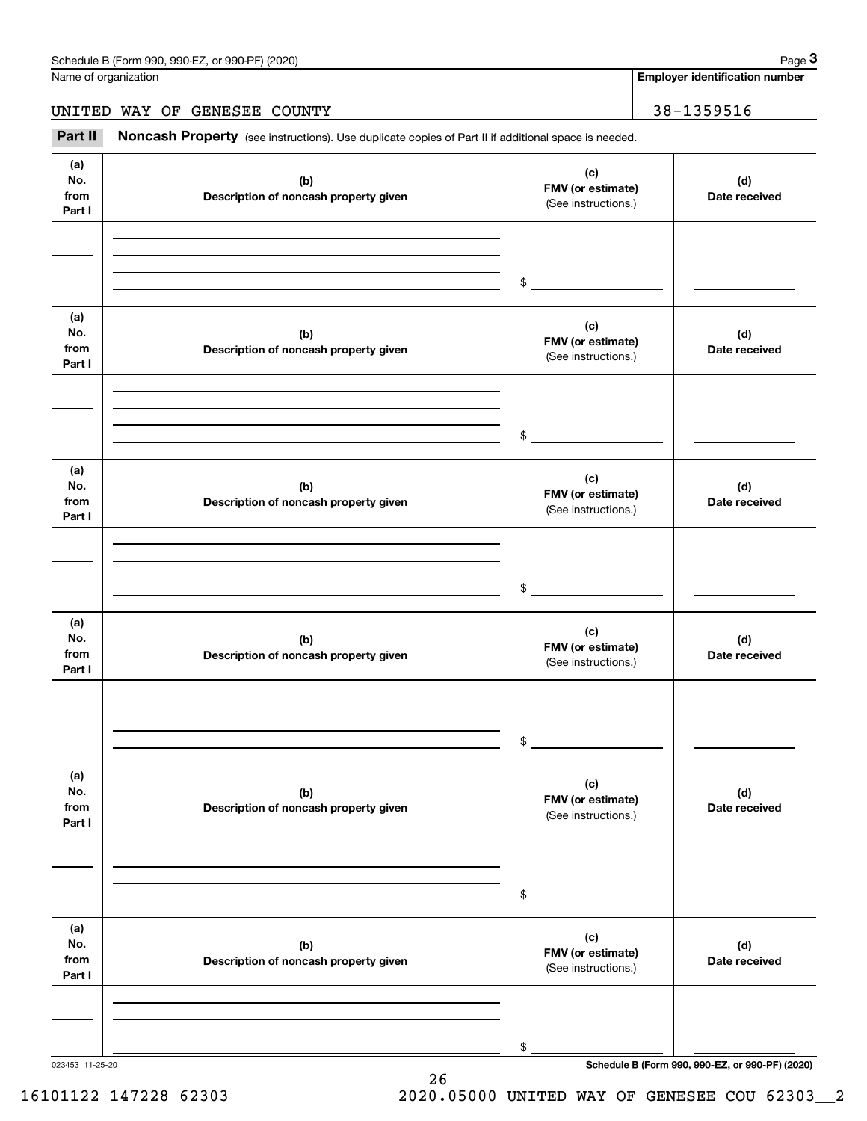Name of organization

**Employer identification number**

UNITED WAY OF GENESEE COUNTY 38-1359516

(see instructions). Use duplicate copies of Part II if additional space is needed.<br> **2Part II Noncash Property** (see instructions). Use duplicate copies of Part II if additional space is needed.<br> **Part II Noncash Prope** 

| (a)<br>No.<br>from<br>Part I | (b)<br>Description of noncash property given | (c)<br>FMV (or estimate)<br>(See instructions.) | (d)<br>Date received                            |
|------------------------------|----------------------------------------------|-------------------------------------------------|-------------------------------------------------|
|                              |                                              |                                                 |                                                 |
|                              |                                              |                                                 |                                                 |
|                              |                                              | \$                                              |                                                 |
| (a)<br>No.<br>from<br>Part I | (b)<br>Description of noncash property given | (c)<br>FMV (or estimate)<br>(See instructions.) | (d)<br>Date received                            |
|                              |                                              |                                                 |                                                 |
|                              |                                              |                                                 |                                                 |
|                              |                                              | \$                                              |                                                 |
| (a)<br>No.<br>from<br>Part I | (b)<br>Description of noncash property given | (c)<br>FMV (or estimate)<br>(See instructions.) | (d)<br>Date received                            |
|                              |                                              |                                                 |                                                 |
|                              |                                              |                                                 |                                                 |
|                              |                                              | \$                                              |                                                 |
| (a)<br>No.<br>from<br>Part I | (b)<br>Description of noncash property given | (c)<br>FMV (or estimate)<br>(See instructions.) | (d)<br>Date received                            |
|                              |                                              |                                                 |                                                 |
|                              |                                              |                                                 |                                                 |
|                              |                                              | \$                                              |                                                 |
| (a)<br>No.<br>from<br>Part I | (b)<br>Description of noncash property given | (c)<br>FMV (or estimate)<br>(See instructions.) | (d)<br>Date received                            |
|                              |                                              |                                                 |                                                 |
|                              |                                              |                                                 |                                                 |
|                              |                                              | \$                                              |                                                 |
| (a)                          |                                              | (c)                                             |                                                 |
| No.<br>from                  | (b)<br>Description of noncash property given | FMV (or estimate)                               | (d)<br>Date received                            |
| Part I                       |                                              | (See instructions.)                             |                                                 |
|                              |                                              |                                                 |                                                 |
|                              |                                              |                                                 |                                                 |
| 023453 11-25-20              |                                              | \$                                              | Schedule B (Form 990, 990-EZ, or 990-PF) (2020) |

26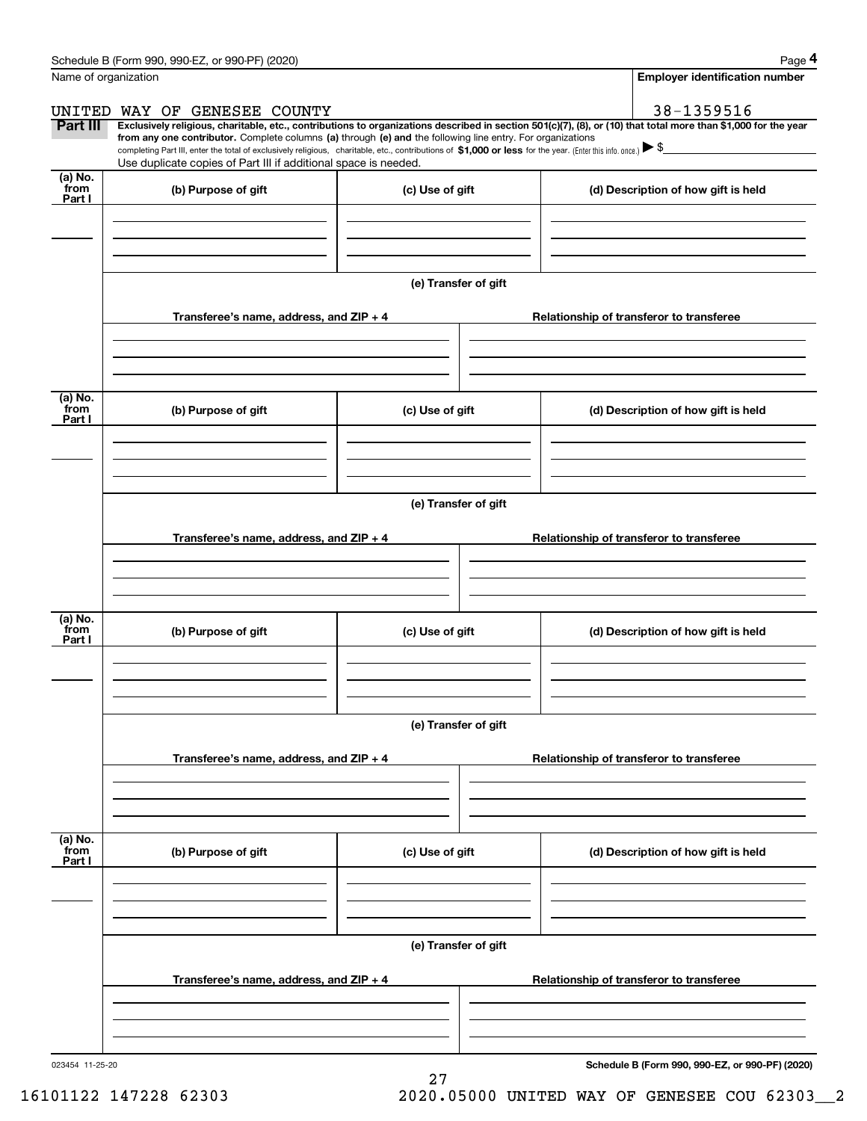|                           | Schedule B (Form 990, 990-EZ, or 990-PF) (2020)                                                                                                                                                                                                                              |                      |                                          | Page 4                                   |  |  |
|---------------------------|------------------------------------------------------------------------------------------------------------------------------------------------------------------------------------------------------------------------------------------------------------------------------|----------------------|------------------------------------------|------------------------------------------|--|--|
|                           | Name of organization                                                                                                                                                                                                                                                         |                      |                                          | <b>Employer identification number</b>    |  |  |
|                           | UNITED WAY OF GENESEE COUNTY                                                                                                                                                                                                                                                 |                      |                                          | 38-1359516                               |  |  |
| Part III                  | Exclusively religious, charitable, etc., contributions to organizations described in section 501(c)(7), (8), or (10) that total more than \$1,000 for the year<br>from any one contributor. Complete columns (a) through (e) and the following line entry. For organizations |                      |                                          |                                          |  |  |
|                           | completing Part III, enter the total of exclusively religious, charitable, etc., contributions of \$1,000 or less for the year. (Enter this info. once.) $\blacktriangleright$ \$<br>Use duplicate copies of Part III if additional space is needed.                         |                      |                                          |                                          |  |  |
| (a) No.<br>from<br>Part I | (b) Purpose of gift                                                                                                                                                                                                                                                          | (c) Use of gift      |                                          | (d) Description of how gift is held      |  |  |
|                           |                                                                                                                                                                                                                                                                              |                      |                                          |                                          |  |  |
|                           |                                                                                                                                                                                                                                                                              |                      |                                          |                                          |  |  |
|                           |                                                                                                                                                                                                                                                                              | (e) Transfer of gift |                                          |                                          |  |  |
|                           | Transferee's name, address, and ZIP + 4                                                                                                                                                                                                                                      |                      |                                          | Relationship of transferor to transferee |  |  |
|                           |                                                                                                                                                                                                                                                                              |                      |                                          |                                          |  |  |
| (a) No.<br>from<br>Part I | (b) Purpose of gift                                                                                                                                                                                                                                                          | (c) Use of gift      |                                          | (d) Description of how gift is held      |  |  |
|                           |                                                                                                                                                                                                                                                                              |                      |                                          |                                          |  |  |
|                           |                                                                                                                                                                                                                                                                              | (e) Transfer of gift |                                          |                                          |  |  |
|                           |                                                                                                                                                                                                                                                                              |                      |                                          |                                          |  |  |
|                           | Transferee's name, address, and ZIP + 4                                                                                                                                                                                                                                      |                      |                                          | Relationship of transferor to transferee |  |  |
|                           |                                                                                                                                                                                                                                                                              |                      |                                          |                                          |  |  |
| (a) No.<br>from<br>Part I | (b) Purpose of gift                                                                                                                                                                                                                                                          | (c) Use of gift      |                                          | (d) Description of how gift is held      |  |  |
|                           |                                                                                                                                                                                                                                                                              |                      |                                          |                                          |  |  |
|                           |                                                                                                                                                                                                                                                                              |                      |                                          |                                          |  |  |
|                           |                                                                                                                                                                                                                                                                              | (e) Transfer of gift |                                          |                                          |  |  |
|                           | Transferee's name, address, and $ZIP + 4$                                                                                                                                                                                                                                    |                      |                                          | Relationship of transferor to transferee |  |  |
|                           |                                                                                                                                                                                                                                                                              |                      |                                          |                                          |  |  |
| (a) No.<br>from<br>Part I | (b) Purpose of gift                                                                                                                                                                                                                                                          | (c) Use of gift      |                                          | (d) Description of how gift is held      |  |  |
|                           |                                                                                                                                                                                                                                                                              |                      |                                          |                                          |  |  |
|                           |                                                                                                                                                                                                                                                                              |                      |                                          |                                          |  |  |
|                           | (e) Transfer of gift                                                                                                                                                                                                                                                         |                      |                                          |                                          |  |  |
|                           | Transferee's name, address, and ZIP + 4                                                                                                                                                                                                                                      |                      | Relationship of transferor to transferee |                                          |  |  |
|                           |                                                                                                                                                                                                                                                                              |                      |                                          |                                          |  |  |
|                           |                                                                                                                                                                                                                                                                              |                      |                                          |                                          |  |  |

27

**Schedule B (Form 990, 990-EZ, or 990-PF) (2020)**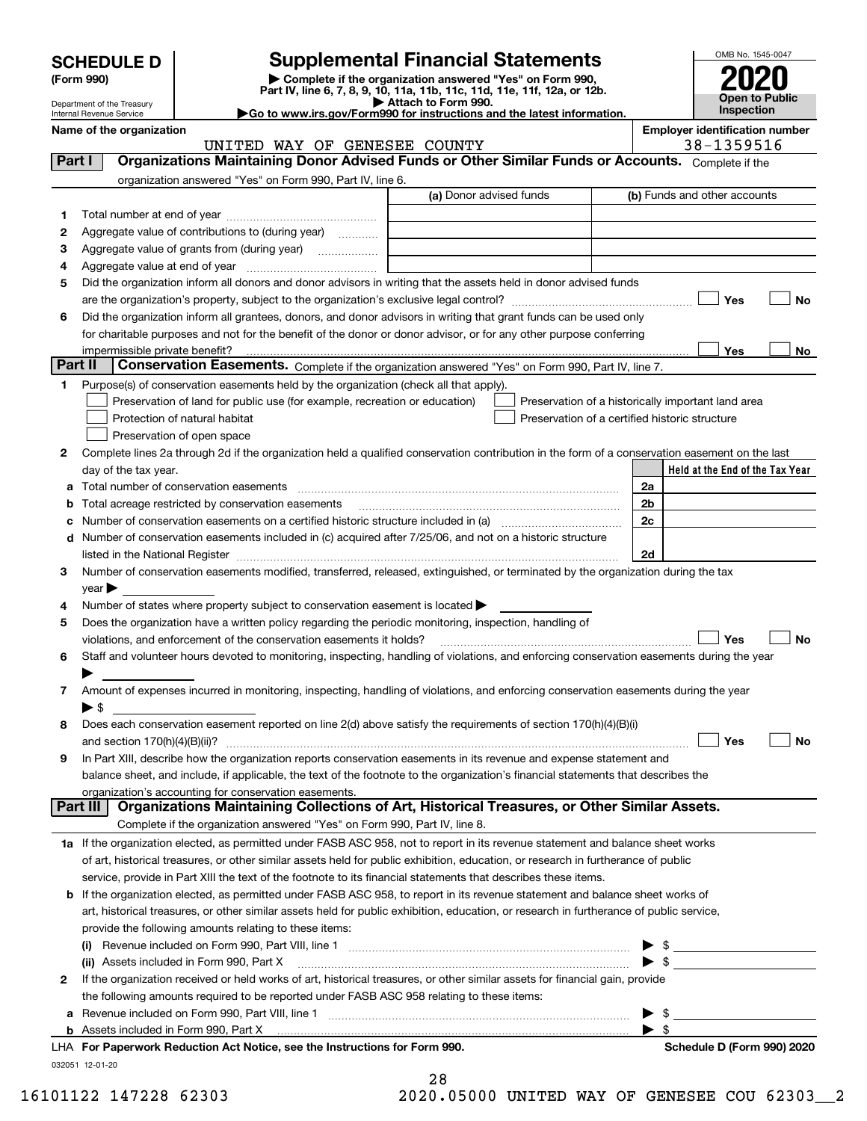| <b>SCHEDULE D</b> |  |
|-------------------|--|
|-------------------|--|

| (Form 990) |  |
|------------|--|
|------------|--|

## **SCHEDULE D Supplemental Financial Statements**

(Form 990)<br>
Pepartment of the Treasury<br>
Department of the Treasury<br>
Department of the Treasury<br>
Department of the Treasury<br> **Co to www.irs.gov/Form990 for instructions and the latest information.**<br> **Co to www.irs.gov/Form9** 

UNITED WAY OF GENESEE COUNTY THE SEPTED MAY OF SERIES AND THE SERIES OF SERIES AND INCREASE IN SERIES AND THE



Department of the Treasury Internal Revenue Service **Name of the organization Employer identification number**

| Part I  | Organizations Maintaining Donor Advised Funds or Other Similar Funds or Accounts. Complete if the                                                                                                                             |                         |                                                    |
|---------|-------------------------------------------------------------------------------------------------------------------------------------------------------------------------------------------------------------------------------|-------------------------|----------------------------------------------------|
|         | organization answered "Yes" on Form 990, Part IV, line 6.                                                                                                                                                                     |                         |                                                    |
|         |                                                                                                                                                                                                                               | (a) Donor advised funds | (b) Funds and other accounts                       |
| 1       |                                                                                                                                                                                                                               |                         |                                                    |
| 2       | Aggregate value of contributions to (during year)                                                                                                                                                                             |                         |                                                    |
| з       | Aggregate value of grants from (during year)                                                                                                                                                                                  |                         |                                                    |
| 4       |                                                                                                                                                                                                                               |                         |                                                    |
| 5       | Did the organization inform all donors and donor advisors in writing that the assets held in donor advised funds                                                                                                              |                         |                                                    |
|         |                                                                                                                                                                                                                               |                         | Yes<br>No                                          |
| 6       | Did the organization inform all grantees, donors, and donor advisors in writing that grant funds can be used only                                                                                                             |                         |                                                    |
|         | for charitable purposes and not for the benefit of the donor or donor advisor, or for any other purpose conferring                                                                                                            |                         |                                                    |
|         | impermissible private benefit?                                                                                                                                                                                                |                         | Yes<br>No                                          |
| Part II | Conservation Easements. Complete if the organization answered "Yes" on Form 990, Part IV, line 7.                                                                                                                             |                         |                                                    |
| 1       | Purpose(s) of conservation easements held by the organization (check all that apply).                                                                                                                                         |                         |                                                    |
|         | Preservation of land for public use (for example, recreation or education)                                                                                                                                                    |                         | Preservation of a historically important land area |
|         | Protection of natural habitat                                                                                                                                                                                                 |                         | Preservation of a certified historic structure     |
|         | Preservation of open space                                                                                                                                                                                                    |                         |                                                    |
| 2       | Complete lines 2a through 2d if the organization held a qualified conservation contribution in the form of a conservation easement on the last                                                                                |                         |                                                    |
|         | day of the tax year.                                                                                                                                                                                                          |                         | Held at the End of the Tax Year                    |
| а       |                                                                                                                                                                                                                               |                         | 2a                                                 |
|         | Total acreage restricted by conservation easements                                                                                                                                                                            |                         | 2 <sub>b</sub>                                     |
|         | Number of conservation easements on a certified historic structure included in (a) manufacture included in (a)                                                                                                                |                         | 2c                                                 |
| d       | Number of conservation easements included in (c) acquired after 7/25/06, and not on a historic structure                                                                                                                      |                         |                                                    |
|         | listed in the National Register [111] Marshall Register [11] Marshall Register [11] Marshall Register [11] Marshall Register [11] Marshall Register [11] Marshall Register [11] Marshall Register [11] Marshall Register [11] |                         | 2d                                                 |
| з       | Number of conservation easements modified, transferred, released, extinguished, or terminated by the organization during the tax                                                                                              |                         |                                                    |
|         | $year \triangleright$                                                                                                                                                                                                         |                         |                                                    |
| 4       | Number of states where property subject to conservation easement is located >                                                                                                                                                 |                         |                                                    |
| 5       | Does the organization have a written policy regarding the periodic monitoring, inspection, handling of                                                                                                                        |                         |                                                    |
|         | violations, and enforcement of the conservation easements it holds?                                                                                                                                                           |                         | Yes<br>No                                          |
| 6       | Staff and volunteer hours devoted to monitoring, inspecting, handling of violations, and enforcing conservation easements during the year                                                                                     |                         |                                                    |
|         |                                                                                                                                                                                                                               |                         |                                                    |
| 7       | Amount of expenses incurred in monitoring, inspecting, handling of violations, and enforcing conservation easements during the year                                                                                           |                         |                                                    |
|         | $\blacktriangleright$ s                                                                                                                                                                                                       |                         |                                                    |
| 8       | Does each conservation easement reported on line 2(d) above satisfy the requirements of section 170(h)(4)(B)(i)                                                                                                               |                         |                                                    |
|         | and section 170(h)(4)(B)(ii)?                                                                                                                                                                                                 |                         | Yes<br>No                                          |
| 9       | In Part XIII, describe how the organization reports conservation easements in its revenue and expense statement and                                                                                                           |                         |                                                    |
|         | balance sheet, and include, if applicable, the text of the footnote to the organization's financial statements that describes the                                                                                             |                         |                                                    |
|         | organization's accounting for conservation easements.                                                                                                                                                                         |                         |                                                    |
|         | Organizations Maintaining Collections of Art, Historical Treasures, or Other Similar Assets.<br>Part III                                                                                                                      |                         |                                                    |
|         | Complete if the organization answered "Yes" on Form 990, Part IV, line 8.                                                                                                                                                     |                         |                                                    |
|         | 1a If the organization elected, as permitted under FASB ASC 958, not to report in its revenue statement and balance sheet works                                                                                               |                         |                                                    |
|         | of art, historical treasures, or other similar assets held for public exhibition, education, or research in furtherance of public                                                                                             |                         |                                                    |
|         | service, provide in Part XIII the text of the footnote to its financial statements that describes these items.                                                                                                                |                         |                                                    |
|         | <b>b</b> If the organization elected, as permitted under FASB ASC 958, to report in its revenue statement and balance sheet works of                                                                                          |                         |                                                    |
|         | art, historical treasures, or other similar assets held for public exhibition, education, or research in furtherance of public service,                                                                                       |                         |                                                    |
|         | provide the following amounts relating to these items:                                                                                                                                                                        |                         |                                                    |
|         |                                                                                                                                                                                                                               |                         | - \$<br>▶                                          |
|         | (ii) Assets included in Form 990, Part X                                                                                                                                                                                      |                         | $\blacktriangleright$ s                            |
| 2       | If the organization received or held works of art, historical treasures, or other similar assets for financial gain, provide                                                                                                  |                         |                                                    |
|         | the following amounts required to be reported under FASB ASC 958 relating to these items:                                                                                                                                     |                         |                                                    |
| а       |                                                                                                                                                                                                                               |                         | $\blacktriangleright$ \$                           |
|         |                                                                                                                                                                                                                               |                         | $\blacktriangleright$ s                            |
|         | LHA For Paperwork Reduction Act Notice, see the Instructions for Form 990.                                                                                                                                                    |                         | Schedule D (Form 990) 2020                         |
|         | 032051 12-01-20                                                                                                                                                                                                               | 28                      |                                                    |

28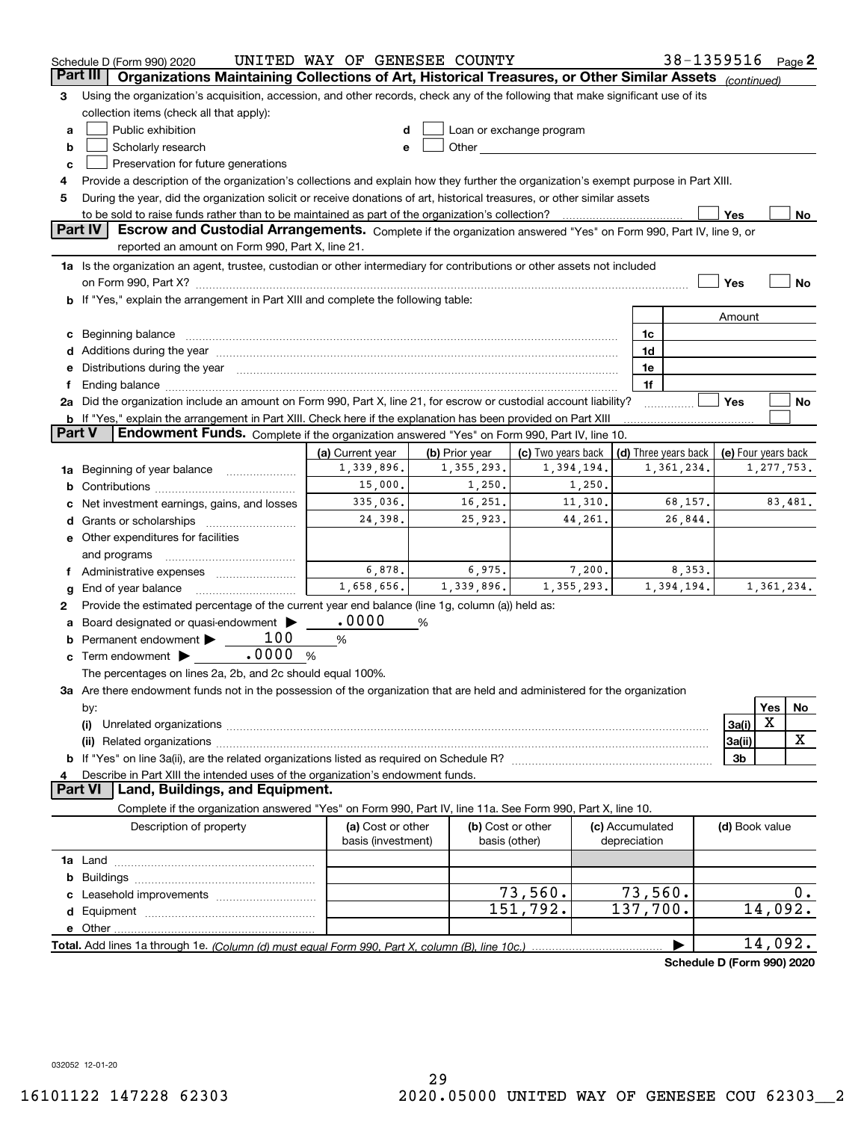|          | Schedule D (Form 990) 2020                                                                                                                                                                                                     | UNITED WAY OF GENESEE COUNTY            |                |                                    |                                 | 38-1359516 Page 2                          |                |            |         |
|----------|--------------------------------------------------------------------------------------------------------------------------------------------------------------------------------------------------------------------------------|-----------------------------------------|----------------|------------------------------------|---------------------------------|--------------------------------------------|----------------|------------|---------|
| Part III | Organizations Maintaining Collections of Art, Historical Treasures, or Other Similar Assets (continued)                                                                                                                        |                                         |                |                                    |                                 |                                            |                |            |         |
| З        | Using the organization's acquisition, accession, and other records, check any of the following that make significant use of its                                                                                                |                                         |                |                                    |                                 |                                            |                |            |         |
|          | collection items (check all that apply):                                                                                                                                                                                       |                                         |                |                                    |                                 |                                            |                |            |         |
| a        | Public exhibition                                                                                                                                                                                                              |                                         |                | Loan or exchange program           |                                 |                                            |                |            |         |
| b        | Scholarly research                                                                                                                                                                                                             | e                                       |                |                                    |                                 |                                            |                |            |         |
| c        | Preservation for future generations                                                                                                                                                                                            |                                         |                |                                    |                                 |                                            |                |            |         |
| 4        | Provide a description of the organization's collections and explain how they further the organization's exempt purpose in Part XIII.                                                                                           |                                         |                |                                    |                                 |                                            |                |            |         |
| 5        | During the year, did the organization solicit or receive donations of art, historical treasures, or other similar assets                                                                                                       |                                         |                |                                    |                                 |                                            |                |            |         |
|          | to be sold to raise funds rather than to be maintained as part of the organization's collection?                                                                                                                               |                                         |                |                                    |                                 |                                            | Yes            |            | No      |
|          | <b>Part IV</b><br>Escrow and Custodial Arrangements. Complete if the organization answered "Yes" on Form 990, Part IV, line 9, or                                                                                              |                                         |                |                                    |                                 |                                            |                |            |         |
|          | reported an amount on Form 990, Part X, line 21.                                                                                                                                                                               |                                         |                |                                    |                                 |                                            |                |            |         |
|          | 1a Is the organization an agent, trustee, custodian or other intermediary for contributions or other assets not included                                                                                                       |                                         |                |                                    |                                 |                                            |                |            |         |
|          | on Form 990, Part X? [11] matter contracts and contracts and contracts are contracted as a form 990, Part X?                                                                                                                   |                                         |                |                                    |                                 |                                            | Yes            |            | No      |
|          | b If "Yes," explain the arrangement in Part XIII and complete the following table:                                                                                                                                             |                                         |                |                                    |                                 |                                            |                |            |         |
|          |                                                                                                                                                                                                                                |                                         |                |                                    |                                 |                                            | Amount         |            |         |
|          |                                                                                                                                                                                                                                |                                         |                |                                    | 1c                              |                                            |                |            |         |
|          | Additions during the year manufactured and an annual contract of the year manufactured and all the year manufactured and all the year manufactured and all the year manufactured and all the year manufactured and all the yea |                                         |                |                                    | 1d                              |                                            |                |            |         |
|          | Distributions during the year manufactured and an account of the state of the state of the state of the state o                                                                                                                |                                         |                |                                    | 1e                              |                                            |                |            |         |
|          |                                                                                                                                                                                                                                |                                         |                |                                    | 1f                              |                                            |                |            |         |
|          | 2a Did the organization include an amount on Form 990, Part X, line 21, for escrow or custodial account liability?                                                                                                             |                                         |                |                                    |                                 |                                            | Yes            |            | No      |
|          | <b>b</b> If "Yes," explain the arrangement in Part XIII. Check here if the explanation has been provided on Part XIII                                                                                                          |                                         |                |                                    |                                 |                                            |                |            |         |
| Part V   | Endowment Funds. Complete if the organization answered "Yes" on Form 990, Part IV, line 10.                                                                                                                                    |                                         |                |                                    |                                 |                                            |                |            |         |
|          |                                                                                                                                                                                                                                | (a) Current year                        | (b) Prior year | (c) Two years back                 |                                 | (d) Three years back   (e) Four years back |                |            |         |
| 1a       | Beginning of year balance                                                                                                                                                                                                      | 1,339,896.                              | 1, 355, 293.   | 1,394,194.                         |                                 | 1,361,234.                                 |                | 1,277,753. |         |
| b        |                                                                                                                                                                                                                                | 15,000.                                 | 1,250.         | 1,250.                             |                                 |                                            |                |            |         |
|          | Net investment earnings, gains, and losses                                                                                                                                                                                     | 335,036.                                | 16,251.        | 11,310.                            |                                 | 68,157.                                    |                |            | 83,481. |
|          | Grants or scholarships                                                                                                                                                                                                         | 24,398.                                 | 25,923.        | 44,261.                            |                                 | 26,844.                                    |                |            |         |
|          | e Other expenditures for facilities                                                                                                                                                                                            |                                         |                |                                    |                                 |                                            |                |            |         |
|          | and programs                                                                                                                                                                                                                   |                                         |                |                                    |                                 |                                            |                |            |         |
|          | Administrative expenses                                                                                                                                                                                                        | 6,878.                                  | 6,975.         | 7,200.                             |                                 | 8,353.                                     |                |            |         |
| g        | End of year balance                                                                                                                                                                                                            | 1,658,656.                              | 1,339,896.     | 1,355,293.                         |                                 | 1,394,194.                                 |                | 1,361,234. |         |
| 2        | Provide the estimated percentage of the current year end balance (line 1g, column (a)) held as:                                                                                                                                |                                         |                |                                    |                                 |                                            |                |            |         |
|          | Board designated or quasi-endowment                                                                                                                                                                                            | .0000                                   | %              |                                    |                                 |                                            |                |            |         |
| b        | 100<br>Permanent endowment >                                                                                                                                                                                                   | %                                       |                |                                    |                                 |                                            |                |            |         |
| c        | .0000<br>Term endowment $\blacktriangleright$                                                                                                                                                                                  | %                                       |                |                                    |                                 |                                            |                |            |         |
|          | The percentages on lines 2a, 2b, and 2c should equal 100%.                                                                                                                                                                     |                                         |                |                                    |                                 |                                            |                |            |         |
|          | 3a Are there endowment funds not in the possession of the organization that are held and administered for the organization                                                                                                     |                                         |                |                                    |                                 |                                            |                |            |         |
|          |                                                                                                                                                                                                                                |                                         |                |                                    |                                 |                                            |                | Yes        | No      |
|          | by:<br>(i)                                                                                                                                                                                                                     |                                         |                |                                    |                                 |                                            | 3a(i)          | X          |         |
|          |                                                                                                                                                                                                                                |                                         |                |                                    |                                 |                                            | 3a(ii)         |            | х       |
|          |                                                                                                                                                                                                                                |                                         |                |                                    |                                 |                                            | 3b             |            |         |
|          |                                                                                                                                                                                                                                |                                         |                |                                    |                                 |                                            |                |            |         |
|          | Describe in Part XIII the intended uses of the organization's endowment funds.<br>Land, Buildings, and Equipment.<br>Part VI                                                                                                   |                                         |                |                                    |                                 |                                            |                |            |         |
|          | Complete if the organization answered "Yes" on Form 990, Part IV, line 11a. See Form 990, Part X, line 10.                                                                                                                     |                                         |                |                                    |                                 |                                            |                |            |         |
|          |                                                                                                                                                                                                                                |                                         |                |                                    |                                 |                                            |                |            |         |
|          | Description of property                                                                                                                                                                                                        | (a) Cost or other<br>basis (investment) |                | (b) Cost or other<br>basis (other) | (c) Accumulated<br>depreciation |                                            | (d) Book value |            |         |
|          |                                                                                                                                                                                                                                |                                         |                |                                    |                                 |                                            |                |            |         |
|          |                                                                                                                                                                                                                                |                                         |                |                                    |                                 |                                            |                |            |         |
| b        |                                                                                                                                                                                                                                |                                         |                | 73,560.                            | 73,560.                         |                                            |                |            |         |
|          |                                                                                                                                                                                                                                |                                         |                | 151,792.                           | 137,700.                        |                                            |                | 14,092.    | $0$ .   |
| d        |                                                                                                                                                                                                                                |                                         |                |                                    |                                 |                                            |                |            |         |
|          |                                                                                                                                                                                                                                |                                         |                |                                    |                                 |                                            |                |            |         |
|          |                                                                                                                                                                                                                                |                                         |                |                                    |                                 |                                            |                | 14,092.    |         |
|          |                                                                                                                                                                                                                                |                                         |                |                                    |                                 | Schedule D (Form 990) 2020                 |                |            |         |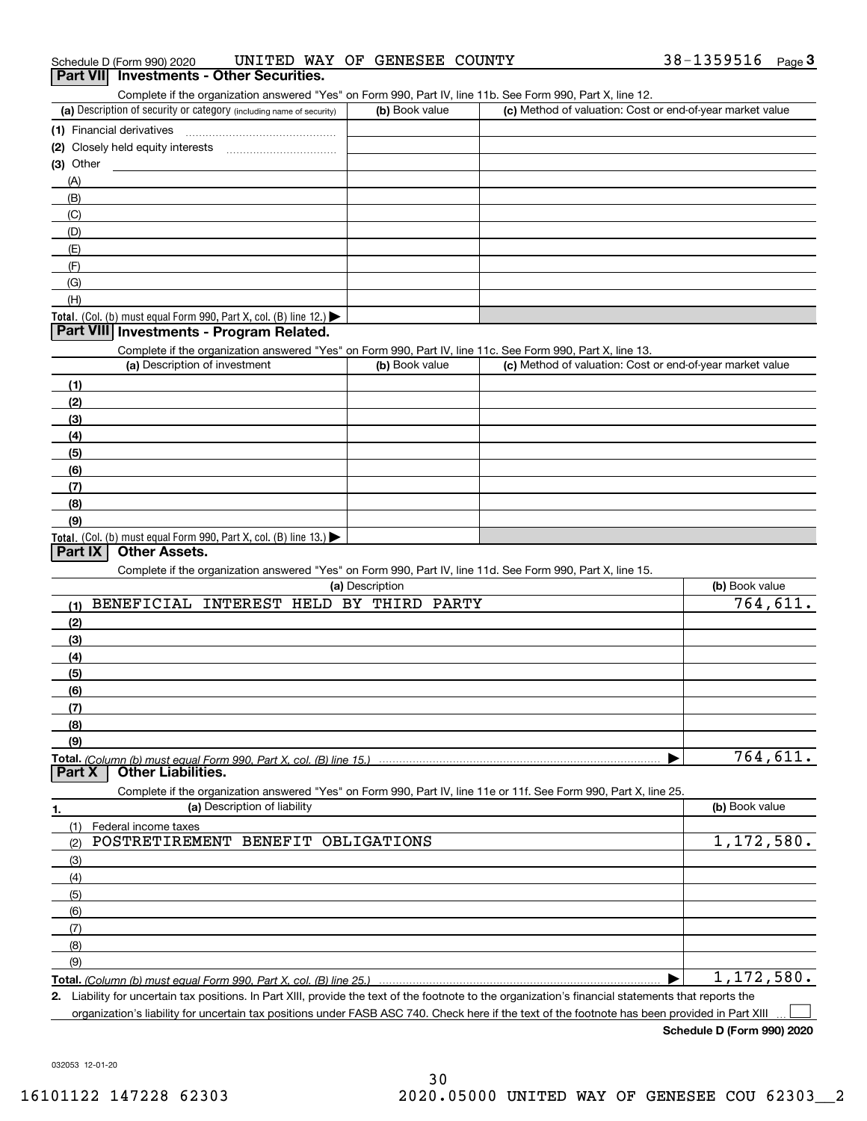| (2) Closely held equity interests                                                                          |                              |                                                                                                                   |                          |
|------------------------------------------------------------------------------------------------------------|------------------------------|-------------------------------------------------------------------------------------------------------------------|--------------------------|
|                                                                                                            |                              |                                                                                                                   |                          |
| (3) Other                                                                                                  |                              |                                                                                                                   |                          |
| (A)                                                                                                        |                              |                                                                                                                   |                          |
| (B)                                                                                                        |                              |                                                                                                                   |                          |
| (C)                                                                                                        |                              |                                                                                                                   |                          |
| (D)                                                                                                        |                              |                                                                                                                   |                          |
| (E)                                                                                                        |                              |                                                                                                                   |                          |
| (F)                                                                                                        |                              |                                                                                                                   |                          |
|                                                                                                            |                              |                                                                                                                   |                          |
| (G)                                                                                                        |                              |                                                                                                                   |                          |
| (H)                                                                                                        |                              |                                                                                                                   |                          |
| Total. (Col. (b) must equal Form 990, Part X, col. (B) line 12.) $\blacktriangleright$                     |                              |                                                                                                                   |                          |
| Part VIII Investments - Program Related.                                                                   |                              |                                                                                                                   |                          |
| Complete if the organization answered "Yes" on Form 990, Part IV, line 11c. See Form 990, Part X, line 13. |                              |                                                                                                                   |                          |
| (a) Description of investment                                                                              | (b) Book value               | (c) Method of valuation: Cost or end-of-year market value                                                         |                          |
| (1)                                                                                                        |                              |                                                                                                                   |                          |
| (2)                                                                                                        |                              |                                                                                                                   |                          |
| (3)                                                                                                        |                              |                                                                                                                   |                          |
| (4)                                                                                                        |                              |                                                                                                                   |                          |
| (5)                                                                                                        |                              |                                                                                                                   |                          |
| (6)                                                                                                        |                              |                                                                                                                   |                          |
| (7)                                                                                                        |                              |                                                                                                                   |                          |
|                                                                                                            |                              |                                                                                                                   |                          |
| (8)                                                                                                        |                              |                                                                                                                   |                          |
| (9)                                                                                                        |                              |                                                                                                                   |                          |
| Total. (Col. (b) must equal Form 990, Part X, col. (B) line 13.)<br>Part IX<br><b>Other Assets.</b>        |                              |                                                                                                                   |                          |
|                                                                                                            |                              |                                                                                                                   |                          |
| Complete if the organization answered "Yes" on Form 990, Part IV, line 11d. See Form 990, Part X, line 15. |                              |                                                                                                                   |                          |
|                                                                                                            | (a) Description              |                                                                                                                   | (b) Book value           |
| <b>BENEFICIAL</b><br>(1)                                                                                   | INTEREST HELD BY THIRD PARTY |                                                                                                                   | 764,611.                 |
| (2)                                                                                                        |                              |                                                                                                                   |                          |
|                                                                                                            |                              |                                                                                                                   |                          |
|                                                                                                            |                              |                                                                                                                   |                          |
| (3)                                                                                                        |                              |                                                                                                                   |                          |
| (4)                                                                                                        |                              |                                                                                                                   |                          |
| (5)                                                                                                        |                              |                                                                                                                   |                          |
| (6)                                                                                                        |                              |                                                                                                                   |                          |
| (7)                                                                                                        |                              |                                                                                                                   |                          |
| (8)                                                                                                        |                              |                                                                                                                   |                          |
| (9)                                                                                                        |                              |                                                                                                                   |                          |
|                                                                                                            |                              |                                                                                                                   | 764,611.                 |
| <b>Other Liabilities.</b>                                                                                  |                              |                                                                                                                   |                          |
|                                                                                                            |                              | Complete if the organization answered "Yes" on Form 990, Part IV, line 11e or 11f. See Form 990, Part X, line 25. |                          |
| Part X<br>(a) Description of liability                                                                     |                              |                                                                                                                   | (b) Book value           |
| (1)<br>Federal income taxes                                                                                |                              |                                                                                                                   |                          |
| POSTRETIREMENT<br>BENEFIT<br>(2)                                                                           | OBLIGATIONS                  |                                                                                                                   |                          |
| (3)                                                                                                        |                              |                                                                                                                   |                          |
|                                                                                                            |                              |                                                                                                                   |                          |
| (4)                                                                                                        |                              |                                                                                                                   |                          |
| (5)                                                                                                        |                              |                                                                                                                   |                          |
| <b>Total.</b> (Column (b) must equal Form 990, Part X, col. (B) line 15.).<br>1.<br>(6)                    |                              |                                                                                                                   |                          |
| (7)                                                                                                        |                              |                                                                                                                   |                          |
| (8)                                                                                                        |                              |                                                                                                                   |                          |
| (9)<br>Total. (Column (b) must equal Form 990, Part X, col. (B) line 25.)                                  |                              |                                                                                                                   | 1,172,580.<br>1,172,580. |

032053 12-01-20

#### Schedule D (Form 990) 2020 UNITED WAY OF GENESEE COUNTY 38-1359516 Page Schedule D (Form 990) 2020 UNITED WA<br>**Part VII Investments - Other Securities.**

(a) Description of security or category (including name of security)  $\vert$  (b) Book value  $\vert$  (c)

Complete if the organization answered "Yes" on Form 990, Part IV, line 11b. See Form 990, Part X, line 12.

38-1359516 Page 3

(b) Book value (c) Method of valuation: Cost or end-of-year market value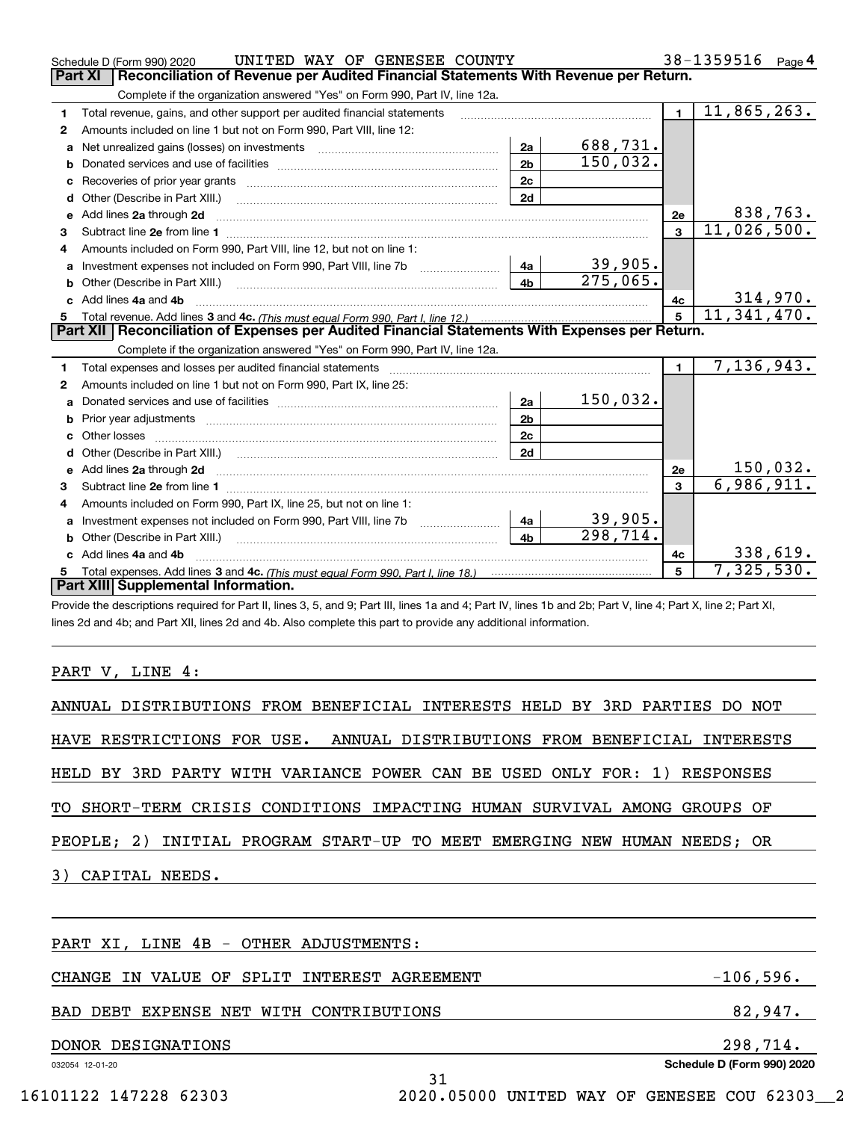|                | UNITED WAY OF GENESEE COUNTY<br>Schedule D (Form 990) 2020                                                                                                                                                                                                                                                                                                                                                                                                                  |                |          |                | 38-1359516<br>Page $4$ |
|----------------|-----------------------------------------------------------------------------------------------------------------------------------------------------------------------------------------------------------------------------------------------------------------------------------------------------------------------------------------------------------------------------------------------------------------------------------------------------------------------------|----------------|----------|----------------|------------------------|
| <b>Part XI</b> | Reconciliation of Revenue per Audited Financial Statements With Revenue per Return.                                                                                                                                                                                                                                                                                                                                                                                         |                |          |                |                        |
|                | Complete if the organization answered "Yes" on Form 990, Part IV, line 12a.                                                                                                                                                                                                                                                                                                                                                                                                 |                |          |                |                        |
| 1              | Total revenue, gains, and other support per audited financial statements                                                                                                                                                                                                                                                                                                                                                                                                    |                |          | $\blacksquare$ | 11,865,263.            |
| 2              | Amounts included on line 1 but not on Form 990, Part VIII, line 12:                                                                                                                                                                                                                                                                                                                                                                                                         |                |          |                |                        |
| a              | Net unrealized gains (losses) on investments [11] matter contracts and the unrealized gains (losses) on investments                                                                                                                                                                                                                                                                                                                                                         | 2a             | 688,731. |                |                        |
| b              |                                                                                                                                                                                                                                                                                                                                                                                                                                                                             | 2 <sub>b</sub> | 150,032. |                |                        |
|                |                                                                                                                                                                                                                                                                                                                                                                                                                                                                             | 2c             |          |                |                        |
|                |                                                                                                                                                                                                                                                                                                                                                                                                                                                                             | 2d             |          |                |                        |
| e              | Add lines 2a through 2d<br>$\begin{minipage}{0.5\textwidth} \begin{tabular}{ l l l } \hline \multicolumn{1}{ l l l } \hline \multicolumn{1}{ l l } \hline \multicolumn{1}{ l } \multicolumn{1}{ l } \hline \multicolumn{1}{ l } \multicolumn{1}{ l } \multicolumn{1}{ l } \hline \multicolumn{1}{ l } \multicolumn{1}{ l } \multicolumn{1}{ l } \hline \multicolumn{1}{ l } \multicolumn{1}{ l } \hline \multicolumn{1}{ l } \multicolumn{1}{ l } \hline \multicolumn{1}{ $ |                |          | 2e             | 838,763.               |
| 3              |                                                                                                                                                                                                                                                                                                                                                                                                                                                                             |                |          | $\mathbf{a}$   | 11,026,500.            |
| 4              | Amounts included on Form 990, Part VIII, line 12, but not on line 1:                                                                                                                                                                                                                                                                                                                                                                                                        |                |          |                |                        |
| a              |                                                                                                                                                                                                                                                                                                                                                                                                                                                                             | 4a             | 39,905.  |                |                        |
| b              | Other (Describe in Part XIII.) <b>Construction Contract Construction</b> Chemistry Chemistry Chemistry Chemistry Chemistry                                                                                                                                                                                                                                                                                                                                                  | 4 <sub>b</sub> | 275,065. |                |                        |
|                | Add lines 4a and 4b                                                                                                                                                                                                                                                                                                                                                                                                                                                         |                |          | 4с             | 314,970.               |
| 5              |                                                                                                                                                                                                                                                                                                                                                                                                                                                                             |                |          | 5              | 11,341,470.            |
|                | Part XII   Reconciliation of Expenses per Audited Financial Statements With Expenses per Return.                                                                                                                                                                                                                                                                                                                                                                            |                |          |                |                        |
|                | Complete if the organization answered "Yes" on Form 990, Part IV, line 12a.                                                                                                                                                                                                                                                                                                                                                                                                 |                |          |                |                        |
| 1              |                                                                                                                                                                                                                                                                                                                                                                                                                                                                             |                |          | $\blacksquare$ | 7, 136, 943.           |
| 2              | Amounts included on line 1 but not on Form 990, Part IX, line 25:                                                                                                                                                                                                                                                                                                                                                                                                           |                |          |                |                        |
|                |                                                                                                                                                                                                                                                                                                                                                                                                                                                                             | 2a             | 150,032. |                |                        |
| b              |                                                                                                                                                                                                                                                                                                                                                                                                                                                                             | 2 <sub>b</sub> |          |                |                        |
| c              |                                                                                                                                                                                                                                                                                                                                                                                                                                                                             | 2c             |          |                |                        |
| d              | Other (Describe in Part XIII.) (2000) (2000) (2000) (2000) (2000) (2000) (2000) (2000) (2000) (2000) (2000) (2000) (2000) (2000) (2000) (2000) (2000) (2000) (2000) (2000) (2000) (2000) (2000) (2000) (2000) (2000) (2000) (2                                                                                                                                                                                                                                              | 2d             |          |                |                        |
| е              | Add lines 2a through 2d <b>contained a contained a contained a contained a</b> contained a contained a contained a contained a contained a contained a contained a contained a contained a contained a contained a contained a cont                                                                                                                                                                                                                                         |                |          | 2e             | 150,032.               |
| 3              |                                                                                                                                                                                                                                                                                                                                                                                                                                                                             |                |          | 3              | 6,986,911.             |
| 4              | Amounts included on Form 990, Part IX, line 25, but not on line 1:                                                                                                                                                                                                                                                                                                                                                                                                          |                |          |                |                        |
|                | Investment expenses not included on Form 990, Part VIII, line 7b [1000000000000000000000000000000000                                                                                                                                                                                                                                                                                                                                                                        | 4a             | 39,905.  |                |                        |
|                |                                                                                                                                                                                                                                                                                                                                                                                                                                                                             | 4 <sub>b</sub> | 298,714. |                |                        |
| C.             | Add lines 4a and 4b                                                                                                                                                                                                                                                                                                                                                                                                                                                         |                |          | 4c             | 338,619.               |
| 5              |                                                                                                                                                                                                                                                                                                                                                                                                                                                                             |                |          | 5              | 7,325,530.             |
|                | Part XIII Supplemental Information.                                                                                                                                                                                                                                                                                                                                                                                                                                         |                |          |                |                        |
|                | Drovide the descriptions required for Dart II, lines 3, 5, and Q: Dart III, lines 1a and 4: Dart IV, lines 1b and 2b: Dart V, line 4: Dart Y, line 2: Dart YI, I                                                                                                                                                                                                                                                                                                            |                |          |                |                        |

de the descriptions required for Part II, lines 3, 5, and 9; Part III, lines 1a and 4; Part IV, lines 1b and 2b; Part V, line 4; Part X, line 2; Part XI, lines 2d and 4b; and Part XII, lines 2d and 4b. Also complete this part to provide any additional information.

### PART V, LINE 4:

| ANNUAL DISTRIBUTIONS FROM BENEFICIAL INTERESTS HELD BY 3RD PARTIES DO NOT |             |
|---------------------------------------------------------------------------|-------------|
| HAVE RESTRICTIONS FOR USE. ANNUAL DISTRIBUTIONS FROM BENEFICIAL INTERESTS |             |
| HELD BY 3RD PARTY WITH VARIANCE POWER CAN BE USED ONLY FOR: 1) RESPONSES  |             |
| TO SHORT-TERM CRISIS CONDITIONS IMPACTING HUMAN SURVIVAL AMONG GROUPS OF  |             |
| PEOPLE; 2) INITIAL PROGRAM START-UP TO MEET EMERGING NEW HUMAN NEEDS; OR  |             |
| 3) CAPITAL NEEDS.                                                         |             |
|                                                                           |             |
| PART XI, LINE 4B - OTHER ADJUSTMENTS:                                     |             |
| IN VALUE OF<br>SPLIT INTEREST AGREEMENT<br>CHANGE                         | $-106,596.$ |
| BAD DEBT EXPENSE NET WITH CONTRIBUTIONS                                   | 82,947.     |
|                                                                           |             |

31

## DONOR DESIGNATIONS 298,714.

032054 12-01-20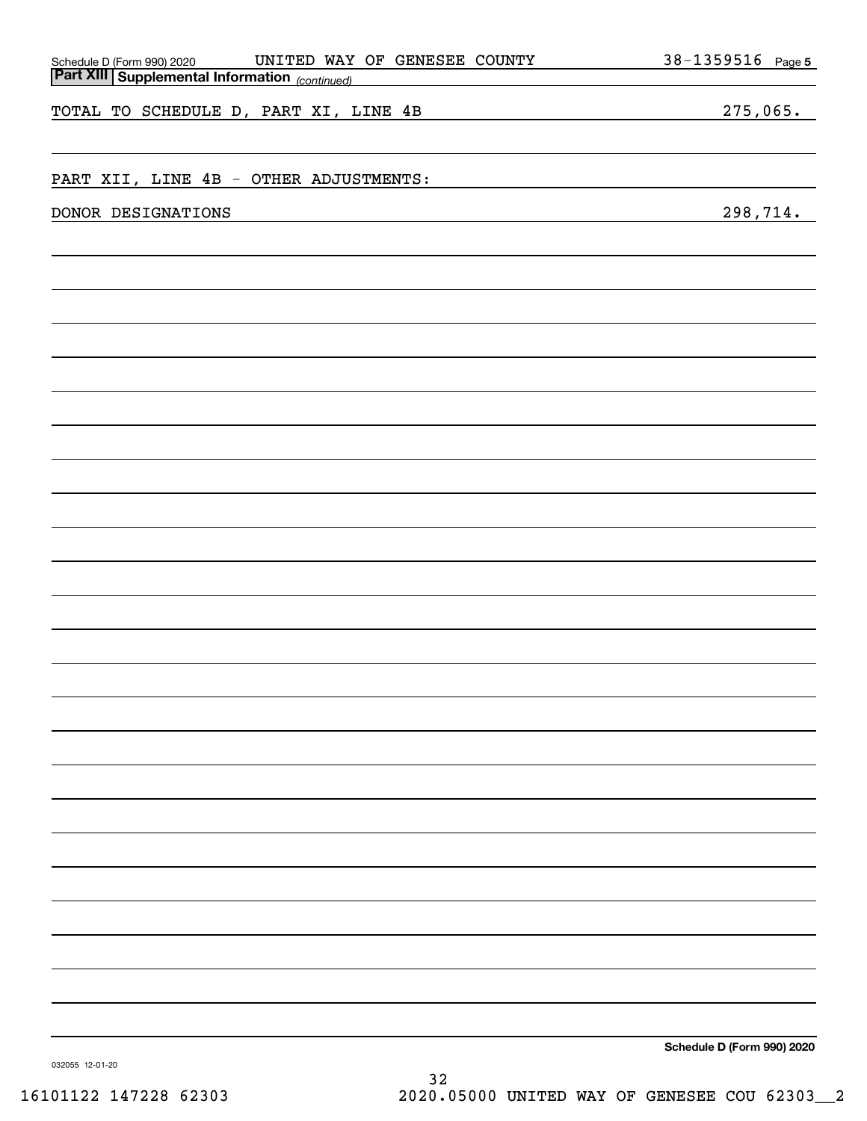| UNITED WAY OF GENESEE COUNTY<br>Schedule D (Form 990) 2020 UNITED WAY<br>Part XIII Supplemental Information (continued) | 38-1359516 Page 5          |
|-------------------------------------------------------------------------------------------------------------------------|----------------------------|
|                                                                                                                         |                            |
| TOTAL TO SCHEDULE D, PART XI, LINE 4B                                                                                   | 275,065.                   |
|                                                                                                                         |                            |
|                                                                                                                         |                            |
| PART XII, LINE 4B - OTHER ADJUSTMENTS:                                                                                  |                            |
| DONOR DESIGNATIONS                                                                                                      | 298,714.                   |
|                                                                                                                         |                            |
|                                                                                                                         |                            |
|                                                                                                                         |                            |
|                                                                                                                         |                            |
|                                                                                                                         |                            |
|                                                                                                                         |                            |
|                                                                                                                         |                            |
|                                                                                                                         |                            |
|                                                                                                                         |                            |
|                                                                                                                         |                            |
|                                                                                                                         |                            |
|                                                                                                                         |                            |
|                                                                                                                         |                            |
|                                                                                                                         |                            |
|                                                                                                                         |                            |
|                                                                                                                         |                            |
|                                                                                                                         |                            |
|                                                                                                                         |                            |
|                                                                                                                         |                            |
|                                                                                                                         |                            |
|                                                                                                                         |                            |
|                                                                                                                         |                            |
|                                                                                                                         |                            |
|                                                                                                                         |                            |
|                                                                                                                         |                            |
|                                                                                                                         |                            |
|                                                                                                                         |                            |
|                                                                                                                         |                            |
|                                                                                                                         |                            |
|                                                                                                                         |                            |
|                                                                                                                         |                            |
|                                                                                                                         |                            |
|                                                                                                                         | Schedule D (Form 990) 2020 |

032055 12-01-20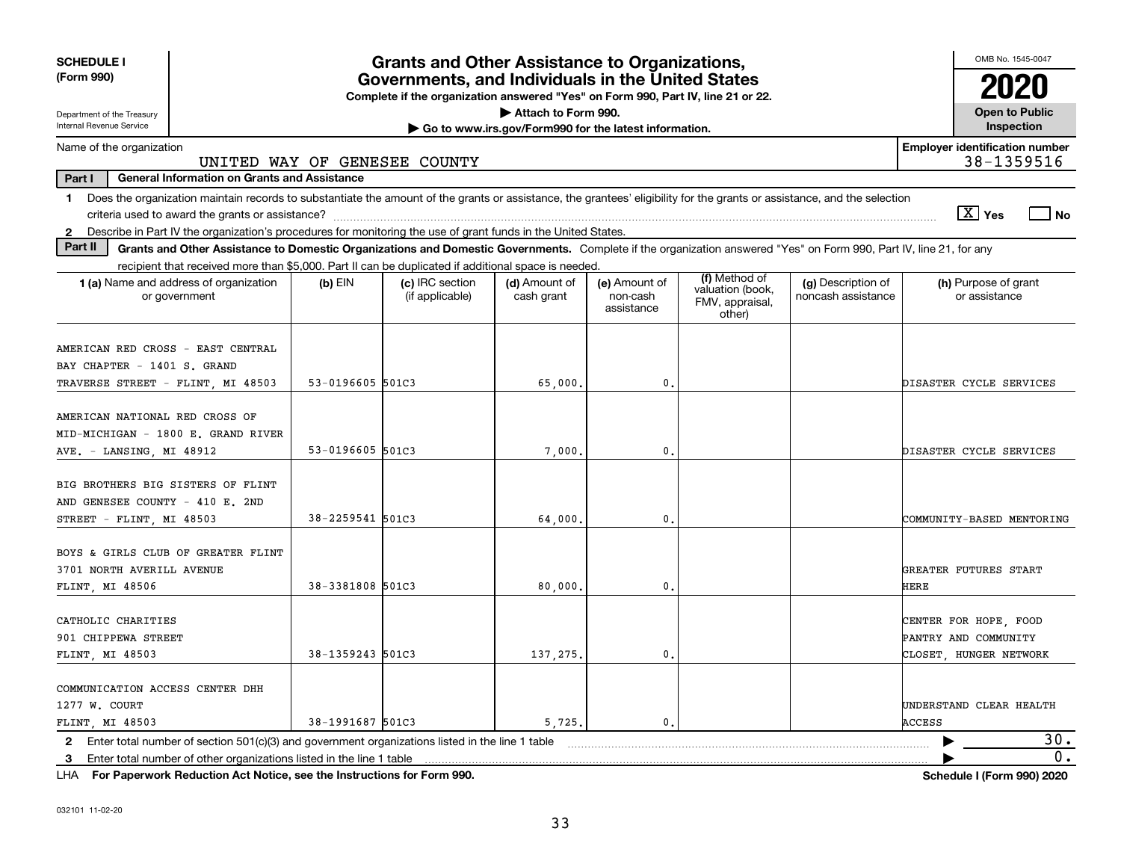| Attach to Form 990.<br><b>Open to Public</b><br>Department of the Treasury<br>Internal Revenue Service<br>Inspection<br>Go to www.irs.gov/Form990 for the latest information.<br><b>Employer identification number</b><br>38-1359516<br>UNITED WAY OF GENESEE COUNTY<br>Part I<br><b>General Information on Grants and Assistance</b><br>Does the organization maintain records to substantiate the amount of the grants or assistance, the grantees' eligibility for the grants or assistance, and the selection<br>1.<br>$\boxed{\text{X}}$ Yes<br>l No<br>Describe in Part IV the organization's procedures for monitoring the use of grant funds in the United States.<br>$\mathbf{2}$<br>Part II<br>Grants and Other Assistance to Domestic Organizations and Domestic Governments. Complete if the organization answered "Yes" on Form 990, Part IV, line 21, for any<br>recipient that received more than \$5,000. Part II can be duplicated if additional space is needed.<br>(f) Method of<br>1 (a) Name and address of organization<br>(c) IRC section<br>(d) Amount of<br>(g) Description of<br>(h) Purpose of grant<br>$(b)$ EIN<br>(e) Amount of<br>valuation (book,<br>noncash assistance<br>or assistance<br>(if applicable)<br>cash grant<br>or government<br>non-cash<br>FMV, appraisal,<br>assistance<br>other)<br>53-0196605 501C3<br>65,000<br>$\mathbf{0}$ .<br>DISASTER CYCLE SERVICES<br>MID-MICHIGAN - 1800 E. GRAND RIVER<br>53-0196605 501C3<br>$\mathbf{0}$ .<br>7.000<br>DISASTER CYCLE SERVICES<br>BIG BROTHERS BIG SISTERS OF FLINT<br>38-2259541 501C3<br>$\mathbf{0}$ .<br>STREET - FLINT, MI 48503<br>64,000<br>COMMUNITY-BASED MENTORING<br>BOYS & GIRLS CLUB OF GREATER FLINT<br>3701 NORTH AVERILL AVENUE<br>GREATER FUTURES START<br>38-3381808 501C3<br>80,000<br>0.<br>HERE<br>FLINT, MI 48506<br>CATHOLIC CHARITIES<br>CENTER FOR HOPE, FOOD<br>901 CHIPPEWA STREET<br>PANTRY AND COMMUNITY<br>38-1359243 501C3<br>137,275<br>0.<br>CLOSET. HUNGER NETWORK<br>COMMUNICATION ACCESS CENTER DHH<br>UNDERSTAND CLEAR HEALTH<br>38-1991687 501C3<br>5,725,<br>$\mathbf{0}$ .<br>ACCESS<br>30.<br>Enter total number of section 501(c)(3) and government organizations listed in the line 1 table<br>2<br>Enter total number of other organizations listed in the line 1 table | <b>SCHEDULE I</b><br>(Form 990)                                                                       | <b>Grants and Other Assistance to Organizations,</b><br>Governments, and Individuals in the United States<br>Complete if the organization answered "Yes" on Form 990, Part IV, line 21 or 22. |  |  | OMB No. 1545-0047 |
|-------------------------------------------------------------------------------------------------------------------------------------------------------------------------------------------------------------------------------------------------------------------------------------------------------------------------------------------------------------------------------------------------------------------------------------------------------------------------------------------------------------------------------------------------------------------------------------------------------------------------------------------------------------------------------------------------------------------------------------------------------------------------------------------------------------------------------------------------------------------------------------------------------------------------------------------------------------------------------------------------------------------------------------------------------------------------------------------------------------------------------------------------------------------------------------------------------------------------------------------------------------------------------------------------------------------------------------------------------------------------------------------------------------------------------------------------------------------------------------------------------------------------------------------------------------------------------------------------------------------------------------------------------------------------------------------------------------------------------------------------------------------------------------------------------------------------------------------------------------------------------------------------------------------------------------------------------------------------------------------------------------------------------------------------------------------------------------------------------------------------------------------------------------------------------------------------------------------------------------------------------------------------------------------------------------------|-------------------------------------------------------------------------------------------------------|-----------------------------------------------------------------------------------------------------------------------------------------------------------------------------------------------|--|--|-------------------|
|                                                                                                                                                                                                                                                                                                                                                                                                                                                                                                                                                                                                                                                                                                                                                                                                                                                                                                                                                                                                                                                                                                                                                                                                                                                                                                                                                                                                                                                                                                                                                                                                                                                                                                                                                                                                                                                                                                                                                                                                                                                                                                                                                                                                                                                                                                                   |                                                                                                       |                                                                                                                                                                                               |  |  |                   |
|                                                                                                                                                                                                                                                                                                                                                                                                                                                                                                                                                                                                                                                                                                                                                                                                                                                                                                                                                                                                                                                                                                                                                                                                                                                                                                                                                                                                                                                                                                                                                                                                                                                                                                                                                                                                                                                                                                                                                                                                                                                                                                                                                                                                                                                                                                                   | Name of the organization                                                                              |                                                                                                                                                                                               |  |  |                   |
|                                                                                                                                                                                                                                                                                                                                                                                                                                                                                                                                                                                                                                                                                                                                                                                                                                                                                                                                                                                                                                                                                                                                                                                                                                                                                                                                                                                                                                                                                                                                                                                                                                                                                                                                                                                                                                                                                                                                                                                                                                                                                                                                                                                                                                                                                                                   |                                                                                                       |                                                                                                                                                                                               |  |  |                   |
|                                                                                                                                                                                                                                                                                                                                                                                                                                                                                                                                                                                                                                                                                                                                                                                                                                                                                                                                                                                                                                                                                                                                                                                                                                                                                                                                                                                                                                                                                                                                                                                                                                                                                                                                                                                                                                                                                                                                                                                                                                                                                                                                                                                                                                                                                                                   |                                                                                                       |                                                                                                                                                                                               |  |  |                   |
|                                                                                                                                                                                                                                                                                                                                                                                                                                                                                                                                                                                                                                                                                                                                                                                                                                                                                                                                                                                                                                                                                                                                                                                                                                                                                                                                                                                                                                                                                                                                                                                                                                                                                                                                                                                                                                                                                                                                                                                                                                                                                                                                                                                                                                                                                                                   |                                                                                                       |                                                                                                                                                                                               |  |  |                   |
|                                                                                                                                                                                                                                                                                                                                                                                                                                                                                                                                                                                                                                                                                                                                                                                                                                                                                                                                                                                                                                                                                                                                                                                                                                                                                                                                                                                                                                                                                                                                                                                                                                                                                                                                                                                                                                                                                                                                                                                                                                                                                                                                                                                                                                                                                                                   |                                                                                                       |                                                                                                                                                                                               |  |  |                   |
|                                                                                                                                                                                                                                                                                                                                                                                                                                                                                                                                                                                                                                                                                                                                                                                                                                                                                                                                                                                                                                                                                                                                                                                                                                                                                                                                                                                                                                                                                                                                                                                                                                                                                                                                                                                                                                                                                                                                                                                                                                                                                                                                                                                                                                                                                                                   | AMERICAN RED CROSS - EAST CENTRAL<br>BAY CHAPTER - 1401 S. GRAND<br>TRAVERSE STREET - FLINT, MI 48503 |                                                                                                                                                                                               |  |  |                   |
|                                                                                                                                                                                                                                                                                                                                                                                                                                                                                                                                                                                                                                                                                                                                                                                                                                                                                                                                                                                                                                                                                                                                                                                                                                                                                                                                                                                                                                                                                                                                                                                                                                                                                                                                                                                                                                                                                                                                                                                                                                                                                                                                                                                                                                                                                                                   | AMERICAN NATIONAL RED CROSS OF<br>AVE. - LANSING, MI 48912                                            |                                                                                                                                                                                               |  |  |                   |
|                                                                                                                                                                                                                                                                                                                                                                                                                                                                                                                                                                                                                                                                                                                                                                                                                                                                                                                                                                                                                                                                                                                                                                                                                                                                                                                                                                                                                                                                                                                                                                                                                                                                                                                                                                                                                                                                                                                                                                                                                                                                                                                                                                                                                                                                                                                   | AND GENESEE COUNTY - 410 E. 2ND                                                                       |                                                                                                                                                                                               |  |  |                   |
|                                                                                                                                                                                                                                                                                                                                                                                                                                                                                                                                                                                                                                                                                                                                                                                                                                                                                                                                                                                                                                                                                                                                                                                                                                                                                                                                                                                                                                                                                                                                                                                                                                                                                                                                                                                                                                                                                                                                                                                                                                                                                                                                                                                                                                                                                                                   |                                                                                                       |                                                                                                                                                                                               |  |  |                   |
|                                                                                                                                                                                                                                                                                                                                                                                                                                                                                                                                                                                                                                                                                                                                                                                                                                                                                                                                                                                                                                                                                                                                                                                                                                                                                                                                                                                                                                                                                                                                                                                                                                                                                                                                                                                                                                                                                                                                                                                                                                                                                                                                                                                                                                                                                                                   | FLINT, MI 48503                                                                                       |                                                                                                                                                                                               |  |  |                   |
|                                                                                                                                                                                                                                                                                                                                                                                                                                                                                                                                                                                                                                                                                                                                                                                                                                                                                                                                                                                                                                                                                                                                                                                                                                                                                                                                                                                                                                                                                                                                                                                                                                                                                                                                                                                                                                                                                                                                                                                                                                                                                                                                                                                                                                                                                                                   | 1277 W. COURT<br>FLINT, MI 48503                                                                      |                                                                                                                                                                                               |  |  |                   |
|                                                                                                                                                                                                                                                                                                                                                                                                                                                                                                                                                                                                                                                                                                                                                                                                                                                                                                                                                                                                                                                                                                                                                                                                                                                                                                                                                                                                                                                                                                                                                                                                                                                                                                                                                                                                                                                                                                                                                                                                                                                                                                                                                                                                                                                                                                                   | 3                                                                                                     |                                                                                                                                                                                               |  |  | $\overline{0}$ .  |

**For Paperwork Reduction Act Notice, see the Instructions for Form 990. Schedule I (Form 990) 2020** LHA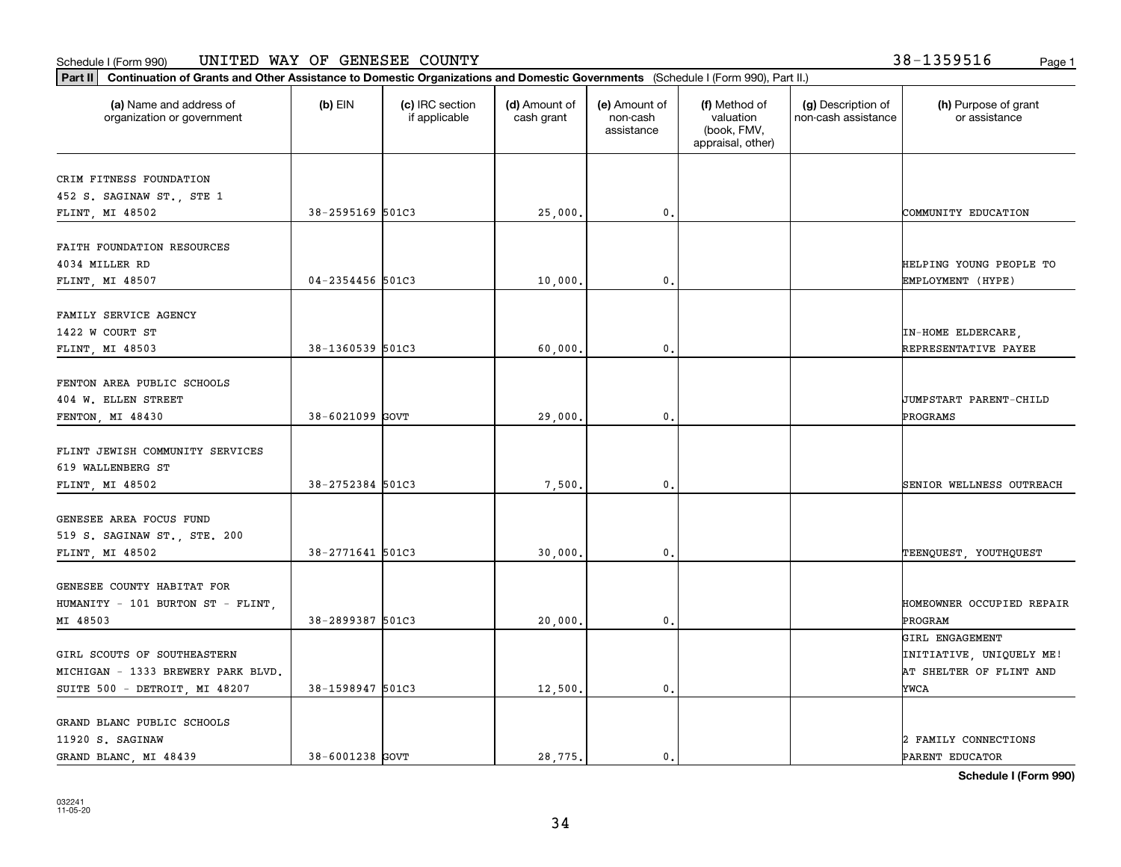#### Schedule I (Form 990) Page 1 UNITED WAY OF GENESEE COUNTY 38-1359516

**Part II Continuation of Grants and Other Assistance to Domestic Organizations and Domestic Governments**  (Schedule I (Form 990), Part II.)

| (a) Name and address of<br>organization or government | $(b)$ EIN        | (c) IRC section<br>if applicable | (d) Amount of<br>cash grant | (e) Amount of<br>non-cash<br>assistance | (f) Method of<br>valuation<br>(book, FMV,<br>appraisal, other) | (g) Description of<br>non-cash assistance | (h) Purpose of grant<br>or assistance |
|-------------------------------------------------------|------------------|----------------------------------|-----------------------------|-----------------------------------------|----------------------------------------------------------------|-------------------------------------------|---------------------------------------|
| CRIM FITNESS FOUNDATION                               |                  |                                  |                             |                                         |                                                                |                                           |                                       |
| 452 S. SAGINAW ST., STE 1                             |                  |                                  |                             |                                         |                                                                |                                           |                                       |
| FLINT, MI 48502                                       | 38-2595169 501C3 |                                  | 25,000.                     | 0.                                      |                                                                |                                           | COMMUNITY EDUCATION                   |
| FAITH FOUNDATION RESOURCES                            |                  |                                  |                             |                                         |                                                                |                                           |                                       |
| 4034 MILLER RD                                        |                  |                                  |                             |                                         |                                                                |                                           | HELPING YOUNG PEOPLE TO               |
| FLINT, MI 48507                                       | 04-2354456 501C3 |                                  | 10,000.                     | $\mathbf{0}$                            |                                                                |                                           | EMPLOYMENT (HYPE)                     |
| FAMILY SERVICE AGENCY                                 |                  |                                  |                             |                                         |                                                                |                                           |                                       |
| 1422 W COURT ST                                       |                  |                                  |                             |                                         |                                                                |                                           | IN-HOME ELDERCARE,                    |
| FLINT, MI 48503                                       | 38-1360539 501C3 |                                  | 60,000.                     | $\mathbf{0}$                            |                                                                |                                           | REPRESENTATIVE PAYEE                  |
| FENTON AREA PUBLIC SCHOOLS                            |                  |                                  |                             |                                         |                                                                |                                           |                                       |
| 404 W. ELLEN STREET                                   |                  |                                  |                             |                                         |                                                                |                                           | <b>JUMPSTART PARENT-CHILD</b>         |
| FENTON, MI 48430                                      | 38-6021099 GOVT  |                                  | 29,000.                     | $\mathbf{0}$                            |                                                                |                                           | PROGRAMS                              |
| FLINT JEWISH COMMUNITY SERVICES                       |                  |                                  |                             |                                         |                                                                |                                           |                                       |
| 619 WALLENBERG ST                                     |                  |                                  |                             |                                         |                                                                |                                           |                                       |
| FLINT, MI 48502                                       | 38-2752384 501C3 |                                  | 7,500.                      | $\mathbf{0}$                            |                                                                |                                           | SENIOR WELLNESS OUTREACH              |
| GENESEE AREA FOCUS FUND                               |                  |                                  |                             |                                         |                                                                |                                           |                                       |
| 519 S. SAGINAW ST., STE. 200                          |                  |                                  |                             |                                         |                                                                |                                           |                                       |
| FLINT, MI 48502                                       | 38-2771641 501C3 |                                  | 30,000.                     | $\mathbf{0}$                            |                                                                |                                           | TEENQUEST, YOUTHQUEST                 |
|                                                       |                  |                                  |                             |                                         |                                                                |                                           |                                       |
| GENESEE COUNTY HABITAT FOR                            |                  |                                  |                             |                                         |                                                                |                                           |                                       |
| HUMANITY - 101 BURTON ST - FLINT,<br>MI 48503         | 38-2899387 501C3 |                                  | 20,000.                     | 0.                                      |                                                                |                                           | HOMEOWNER OCCUPIED REPAIR<br>PROGRAM  |
|                                                       |                  |                                  |                             |                                         |                                                                |                                           | GIRL ENGAGEMENT                       |
| GIRL SCOUTS OF SOUTHEASTERN                           |                  |                                  |                             |                                         |                                                                |                                           | INITIATIVE, UNIQUELY ME!              |
| MICHIGAN - 1333 BREWERY PARK BLVD.                    |                  |                                  |                             |                                         |                                                                |                                           | AT SHELTER OF FLINT AND               |
| SUITE 500 - DETROIT, MI 48207                         | 38-1598947 501C3 |                                  | 12,500.                     | $\mathbf{0}$                            |                                                                |                                           | YWCA                                  |
|                                                       |                  |                                  |                             |                                         |                                                                |                                           |                                       |
| GRAND BLANC PUBLIC SCHOOLS<br>11920 S. SAGINAW        |                  |                                  |                             |                                         |                                                                |                                           | 2 FAMILY CONNECTIONS                  |
|                                                       |                  |                                  |                             |                                         |                                                                |                                           |                                       |

Τ

**Schedule I (Form 990)**

GRAND BLANC, MI 48439 38-6001238 GOVT 28,775. 0. 0.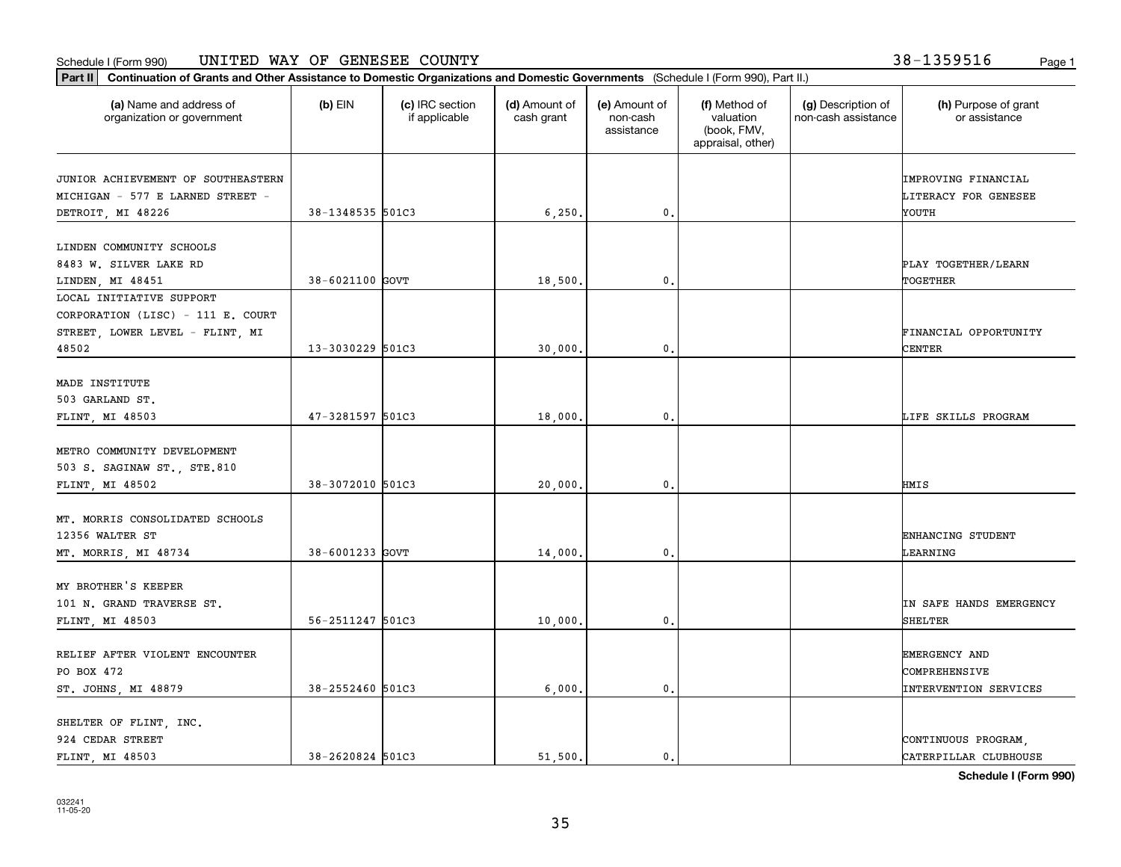#### Schedule I (Form 990) Page 1 UNITED WAY OF GENESEE COUNTY 38-1359516

**Part II Continuation of Grants and Other Assistance to Domestic Organizations and Domestic Governments**  (Schedule I (Form 990), Part II.)

| (a) Name and address of<br>organization or government                                                     | (b) EIN          | (c) IRC section<br>if applicable | (d) Amount of<br>cash grant | (e) Amount of<br>non-cash<br>assistance | (f) Method of<br>valuation<br>(book, FMV,<br>appraisal, other) | (g) Description of<br>non-cash assistance | (h) Purpose of grant<br>or assistance                          |
|-----------------------------------------------------------------------------------------------------------|------------------|----------------------------------|-----------------------------|-----------------------------------------|----------------------------------------------------------------|-------------------------------------------|----------------------------------------------------------------|
| JUNIOR ACHIEVEMENT OF SOUTHEASTERN<br>MICHIGAN - 577 E LARNED STREET -<br>DETROIT, MI 48226               | 38-1348535 501C3 |                                  | 6, 250.                     | $\mathbf{0}$ .                          |                                                                |                                           | IMPROVING FINANCIAL<br>LITERACY FOR GENESEE<br>YOUTH           |
| LINDEN COMMUNITY SCHOOLS<br>8483 W. SILVER LAKE RD<br>LINDEN, MI 48451                                    | 38-6021100 GOVT  |                                  | 18,500.                     | $\mathbf{0}$ .                          |                                                                |                                           | PLAY TOGETHER/LEARN<br>TOGETHER                                |
| LOCAL INITIATIVE SUPPORT<br>CORPORATION (LISC) - 111 E. COURT<br>STREET, LOWER LEVEL - FLINT, MI<br>48502 | 13-3030229 501C3 |                                  | 30,000.                     | 0.                                      |                                                                |                                           | FINANCIAL OPPORTUNITY<br><b>CENTER</b>                         |
| MADE INSTITUTE<br>503 GARLAND ST.<br>FLINT, MI 48503                                                      | 47-3281597 501C3 |                                  | 18,000.                     | 0.                                      |                                                                |                                           | LIFE SKILLS PROGRAM                                            |
| METRO COMMUNITY DEVELOPMENT<br>503 S. SAGINAW ST., STE.810<br>FLINT, MI 48502                             | 38-3072010 501C3 |                                  | 20,000.                     | 0.                                      |                                                                |                                           | HMIS                                                           |
| MT. MORRIS CONSOLIDATED SCHOOLS<br>12356 WALTER ST<br>MT. MORRIS, MI 48734                                | 38-6001233 GOVT  |                                  | 14,000,                     | 0.                                      |                                                                |                                           | ENHANCING STUDENT<br>LEARNING                                  |
| MY BROTHER'S KEEPER<br>101 N. GRAND TRAVERSE ST.<br>FLINT, MI 48503                                       | 56-2511247 501C3 |                                  | 10,000.                     | $\mathbf{0}$ .                          |                                                                |                                           | IN SAFE HANDS EMERGENCY<br>SHELTER                             |
| RELIEF AFTER VIOLENT ENCOUNTER<br>PO BOX 472<br>ST. JOHNS, MI 48879                                       | 38-2552460 501C3 |                                  | 6,000.                      | $\mathbf{0}$ .                          |                                                                |                                           | EMERGENCY AND<br>COMPREHENSIVE<br><b>INTERVENTION SERVICES</b> |
| SHELTER OF FLINT, INC.<br>924 CEDAR STREET                                                                |                  |                                  |                             |                                         |                                                                |                                           | CONTINUOUS PROGRAM                                             |

**Schedule I (Form 990)**

FLINT, MI 48503  $\begin{vmatrix} 38-2620824 & 501C3 & 51,500. \end{vmatrix}$  51,500.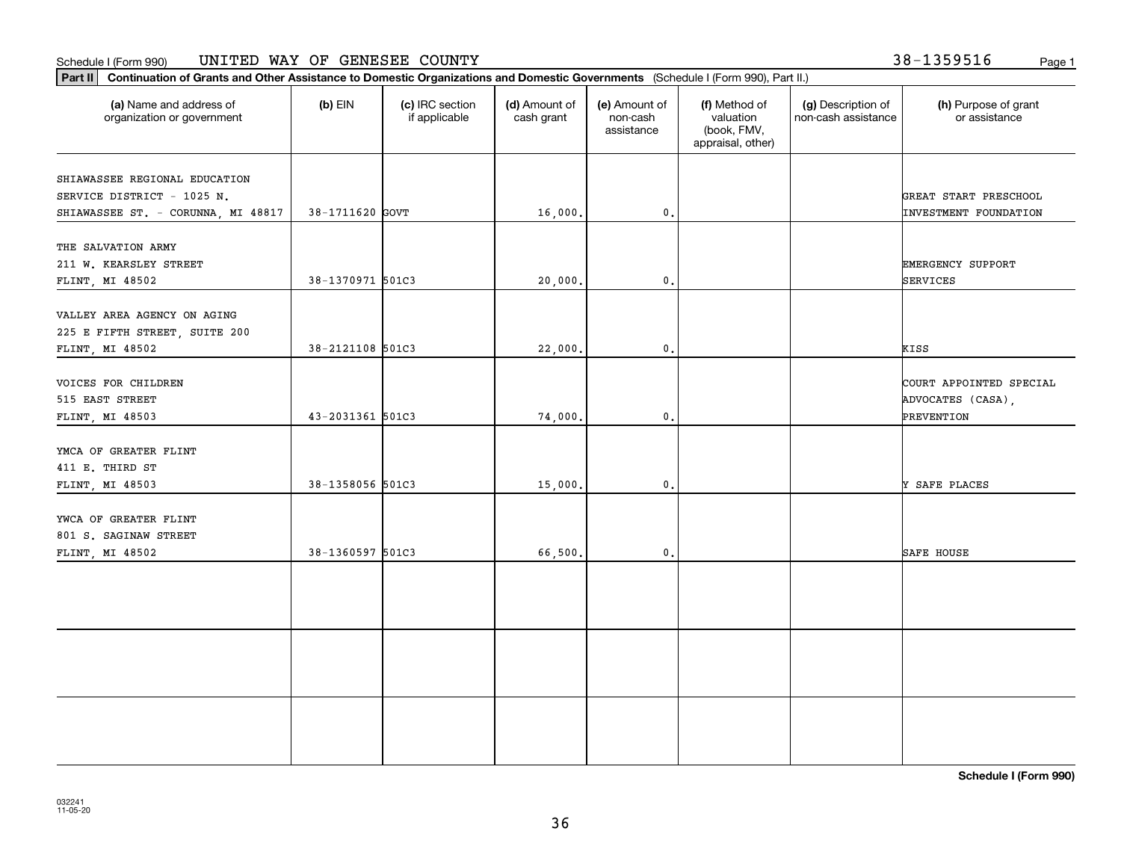#### Schedule I (Form 990) Page 1 UNITED WAY OF GENESEE COUNTY

**Part II Continuation of Grants and Other Assistance to Domestic Organizations and Domestic Governments**  (Schedule I (Form 990), Part II.)

| (a) Name and address of<br>organization or government             | $(b)$ EIN        | (c) IRC section<br>if applicable | (d) Amount of<br>cash grant | (e) Amount of<br>non-cash<br>assistance | (f) Method of<br>valuation<br>(book, FMV,<br>appraisal, other) | (g) Description of<br>non-cash assistance | (h) Purpose of grant<br>or assistance                 |
|-------------------------------------------------------------------|------------------|----------------------------------|-----------------------------|-----------------------------------------|----------------------------------------------------------------|-------------------------------------------|-------------------------------------------------------|
| SHIAWASSEE REGIONAL EDUCATION                                     |                  |                                  |                             |                                         |                                                                |                                           |                                                       |
| SERVICE DISTRICT - 1025 N.<br>SHIAWASSEE ST. - CORUNNA, MI 48817  | 38-1711620 GOVT  |                                  | 16,000.                     | $\mathbf{0}$ .                          |                                                                |                                           | GREAT START PRESCHOOL<br><b>INVESTMENT FOUNDATION</b> |
| THE SALVATION ARMY                                                |                  |                                  |                             |                                         |                                                                |                                           |                                                       |
| 211 W. KEARSLEY STREET                                            |                  |                                  |                             |                                         |                                                                |                                           | EMERGENCY SUPPORT                                     |
| FLINT, MI 48502                                                   | 38-1370971 501C3 |                                  | 20,000.                     | 0.                                      |                                                                |                                           | SERVICES                                              |
| VALLEY AREA AGENCY ON AGING<br>225 E FIFTH STREET, SUITE 200      |                  |                                  |                             |                                         |                                                                |                                           |                                                       |
| FLINT, MI 48502                                                   | 38-2121108 501C3 |                                  | 22,000.                     | $\mathsf{o}\,$ .                        |                                                                |                                           | KISS                                                  |
| VOICES FOR CHILDREN<br>515 EAST STREET                            |                  |                                  |                             |                                         |                                                                |                                           | COURT APPOINTED SPECIAL<br>ADVOCATES (CASA),          |
| FLINT, MI 48503                                                   | 43-2031361 501C3 |                                  | 74,000.                     | $\mathbf{0}$ .                          |                                                                |                                           | PREVENTION                                            |
| YMCA OF GREATER FLINT<br>411 E. THIRD ST<br>FLINT, MI 48503       | 38-1358056 501C3 |                                  | 15,000.                     | $\mathbf{0}$ .                          |                                                                |                                           | Y SAFE PLACES                                         |
|                                                                   |                  |                                  |                             |                                         |                                                                |                                           |                                                       |
| YWCA OF GREATER FLINT<br>801 S. SAGINAW STREET<br>FLINT, MI 48502 | 38-1360597 501C3 |                                  | 66,500.                     | $\mathbf{0}$ .                          |                                                                |                                           | <b>SAFE HOUSE</b>                                     |
|                                                                   |                  |                                  |                             |                                         |                                                                |                                           |                                                       |
|                                                                   |                  |                                  |                             |                                         |                                                                |                                           |                                                       |
|                                                                   |                  |                                  |                             |                                         |                                                                |                                           |                                                       |
|                                                                   |                  |                                  |                             |                                         |                                                                |                                           |                                                       |
|                                                                   |                  |                                  |                             |                                         |                                                                |                                           |                                                       |

**Schedule I (Form 990)**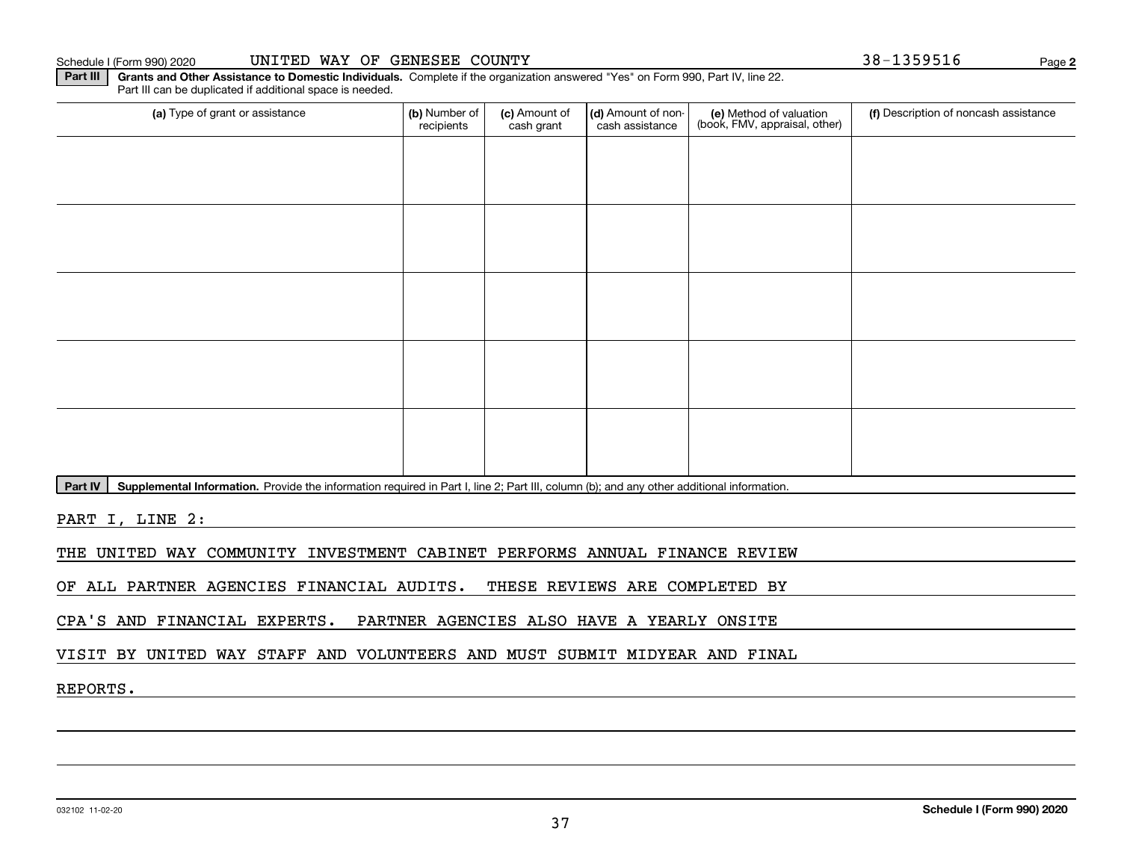#### Schedule I (Form 990) 2020 UNITED WAY OF GENESEE COUNTY Page

**Part III | Grants and Other Assistance to Domestic Individuals. Complete if the organization answered "Yes" on Form 990, Part IV, line 22.** Part III can be duplicated if additional space is needed.

| (a) Type of grant or assistance | (b) Number of<br>recipients | (c) Amount of<br>cash grant | (d) Amount of non-<br>cash assistance | (e) Method of valuation<br>(book, FMV, appraisal, other) | (f) Description of noncash assistance |
|---------------------------------|-----------------------------|-----------------------------|---------------------------------------|----------------------------------------------------------|---------------------------------------|
|                                 |                             |                             |                                       |                                                          |                                       |
|                                 |                             |                             |                                       |                                                          |                                       |
|                                 |                             |                             |                                       |                                                          |                                       |
|                                 |                             |                             |                                       |                                                          |                                       |
|                                 |                             |                             |                                       |                                                          |                                       |
|                                 |                             |                             |                                       |                                                          |                                       |
|                                 |                             |                             |                                       |                                                          |                                       |
|                                 |                             |                             |                                       |                                                          |                                       |
|                                 |                             |                             |                                       |                                                          |                                       |
|                                 |                             |                             |                                       |                                                          |                                       |

Part IV | Supplemental Information. Provide the information required in Part I, line 2; Part III, column (b); and any other additional information.

PART I, LINE 2:

THE UNITED WAY COMMUNITY INVESTMENT CABINET PERFORMS ANNUAL FINANCE REVIEW

OF ALL PARTNER AGENCIES FINANCIAL AUDITS. THESE REVIEWS ARE COMPLETED BY

CPA'S AND FINANCIAL EXPERTS. PARTNER AGENCIES ALSO HAVE A YEARLY ONSITE

VISIT BY UNITED WAY STAFF AND VOLUNTEERS AND MUST SUBMIT MIDYEAR AND FINAL

REPORTS.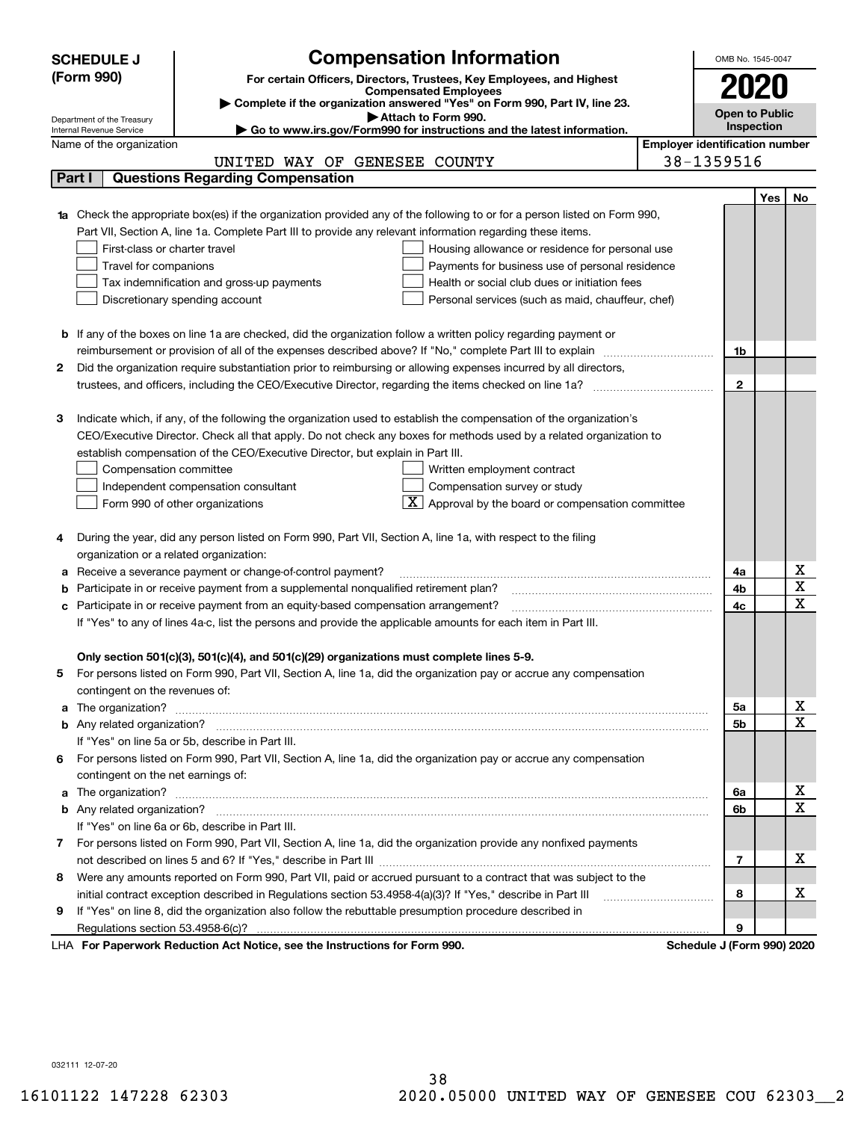|    | <b>SCHEDULE J</b>                                                                                  | <b>Compensation Information</b>                                                                                                  |    | OMB No. 1545-0047                     |                                     |                         |  |  |  |
|----|----------------------------------------------------------------------------------------------------|----------------------------------------------------------------------------------------------------------------------------------|----|---------------------------------------|-------------------------------------|-------------------------|--|--|--|
|    | (Form 990)                                                                                         | For certain Officers, Directors, Trustees, Key Employees, and Highest                                                            |    |                                       |                                     |                         |  |  |  |
|    |                                                                                                    | <b>Compensated Employees</b><br>Complete if the organization answered "Yes" on Form 990, Part IV, line 23.                       |    |                                       |                                     |                         |  |  |  |
|    | Attach to Form 990.<br>Department of the Treasury                                                  |                                                                                                                                  |    |                                       |                                     |                         |  |  |  |
|    | Go to www.irs.gov/Form990 for instructions and the latest information.<br>Internal Revenue Service |                                                                                                                                  |    |                                       |                                     |                         |  |  |  |
|    | Name of the organization                                                                           |                                                                                                                                  |    | <b>Employer identification number</b> |                                     |                         |  |  |  |
|    |                                                                                                    | UNITED WAY OF GENESEE COUNTY                                                                                                     |    | 38-1359516                            |                                     |                         |  |  |  |
|    | Part I                                                                                             | <b>Questions Regarding Compensation</b>                                                                                          |    |                                       |                                     |                         |  |  |  |
|    |                                                                                                    |                                                                                                                                  |    |                                       | Yes                                 | No                      |  |  |  |
|    |                                                                                                    | <b>1a</b> Check the appropriate box(es) if the organization provided any of the following to or for a person listed on Form 990, |    |                                       |                                     |                         |  |  |  |
|    |                                                                                                    | Part VII, Section A, line 1a. Complete Part III to provide any relevant information regarding these items.                       |    |                                       |                                     |                         |  |  |  |
|    | First-class or charter travel                                                                      | Housing allowance or residence for personal use                                                                                  |    |                                       |                                     |                         |  |  |  |
|    | Travel for companions                                                                              | Payments for business use of personal residence                                                                                  |    |                                       |                                     |                         |  |  |  |
|    |                                                                                                    | Tax indemnification and gross-up payments<br>Health or social club dues or initiation fees                                       |    |                                       |                                     |                         |  |  |  |
|    |                                                                                                    | Discretionary spending account<br>Personal services (such as maid, chauffeur, chef)                                              |    |                                       |                                     |                         |  |  |  |
|    |                                                                                                    |                                                                                                                                  |    |                                       |                                     |                         |  |  |  |
|    |                                                                                                    | <b>b</b> If any of the boxes on line 1a are checked, did the organization follow a written policy regarding payment or           |    |                                       |                                     |                         |  |  |  |
| 2  |                                                                                                    | reimbursement or provision of all of the expenses described above? If "No," complete Part III to explain                         |    | 1b                                    |                                     |                         |  |  |  |
|    |                                                                                                    | Did the organization require substantiation prior to reimbursing or allowing expenses incurred by all directors,                 |    | $\mathbf{2}$                          |                                     |                         |  |  |  |
|    |                                                                                                    |                                                                                                                                  |    |                                       |                                     |                         |  |  |  |
| з  |                                                                                                    | Indicate which, if any, of the following the organization used to establish the compensation of the organization's               |    |                                       |                                     |                         |  |  |  |
|    |                                                                                                    | CEO/Executive Director. Check all that apply. Do not check any boxes for methods used by a related organization to               |    |                                       |                                     |                         |  |  |  |
|    |                                                                                                    | establish compensation of the CEO/Executive Director, but explain in Part III.                                                   |    |                                       |                                     |                         |  |  |  |
|    | Compensation committee                                                                             | Written employment contract                                                                                                      |    |                                       |                                     |                         |  |  |  |
|    |                                                                                                    | Compensation survey or study<br>Independent compensation consultant                                                              |    |                                       |                                     |                         |  |  |  |
|    |                                                                                                    | Approval by the board or compensation committee<br>Form 990 of other organizations                                               |    |                                       |                                     |                         |  |  |  |
|    |                                                                                                    |                                                                                                                                  |    |                                       |                                     |                         |  |  |  |
|    |                                                                                                    | During the year, did any person listed on Form 990, Part VII, Section A, line 1a, with respect to the filing                     |    |                                       |                                     |                         |  |  |  |
|    | organization or a related organization:                                                            |                                                                                                                                  |    |                                       |                                     |                         |  |  |  |
|    |                                                                                                    | Receive a severance payment or change-of-control payment?                                                                        |    | 4a                                    |                                     | x                       |  |  |  |
| b  |                                                                                                    | Participate in or receive payment from a supplemental nonqualified retirement plan?                                              |    | 4b                                    |                                     | $\overline{\mathbf{x}}$ |  |  |  |
| c  |                                                                                                    | Participate in or receive payment from an equity-based compensation arrangement?                                                 |    | 4c                                    |                                     | $\overline{\text{x}}$   |  |  |  |
|    |                                                                                                    | If "Yes" to any of lines 4a-c, list the persons and provide the applicable amounts for each item in Part III.                    |    |                                       |                                     |                         |  |  |  |
|    |                                                                                                    |                                                                                                                                  |    |                                       |                                     |                         |  |  |  |
|    |                                                                                                    | Only section 501(c)(3), 501(c)(4), and 501(c)(29) organizations must complete lines 5-9.                                         |    |                                       |                                     |                         |  |  |  |
| 5. |                                                                                                    | For persons listed on Form 990, Part VII, Section A, line 1a, did the organization pay or accrue any compensation                |    |                                       |                                     |                         |  |  |  |
|    | contingent on the revenues of:                                                                     |                                                                                                                                  |    |                                       |                                     |                         |  |  |  |
|    |                                                                                                    | a The organization? <b>Manual Community Community</b> Community Community Community Community Community Community Community      | 5a |                                       | <u>x</u><br>$\overline{\mathbf{x}}$ |                         |  |  |  |
|    |                                                                                                    |                                                                                                                                  |    | 5b                                    |                                     |                         |  |  |  |
|    |                                                                                                    | If "Yes" on line 5a or 5b, describe in Part III.                                                                                 |    |                                       |                                     |                         |  |  |  |
| 6. |                                                                                                    | For persons listed on Form 990, Part VII, Section A, line 1a, did the organization pay or accrue any compensation                |    |                                       |                                     |                         |  |  |  |
|    | contingent on the net earnings of:                                                                 |                                                                                                                                  |    | 6a                                    |                                     | <u>x</u>                |  |  |  |
|    |                                                                                                    |                                                                                                                                  |    | 6b                                    |                                     | $\overline{\mathbf{x}}$ |  |  |  |
|    |                                                                                                    | If "Yes" on line 6a or 6b, describe in Part III.                                                                                 |    |                                       |                                     |                         |  |  |  |
|    |                                                                                                    | 7 For persons listed on Form 990, Part VII, Section A, line 1a, did the organization provide any nonfixed payments               |    |                                       |                                     |                         |  |  |  |
|    |                                                                                                    |                                                                                                                                  |    | $\overline{7}$                        |                                     | х                       |  |  |  |
| 8  |                                                                                                    | Were any amounts reported on Form 990, Part VII, paid or accrued pursuant to a contract that was subject to the                  |    |                                       |                                     |                         |  |  |  |
|    |                                                                                                    |                                                                                                                                  |    | 8                                     |                                     | х                       |  |  |  |
| 9  |                                                                                                    | If "Yes" on line 8, did the organization also follow the rebuttable presumption procedure described in                           |    |                                       |                                     |                         |  |  |  |
|    |                                                                                                    |                                                                                                                                  |    | 9                                     |                                     |                         |  |  |  |
|    |                                                                                                    | uli Dedication Ast Notice, and the Instructions for Form 000                                                                     |    | Calcadola Line                        |                                     |                         |  |  |  |

LHA For Paperwork Reduction Act Notice, see the Instructions for Form 990. Schedule J (Form 990) 2020

032111 12-07-20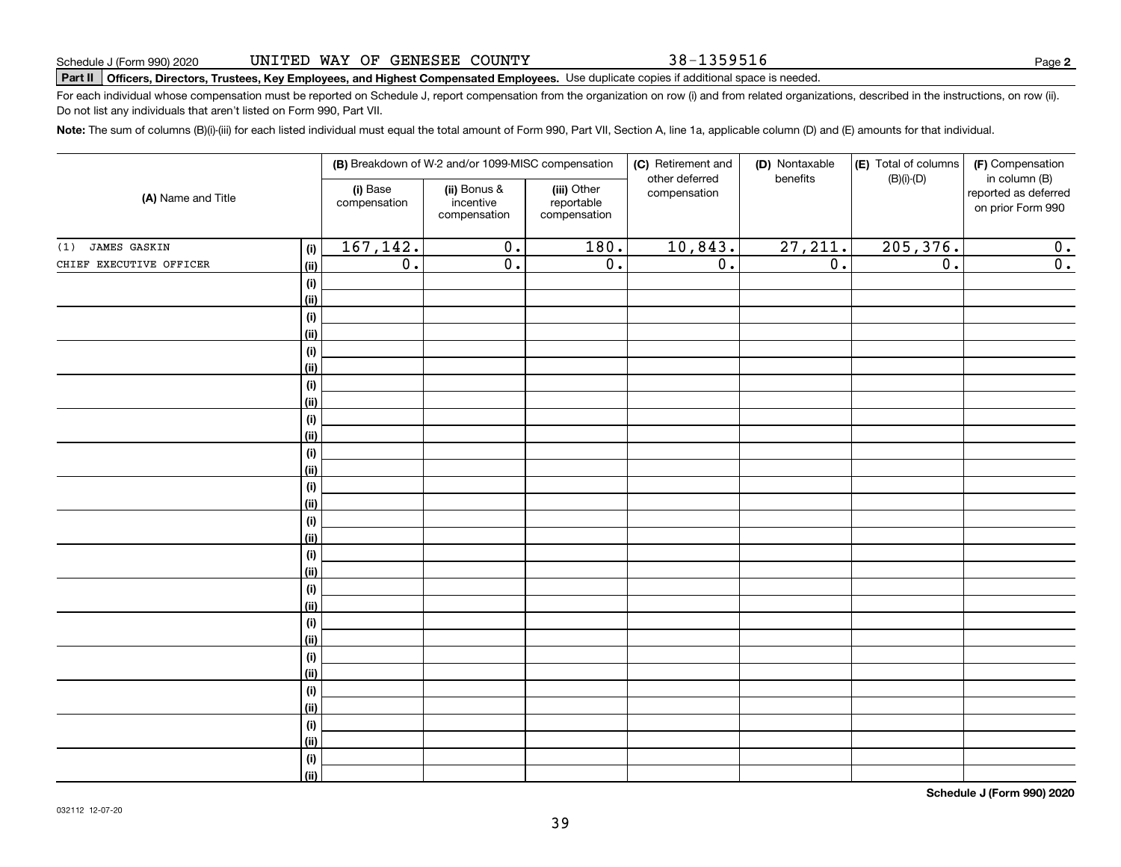38-1359516

**2**

# **Part II Officers, Directors, Trustees, Key Employees, and Highest Compensated Employees.**  Schedule J (Form 990) 2020 Page Use duplicate copies if additional space is needed.

For each individual whose compensation must be reported on Schedule J, report compensation from the organization on row (i) and from related organizations, described in the instructions, on row (ii). Do not list any individuals that aren't listed on Form 990, Part VII.

**Note:**  The sum of columns (B)(i)-(iii) for each listed individual must equal the total amount of Form 990, Part VII, Section A, line 1a, applicable column (D) and (E) amounts for that individual.

|                            |                |                          | (B) Breakdown of W-2 and/or 1099-MISC compensation                                                     |                  | (C) Retirement and<br>other deferred | (D) Nontaxable<br>benefits                | (E) Total of columns<br>$(B)(i)-(D)$ | (F) Compensation<br>in column (B) |
|----------------------------|----------------|--------------------------|--------------------------------------------------------------------------------------------------------|------------------|--------------------------------------|-------------------------------------------|--------------------------------------|-----------------------------------|
| (A) Name and Title         |                | (i) Base<br>compensation | (ii) Bonus &<br>(iii) Other<br>compensation<br>incentive<br>reportable<br>compensation<br>compensation |                  |                                      | reported as deferred<br>on prior Form 990 |                                      |                                   |
| <b>JAMES GASKIN</b><br>(1) | (i)            | 167, 142.                | $\overline{0}$ .                                                                                       | 180.             | 10,843.                              | 27, 211.                                  | 205, 376.                            | 0.                                |
| CHIEF EXECUTIVE OFFICER    | (ii)           | $\overline{0}$ .         | $\overline{0}$ .                                                                                       | $\overline{0}$ . | $\overline{0}$ .                     | $\overline{0}$ .                          | $\overline{0}$ .                     | $\overline{0}$ .                  |
|                            | (i)            |                          |                                                                                                        |                  |                                      |                                           |                                      |                                   |
|                            | <u>(ii)</u>    |                          |                                                                                                        |                  |                                      |                                           |                                      |                                   |
|                            | (i)            |                          |                                                                                                        |                  |                                      |                                           |                                      |                                   |
|                            | <u>(ii)</u>    |                          |                                                                                                        |                  |                                      |                                           |                                      |                                   |
|                            | (i)            |                          |                                                                                                        |                  |                                      |                                           |                                      |                                   |
|                            | <u>(ii)</u>    |                          |                                                                                                        |                  |                                      |                                           |                                      |                                   |
|                            | (i)            |                          |                                                                                                        |                  |                                      |                                           |                                      |                                   |
|                            | <u>(ii)</u>    |                          |                                                                                                        |                  |                                      |                                           |                                      |                                   |
|                            | (i)            |                          |                                                                                                        |                  |                                      |                                           |                                      |                                   |
|                            | <u>(ii)</u>    |                          |                                                                                                        |                  |                                      |                                           |                                      |                                   |
|                            | $(\sf{i})$     |                          |                                                                                                        |                  |                                      |                                           |                                      |                                   |
|                            | (ii)           |                          |                                                                                                        |                  |                                      |                                           |                                      |                                   |
|                            | (i)<br>(ii)    |                          |                                                                                                        |                  |                                      |                                           |                                      |                                   |
|                            | (i)            |                          |                                                                                                        |                  |                                      |                                           |                                      |                                   |
|                            | (ii)           |                          |                                                                                                        |                  |                                      |                                           |                                      |                                   |
|                            | (i)            |                          |                                                                                                        |                  |                                      |                                           |                                      |                                   |
|                            | (ii)           |                          |                                                                                                        |                  |                                      |                                           |                                      |                                   |
|                            | (i)            |                          |                                                                                                        |                  |                                      |                                           |                                      |                                   |
|                            | <u>(ii)</u>    |                          |                                                                                                        |                  |                                      |                                           |                                      |                                   |
|                            | (i)            |                          |                                                                                                        |                  |                                      |                                           |                                      |                                   |
|                            | <u>(ii)</u>    |                          |                                                                                                        |                  |                                      |                                           |                                      |                                   |
|                            | (i)            |                          |                                                                                                        |                  |                                      |                                           |                                      |                                   |
|                            | <u>(ii)</u>    |                          |                                                                                                        |                  |                                      |                                           |                                      |                                   |
|                            | (i)            |                          |                                                                                                        |                  |                                      |                                           |                                      |                                   |
|                            | (ii)           |                          |                                                                                                        |                  |                                      |                                           |                                      |                                   |
|                            | (i)            |                          |                                                                                                        |                  |                                      |                                           |                                      |                                   |
|                            | <u>(ii)</u>    |                          |                                                                                                        |                  |                                      |                                           |                                      |                                   |
|                            | (i)            |                          |                                                                                                        |                  |                                      |                                           |                                      |                                   |
|                            | $\overline{}}$ |                          |                                                                                                        |                  |                                      |                                           |                                      |                                   |

**Schedule J (Form 990) 2020**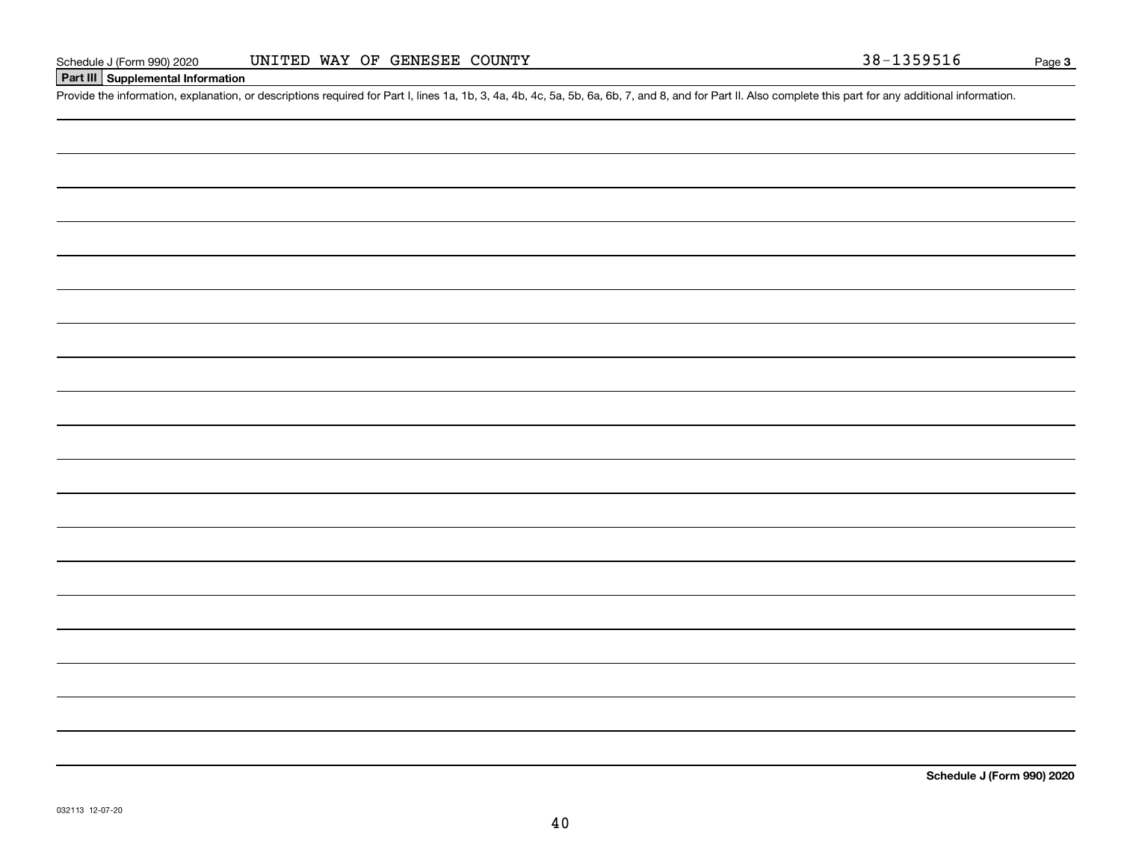### **Part III Supplemental Information**

Schedule J (Form 990) 2020 UNITED WAY OF GENESEE COUNTY<br>Part III Supplemental Information<br>Provide the information, explanation, or descriptions required for Part I, lines 1a, 1b, 3, 4a, 4b, 4c, 5a, 5b, 6a, 6b, 7, and 8, an

**Schedule J (Form 990) 2020**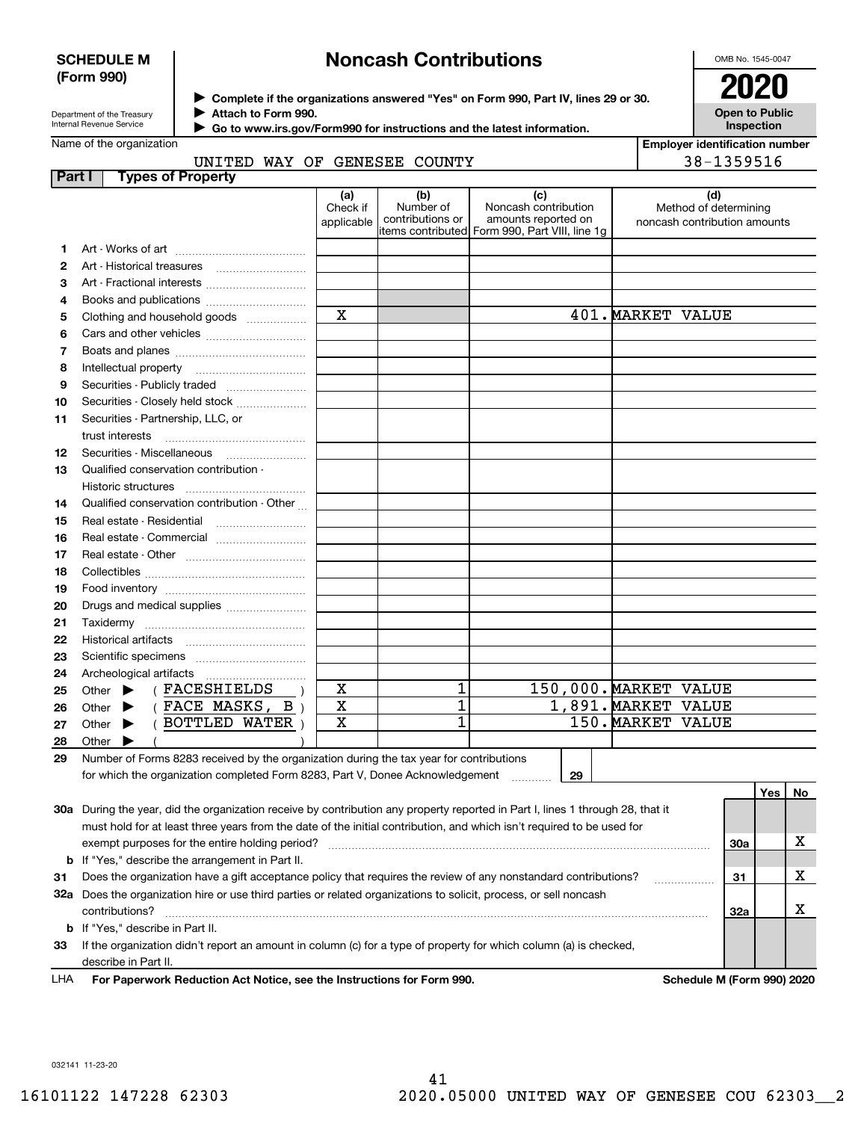#### **SCHEDULE M (Form 990)**

# **Noncash Contributions**

OMB No. 1545-0047

| Department of the Treasury |
|----------------------------|
| Internal Revenue Service   |

**Complete if the organizations answered "Yes" on Form 990, Part IV, lines 29 or 30.** <sup>J</sup>**2020 Attach to Form 990.** J

UNITED WAY OF GENESEE COUNTY

 **Go to www.irs.gov/Form990 for instructions and the latest information.** J

| ZUZU                                       |
|--------------------------------------------|
| <b>Open to Public</b><br><b>Inspection</b> |

|  |  |  | Name of the organization |  |
|--|--|--|--------------------------|--|
|--|--|--|--------------------------|--|

| <b>Employer identification number</b> |
|---------------------------------------|
| 38-1359516                            |

| Part I | <b>Types of Property</b>                                                                                                       |                               |                                                           |                                                                                    |                                                       |     |     |     |
|--------|--------------------------------------------------------------------------------------------------------------------------------|-------------------------------|-----------------------------------------------------------|------------------------------------------------------------------------------------|-------------------------------------------------------|-----|-----|-----|
|        |                                                                                                                                | (a)<br>Check if<br>applicable | (b)<br>Number of<br>contributions or<br>items contributed | (c)<br>Noncash contribution<br>amounts reported on<br>Form 990, Part VIII, line 1g | Method of determining<br>noncash contribution amounts | (d) |     |     |
| 1      |                                                                                                                                |                               |                                                           |                                                                                    |                                                       |     |     |     |
| 2      |                                                                                                                                |                               |                                                           |                                                                                    |                                                       |     |     |     |
| З      | Art - Fractional interests                                                                                                     |                               |                                                           |                                                                                    |                                                       |     |     |     |
| 4      | Books and publications                                                                                                         |                               |                                                           |                                                                                    |                                                       |     |     |     |
| 5      | Clothing and household goods                                                                                                   | $\mathbf X$                   |                                                           |                                                                                    | 401. MARKET VALUE                                     |     |     |     |
| 6      |                                                                                                                                |                               |                                                           |                                                                                    |                                                       |     |     |     |
| 7      |                                                                                                                                |                               |                                                           |                                                                                    |                                                       |     |     |     |
| 8      | Intellectual property                                                                                                          |                               |                                                           |                                                                                    |                                                       |     |     |     |
| 9      | Securities - Publicly traded                                                                                                   |                               |                                                           |                                                                                    |                                                       |     |     |     |
| 10     | Securities - Closely held stock                                                                                                |                               |                                                           |                                                                                    |                                                       |     |     |     |
| 11     | Securities - Partnership, LLC, or                                                                                              |                               |                                                           |                                                                                    |                                                       |     |     |     |
|        | trust interests                                                                                                                |                               |                                                           |                                                                                    |                                                       |     |     |     |
| 12     |                                                                                                                                |                               |                                                           |                                                                                    |                                                       |     |     |     |
| 13     | Qualified conservation contribution -                                                                                          |                               |                                                           |                                                                                    |                                                       |     |     |     |
|        | Historic structures                                                                                                            |                               |                                                           |                                                                                    |                                                       |     |     |     |
| 14     | Qualified conservation contribution - Other                                                                                    |                               |                                                           |                                                                                    |                                                       |     |     |     |
| 15     |                                                                                                                                |                               |                                                           |                                                                                    |                                                       |     |     |     |
| 16     | Real estate - Commercial                                                                                                       |                               |                                                           |                                                                                    |                                                       |     |     |     |
| 17     |                                                                                                                                |                               |                                                           |                                                                                    |                                                       |     |     |     |
| 18     |                                                                                                                                |                               |                                                           |                                                                                    |                                                       |     |     |     |
| 19     |                                                                                                                                |                               |                                                           |                                                                                    |                                                       |     |     |     |
| 20     | Drugs and medical supplies                                                                                                     |                               |                                                           |                                                                                    |                                                       |     |     |     |
| 21     |                                                                                                                                |                               |                                                           |                                                                                    |                                                       |     |     |     |
| 22     |                                                                                                                                |                               |                                                           |                                                                                    |                                                       |     |     |     |
| 23     |                                                                                                                                |                               |                                                           |                                                                                    |                                                       |     |     |     |
| 24     | Archeological artifacts                                                                                                        |                               |                                                           |                                                                                    |                                                       |     |     |     |
| 25     | (FACESHIELDS<br>Other $\blacktriangleright$                                                                                    | X                             | 1                                                         |                                                                                    | 150,000. MARKET VALUE                                 |     |     |     |
| 26     | $(FACE$ MASKS, B<br>▶<br>Other                                                                                                 | $\overline{\textbf{X}}$       | $\overline{1}$                                            |                                                                                    | 1,891. MARKET<br><b>VALUE</b>                         |     |     |     |
| 27     | BOTTLED WATER<br>Other $\blacktriangleright$                                                                                   | $\mathbf X$                   | 1                                                         |                                                                                    | 150. MARKET<br><b>VALUE</b>                           |     |     |     |
| 28     | Other                                                                                                                          |                               |                                                           |                                                                                    |                                                       |     |     |     |
| 29     | Number of Forms 8283 received by the organization during the tax year for contributions                                        |                               |                                                           |                                                                                    |                                                       |     |     |     |
|        | for which the organization completed Form 8283, Part V, Donee Acknowledgement                                                  |                               |                                                           | 29                                                                                 |                                                       |     |     |     |
|        |                                                                                                                                |                               |                                                           |                                                                                    |                                                       |     | Yes | No. |
|        | 30a During the year, did the organization receive by contribution any property reported in Part I, lines 1 through 28, that it |                               |                                                           |                                                                                    |                                                       |     |     |     |
|        | must hold for at least three years from the date of the initial contribution, and which isn't required to be used for          |                               |                                                           |                                                                                    |                                                       |     |     |     |
|        | exempt purposes for the entire holding period?                                                                                 |                               |                                                           |                                                                                    |                                                       | 30a |     | x   |
|        | <b>b</b> If "Yes," describe the arrangement in Part II.                                                                        |                               |                                                           |                                                                                    |                                                       |     |     |     |
| 31     | Does the organization have a gift acceptance policy that requires the review of any nonstandard contributions?<br>31           |                               |                                                           | х                                                                                  |                                                       |     |     |     |
|        | 32a Does the organization hire or use third parties or related organizations to solicit, process, or sell noncash              |                               |                                                           |                                                                                    |                                                       |     |     |     |
|        | contributions?                                                                                                                 |                               |                                                           |                                                                                    |                                                       | 32a |     | х   |
|        | <b>b</b> If "Yes," describe in Part II.                                                                                        |                               |                                                           |                                                                                    |                                                       |     |     |     |
| 33     | If the organization didn't report an amount in column (c) for a type of property for which column (a) is checked,              |                               |                                                           |                                                                                    |                                                       |     |     |     |

describe in Part II.

For Paperwork Reduction Act Notice, see the Instructions for Form 990. **Schedule M** (Form 990) 2020 LHA

032141 11-23-20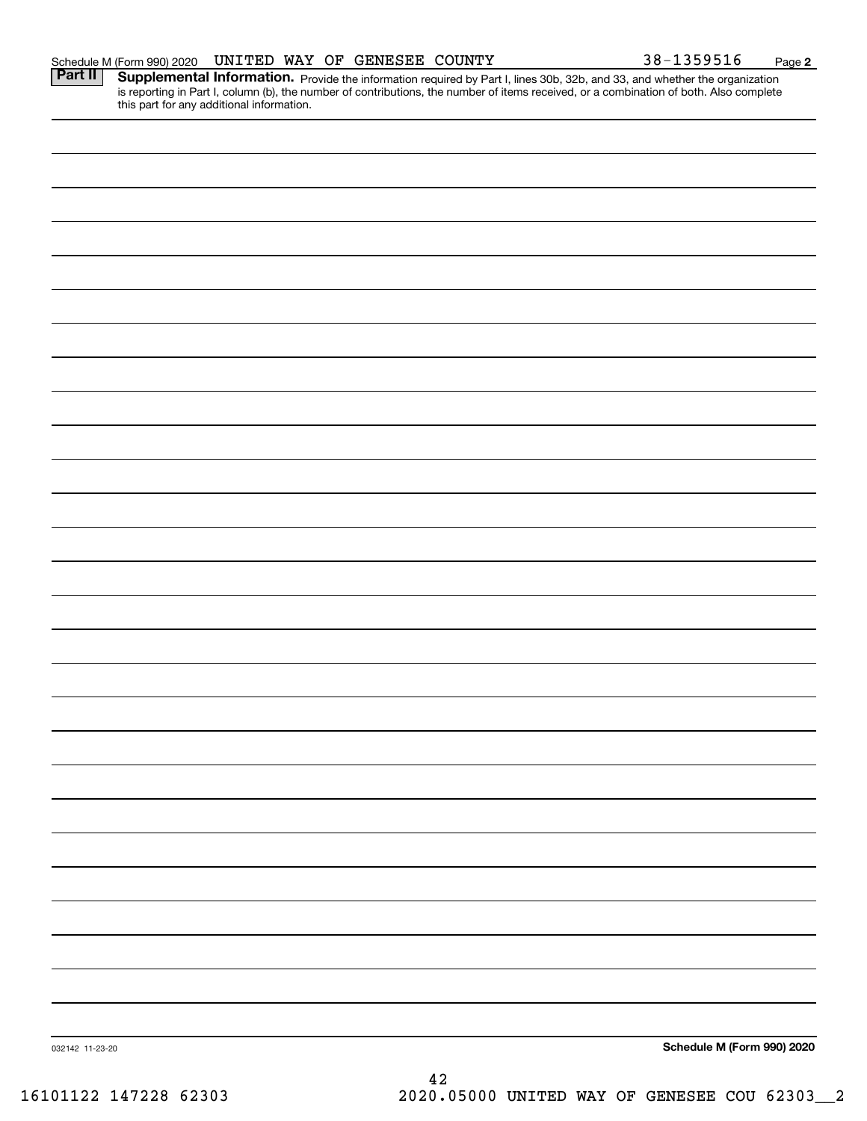|                 | is reporting in Part I, column (b), the number of contributions, the number of items received, or a combination of both. Also complete this part for any additional information. |                            |
|-----------------|----------------------------------------------------------------------------------------------------------------------------------------------------------------------------------|----------------------------|
|                 |                                                                                                                                                                                  |                            |
|                 |                                                                                                                                                                                  |                            |
|                 |                                                                                                                                                                                  |                            |
|                 |                                                                                                                                                                                  |                            |
|                 |                                                                                                                                                                                  |                            |
|                 |                                                                                                                                                                                  |                            |
|                 |                                                                                                                                                                                  |                            |
|                 |                                                                                                                                                                                  |                            |
|                 |                                                                                                                                                                                  |                            |
|                 |                                                                                                                                                                                  |                            |
|                 |                                                                                                                                                                                  |                            |
|                 |                                                                                                                                                                                  |                            |
|                 |                                                                                                                                                                                  |                            |
|                 |                                                                                                                                                                                  |                            |
|                 |                                                                                                                                                                                  |                            |
|                 |                                                                                                                                                                                  |                            |
|                 |                                                                                                                                                                                  |                            |
|                 |                                                                                                                                                                                  |                            |
|                 |                                                                                                                                                                                  |                            |
|                 |                                                                                                                                                                                  |                            |
|                 |                                                                                                                                                                                  |                            |
|                 |                                                                                                                                                                                  |                            |
|                 |                                                                                                                                                                                  |                            |
|                 |                                                                                                                                                                                  |                            |
|                 |                                                                                                                                                                                  |                            |
|                 |                                                                                                                                                                                  |                            |
|                 |                                                                                                                                                                                  |                            |
|                 |                                                                                                                                                                                  |                            |
|                 |                                                                                                                                                                                  |                            |
|                 |                                                                                                                                                                                  |                            |
|                 |                                                                                                                                                                                  |                            |
|                 |                                                                                                                                                                                  |                            |
| 032142 11-23-20 |                                                                                                                                                                                  | Schedule M (Form 990) 2020 |
|                 | ៱                                                                                                                                                                                |                            |

**2**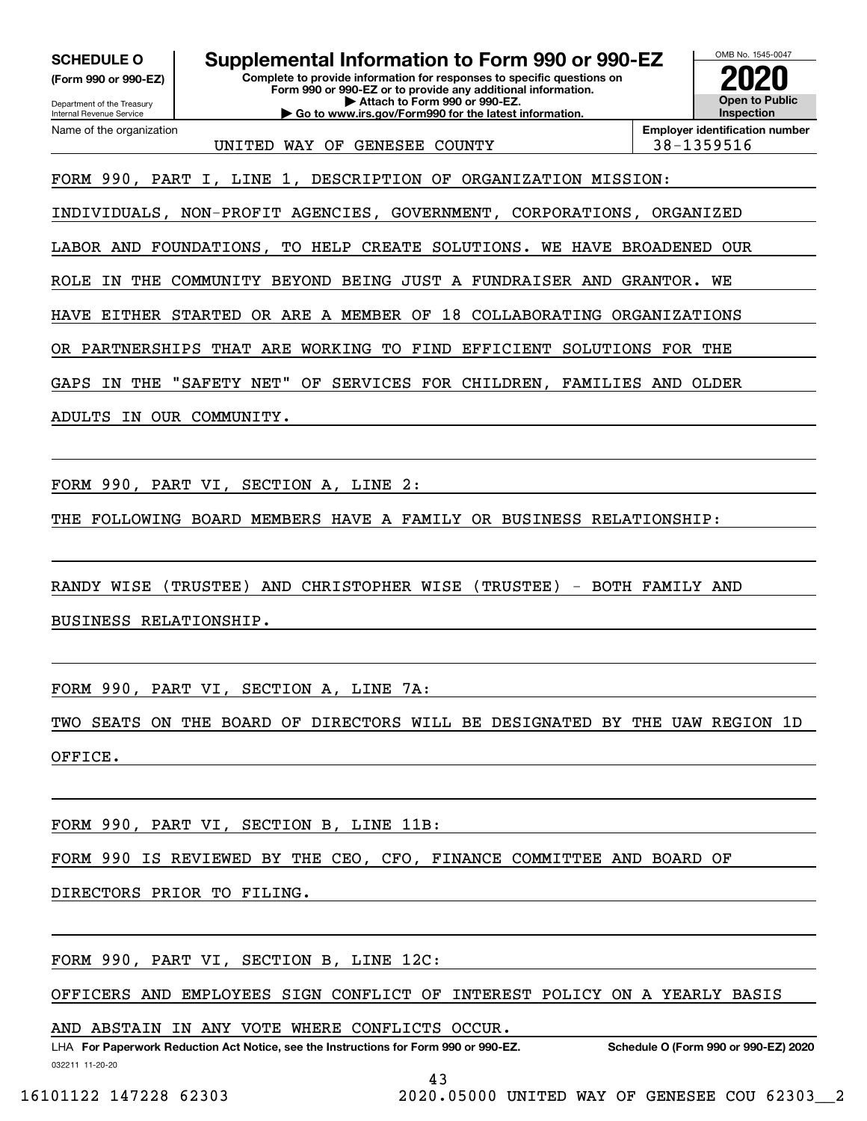**(Form 990 or 990-EZ)**

Department of the Treasury Internal Revenue Service Name of the organization

**Complete to provide information for responses to specific questions on Form 990 or 990-EZ or to provide any additional information. | Attach to Form 990 or 990-EZ. | Go to www.irs.gov/Form990 for the latest information. SCHEDULE O Supplemental Information to Form 990 or 990-EZ**



UNITED WAY OF GENESEE COUNTY 138-1359516

FORM 990, PART I, LINE 1, DESCRIPTION OF ORGANIZATION MISSION:

INDIVIDUALS, NON-PROFIT AGENCIES, GOVERNMENT, CORPORATIONS, ORGANIZED

LABOR AND FOUNDATIONS, TO HELP CREATE SOLUTIONS. WE HAVE BROADENED OUR

ROLE IN THE COMMUNITY BEYOND BEING JUST A FUNDRAISER AND GRANTOR. WE

HAVE EITHER STARTED OR ARE A MEMBER OF 18 COLLABORATING ORGANIZATIONS

OR PARTNERSHIPS THAT ARE WORKING TO FIND EFFICIENT SOLUTIONS FOR THE

GAPS IN THE "SAFETY NET" OF SERVICES FOR CHILDREN, FAMILIES AND OLDER

ADULTS IN OUR COMMUNITY.

FORM 990, PART VI, SECTION A, LINE 2:

THE FOLLOWING BOARD MEMBERS HAVE A FAMILY OR BUSINESS RELATIONSHIP:

RANDY WISE (TRUSTEE) AND CHRISTOPHER WISE (TRUSTEE) - BOTH FAMILY AND BUSINESS RELATIONSHIP.

FORM 990, PART VI, SECTION A, LINE 7A:

TWO SEATS ON THE BOARD OF DIRECTORS WILL BE DESIGNATED BY THE UAW REGION 1D OFFICE.

FORM 990, PART VI, SECTION B, LINE 11B:

FORM 990 IS REVIEWED BY THE CEO, CFO, FINANCE COMMITTEE AND BOARD OF

DIRECTORS PRIOR TO FILING.

FORM 990, PART VI, SECTION B, LINE 12C:

OFFICERS AND EMPLOYEES SIGN CONFLICT OF INTEREST POLICY ON A YEARLY BASIS

AND ABSTAIN IN ANY VOTE WHERE CONFLICTS OCCUR.

032211 11-20-20 LHA For Paperwork Reduction Act Notice, see the Instructions for Form 990 or 990-EZ. Schedule O (Form 990 or 990-EZ) 2020

43